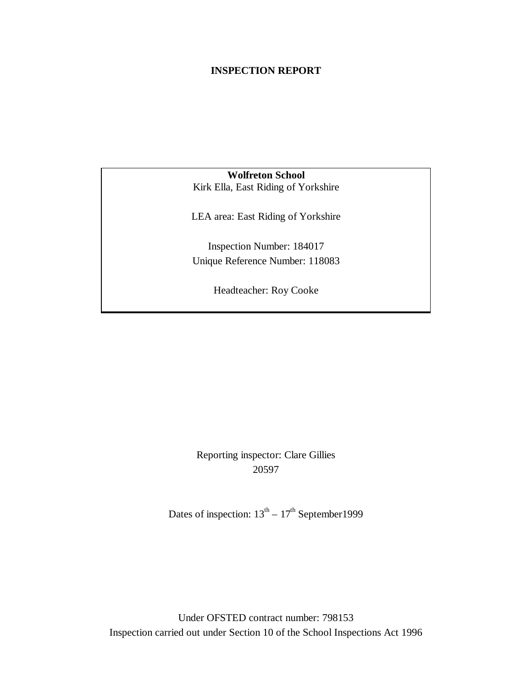#### **INSPECTION REPORT**

## **Wolfreton School** Kirk Ella, East Riding of Yorkshire

LEA area: East Riding of Yorkshire

Inspection Number: 184017 Unique Reference Number: 118083

Headteacher: Roy Cooke

Reporting inspector: Clare Gillies 20597

Dates of inspection:  $13^{th} - 17^{th}$  September 1999

Under OFSTED contract number: 798153 Inspection carried out under Section 10 of the School Inspections Act 1996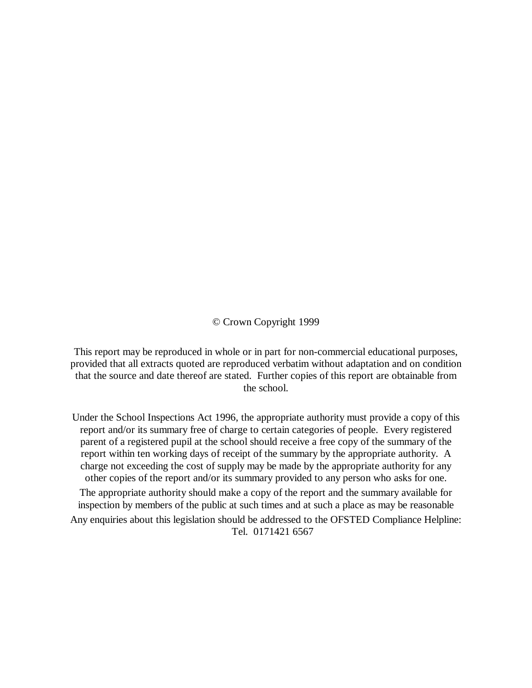© Crown Copyright 1999

This report may be reproduced in whole or in part for non-commercial educational purposes, provided that all extracts quoted are reproduced verbatim without adaptation and on condition that the source and date thereof are stated. Further copies of this report are obtainable from the school.

Under the School Inspections Act 1996, the appropriate authority must provide a copy of this report and/or its summary free of charge to certain categories of people. Every registered parent of a registered pupil at the school should receive a free copy of the summary of the report within ten working days of receipt of the summary by the appropriate authority. A charge not exceeding the cost of supply may be made by the appropriate authority for any other copies of the report and/or its summary provided to any person who asks for one.

The appropriate authority should make a copy of the report and the summary available for inspection by members of the public at such times and at such a place as may be reasonable

Any enquiries about this legislation should be addressed to the OFSTED Compliance Helpline: Tel. 0171421 6567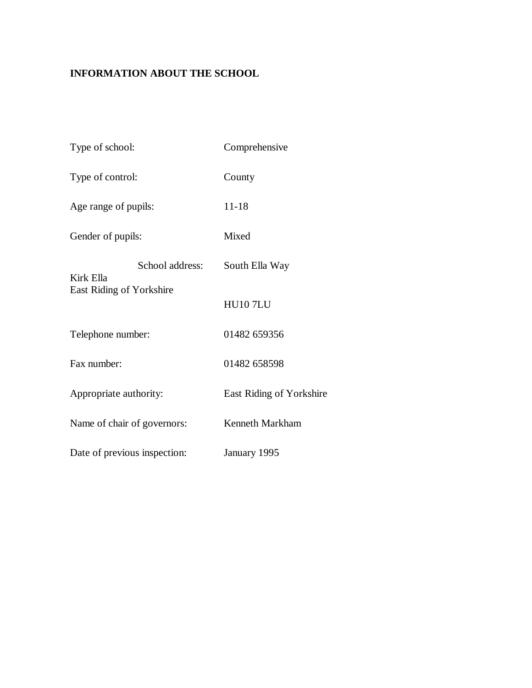## **INFORMATION ABOUT THE SCHOOL**

| Type of school:              |                 | Comprehensive            |  |
|------------------------------|-----------------|--------------------------|--|
| Type of control:             |                 | County                   |  |
| Age range of pupils:         |                 | $11 - 18$                |  |
| Gender of pupils:            |                 | Mixed                    |  |
| Kirk Ella                    | School address: | South Ella Way           |  |
| East Riding of Yorkshire     |                 | <b>HU107LU</b>           |  |
| Telephone number:            |                 | 01482 659356             |  |
| Fax number:                  |                 | 01482 658598             |  |
| Appropriate authority:       |                 | East Riding of Yorkshire |  |
| Name of chair of governors:  |                 | Kenneth Markham          |  |
| Date of previous inspection: |                 | January 1995             |  |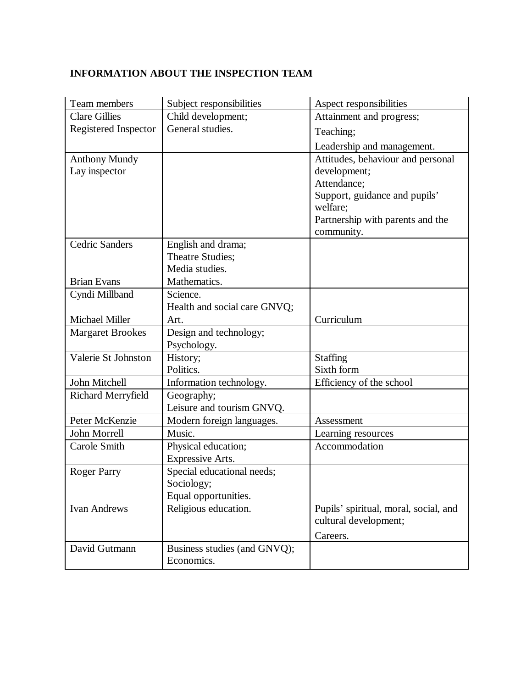## **INFORMATION ABOUT THE INSPECTION TEAM**

| Team members            | Subject responsibilities     | Aspect responsibilities               |
|-------------------------|------------------------------|---------------------------------------|
| <b>Clare Gillies</b>    | Child development;           | Attainment and progress;              |
| Registered Inspector    | General studies.             | Teaching;                             |
|                         |                              | Leadership and management.            |
| <b>Anthony Mundy</b>    |                              | Attitudes, behaviour and personal     |
| Lay inspector           |                              | development;                          |
|                         |                              | Attendance;                           |
|                         |                              | Support, guidance and pupils'         |
|                         |                              | welfare;                              |
|                         |                              | Partnership with parents and the      |
|                         |                              | community.                            |
| <b>Cedric Sanders</b>   | English and drama;           |                                       |
|                         | Theatre Studies;             |                                       |
|                         | Media studies.               |                                       |
| <b>Brian Evans</b>      | Mathematics.                 |                                       |
| Cyndi Millband          | Science.                     |                                       |
|                         | Health and social care GNVQ; |                                       |
| Michael Miller          | Art.                         | Curriculum                            |
| <b>Margaret Brookes</b> | Design and technology;       |                                       |
|                         | Psychology.                  |                                       |
| Valerie St Johnston     | History;                     | Staffing                              |
|                         | Politics.                    | Sixth form                            |
| John Mitchell           | Information technology.      | Efficiency of the school              |
| Richard Merryfield      | Geography;                   |                                       |
|                         | Leisure and tourism GNVQ.    |                                       |
| Peter McKenzie          | Modern foreign languages.    | Assessment                            |
| John Morrell            | Music.                       | Learning resources                    |
| Carole Smith            | Physical education;          | Accommodation                         |
|                         | <b>Expressive Arts.</b>      |                                       |
| <b>Roger Parry</b>      | Special educational needs;   |                                       |
|                         | Sociology;                   |                                       |
|                         | Equal opportunities.         |                                       |
| <b>Ivan Andrews</b>     | Religious education.         | Pupils' spiritual, moral, social, and |
|                         |                              | cultural development;                 |
|                         |                              | Careers.                              |
| David Gutmann           | Business studies (and GNVQ); |                                       |
|                         | Economics.                   |                                       |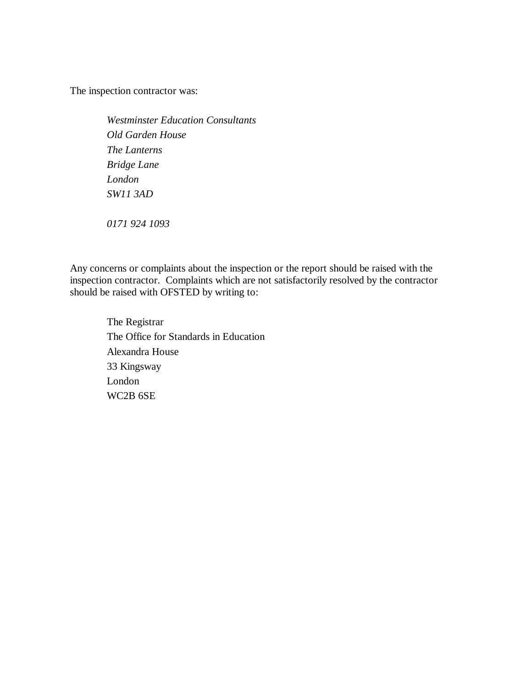The inspection contractor was:

*Westminster Education Consultants Old Garden House The Lanterns Bridge Lane London SW11 3AD*

*0171 924 1093*

Any concerns or complaints about the inspection or the report should be raised with the inspection contractor. Complaints which are not satisfactorily resolved by the contractor should be raised with OFSTED by writing to:

The Registrar The Office for Standards in Education Alexandra House 33 Kingsway London WC2B 6SE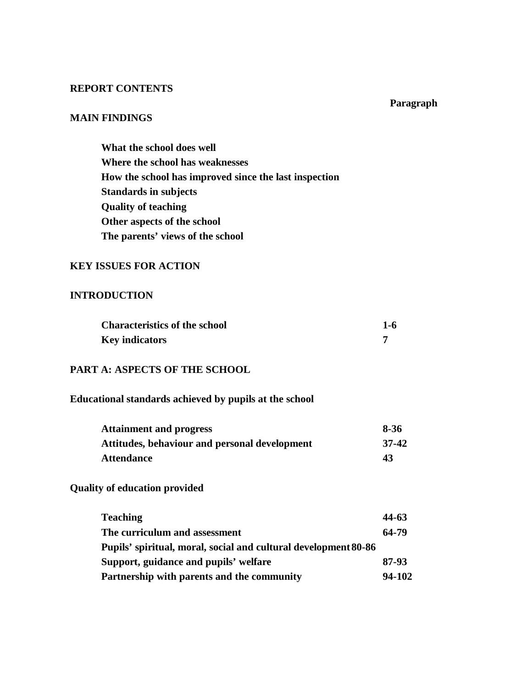#### **REPORT CONTENTS**

## **Paragraph**

#### **MAIN FINDINGS**

**What the school does well Where the school has weaknesses How the school has improved since the last inspection Standards in subjects Quality of teaching Other aspects of the school The parents' views of the school**

## **KEY ISSUES FOR ACTION**

#### **INTRODUCTION**

| <b>Characteristics of the school</b> | 1-6 |
|--------------------------------------|-----|
| <b>Key indicators</b>                |     |

## **PART A: ASPECTS OF THE SCHOOL**

**Educational standards achieved by pupils at the school**

| <b>Attainment and progress</b>                | 8-36    |
|-----------------------------------------------|---------|
| Attitudes, behaviour and personal development | $37-42$ |
| <b>Attendance</b>                             | 43      |

## **Quality of education provided**

| <b>Teaching</b>                                                 | 44-63  |
|-----------------------------------------------------------------|--------|
| The curriculum and assessment                                   | 64-79  |
| Pupils' spiritual, moral, social and cultural development 80-86 |        |
| Support, guidance and pupils' welfare                           | 87-93  |
| Partnership with parents and the community                      | 94-102 |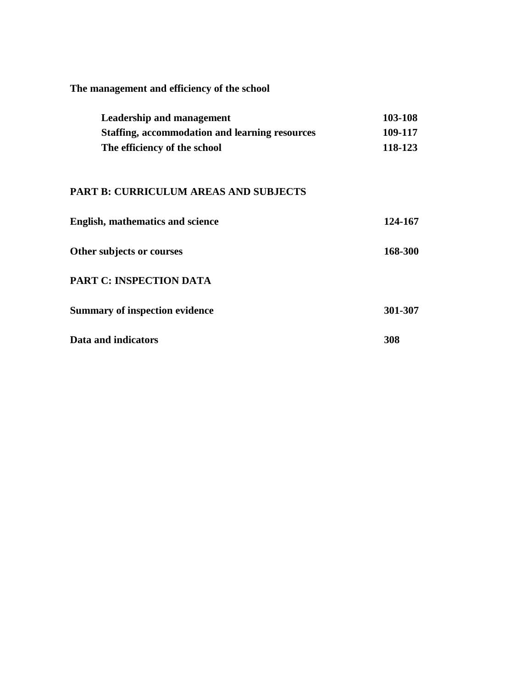**The management and efficiency of the school**

| Leadership and management                      | 103-108 |
|------------------------------------------------|---------|
| Staffing, accommodation and learning resources | 109-117 |
| The efficiency of the school                   | 118-123 |

## **PART B: CURRICULUM AREAS AND SUBJECTS**

| English, mathematics and science      | 124-167 |
|---------------------------------------|---------|
| Other subjects or courses             | 168-300 |
| <b>PART C: INSPECTION DATA</b>        |         |
| <b>Summary of inspection evidence</b> | 301-307 |
| Data and indicators                   | 308     |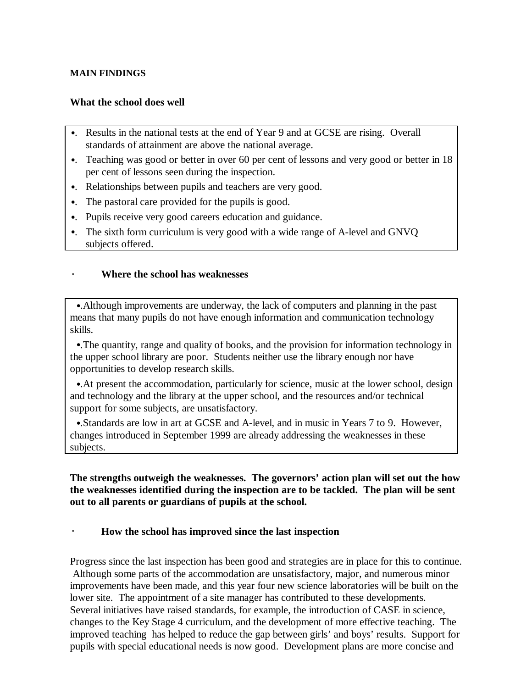#### **MAIN FINDINGS**

#### **What the school does well**

- •. Results in the national tests at the end of Year 9 and at GCSE are rising. Overall standards of attainment are above the national average.
- •. Teaching was good or better in over 60 per cent of lessons and very good or better in 18 per cent of lessons seen during the inspection.
- •. Relationships between pupils and teachers are very good.
- •. The pastoral care provided for the pupils is good.
- •. Pupils receive very good careers education and guidance.
- •. The sixth form curriculum is very good with a wide range of A-level and GNVQ subjects offered.

#### · **Where the school has weaknesses**

 •.Although improvements are underway, the lack of computers and planning in the past means that many pupils do not have enough information and communication technology skills.

 •.The quantity, range and quality of books, and the provision for information technology in the upper school library are poor. Students neither use the library enough nor have opportunities to develop research skills.

 •.At present the accommodation, particularly for science, music at the lower school, design and technology and the library at the upper school, and the resources and/or technical support for some subjects, are unsatisfactory.

 •.Standards are low in art at GCSE and A-level, and in music in Years 7 to 9. However, changes introduced in September 1999 are already addressing the weaknesses in these subjects.

**The strengths outweigh the weaknesses. The governors' action plan will set out the how the weaknesses identified during the inspection are to be tackled. The plan will be sent out to all parents or guardians of pupils at the school.** 

#### · **How the school has improved since the last inspection**

Progress since the last inspection has been good and strategies are in place for this to continue. Although some parts of the accommodation are unsatisfactory, major, and numerous minor improvements have been made, and this year four new science laboratories will be built on the lower site. The appointment of a site manager has contributed to these developments. Several initiatives have raised standards, for example, the introduction of CASE in science, changes to the Key Stage 4 curriculum, and the development of more effective teaching. The improved teaching has helped to reduce the gap between girls' and boys' results. Support for pupils with special educational needs is now good. Development plans are more concise and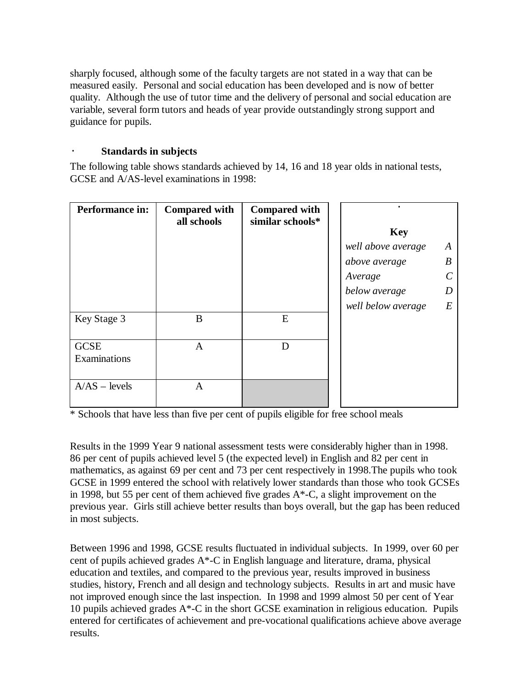sharply focused, although some of the faculty targets are not stated in a way that can be measured easily. Personal and social education has been developed and is now of better quality. Although the use of tutor time and the delivery of personal and social education are variable, several form tutors and heads of year provide outstandingly strong support and guidance for pupils.

## · **Standards in subjects**

The following table shows standards achieved by 14, 16 and 18 year olds in national tests, GCSE and A/AS-level examinations in 1998:

| Performance in:             | <b>Compared with</b><br>all schools | <b>Compared with</b><br>similar schools* | ٠<br><b>Key</b>    |   |
|-----------------------------|-------------------------------------|------------------------------------------|--------------------|---|
|                             |                                     |                                          | well above average | A |
|                             |                                     |                                          | above average      | B |
|                             |                                     |                                          | Average            |   |
|                             |                                     |                                          | below average      | D |
|                             |                                     |                                          | well below average | E |
| Key Stage 3                 | B                                   | E                                        |                    |   |
| <b>GCSE</b><br>Examinations | A                                   | D                                        |                    |   |
| $A/AS$ – levels             | A                                   |                                          |                    |   |

\* Schools that have less than five per cent of pupils eligible for free school meals

Results in the 1999 Year 9 national assessment tests were considerably higher than in 1998. 86 per cent of pupils achieved level 5 (the expected level) in English and 82 per cent in mathematics, as against 69 per cent and 73 per cent respectively in 1998.The pupils who took GCSE in 1999 entered the school with relatively lower standards than those who took GCSEs in 1998, but 55 per cent of them achieved five grades  $A^*$ -C, a slight improvement on the previous year. Girls still achieve better results than boys overall, but the gap has been reduced in most subjects.

Between 1996 and 1998, GCSE results fluctuated in individual subjects. In 1999, over 60 per cent of pupils achieved grades A\*-C in English language and literature, drama, physical education and textiles, and compared to the previous year, results improved in business studies, history, French and all design and technology subjects. Results in art and music have not improved enough since the last inspection. In 1998 and 1999 almost 50 per cent of Year 10 pupils achieved grades A\*-C in the short GCSE examination in religious education. Pupils entered for certificates of achievement and pre-vocational qualifications achieve above average results.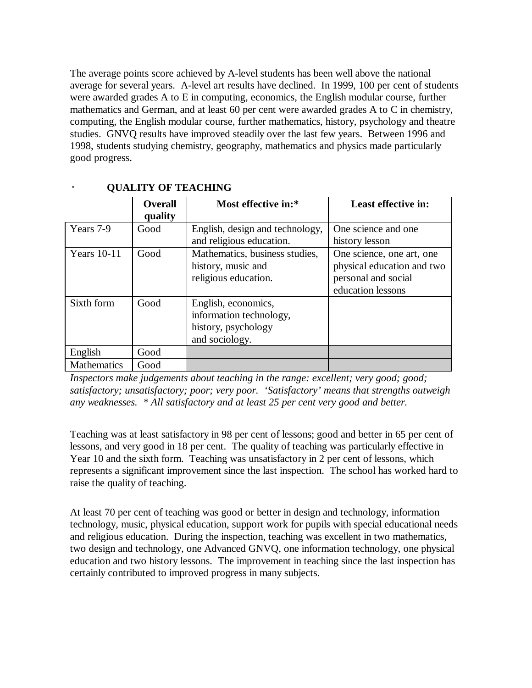The average points score achieved by A-level students has been well above the national average for several years. A-level art results have declined. In 1999, 100 per cent of students were awarded grades A to E in computing, economics, the English modular course, further mathematics and German, and at least 60 per cent were awarded grades A to C in chemistry, computing, the English modular course, further mathematics, history, psychology and theatre studies. GNVQ results have improved steadily over the last few years. Between 1996 and 1998, students studying chemistry, geography, mathematics and physics made particularly good progress.

|                    | <b>Overall</b><br>quality | Most effective in:*                                                                     | Least effective in:                                                                                 |
|--------------------|---------------------------|-----------------------------------------------------------------------------------------|-----------------------------------------------------------------------------------------------------|
| Years 7-9          | Good                      | English, design and technology,<br>and religious education.                             | One science and one<br>history lesson                                                               |
| <b>Years</b> 10-11 | Good                      | Mathematics, business studies,<br>history, music and<br>religious education.            | One science, one art, one<br>physical education and two<br>personal and social<br>education lessons |
| Sixth form         | Good                      | English, economics,<br>information technology,<br>history, psychology<br>and sociology. |                                                                                                     |
| English            | Good                      |                                                                                         |                                                                                                     |
| Mathematics        | Good                      |                                                                                         |                                                                                                     |

## · **QUALITY OF TEACHING**

*Inspectors make judgements about teaching in the range: excellent; very good; good; satisfactory; unsatisfactory; poor; very poor. 'Satisfactory' means that strengths outweigh any weaknesses. \* All satisfactory and at least 25 per cent very good and better.* 

Teaching was at least satisfactory in 98 per cent of lessons; good and better in 65 per cent of lessons, and very good in 18 per cent. The quality of teaching was particularly effective in Year 10 and the sixth form. Teaching was unsatisfactory in 2 per cent of lessons, which represents a significant improvement since the last inspection. The school has worked hard to raise the quality of teaching.

At least 70 per cent of teaching was good or better in design and technology, information technology, music, physical education, support work for pupils with special educational needs and religious education. During the inspection, teaching was excellent in two mathematics, two design and technology, one Advanced GNVQ, one information technology, one physical education and two history lessons. The improvement in teaching since the last inspection has certainly contributed to improved progress in many subjects.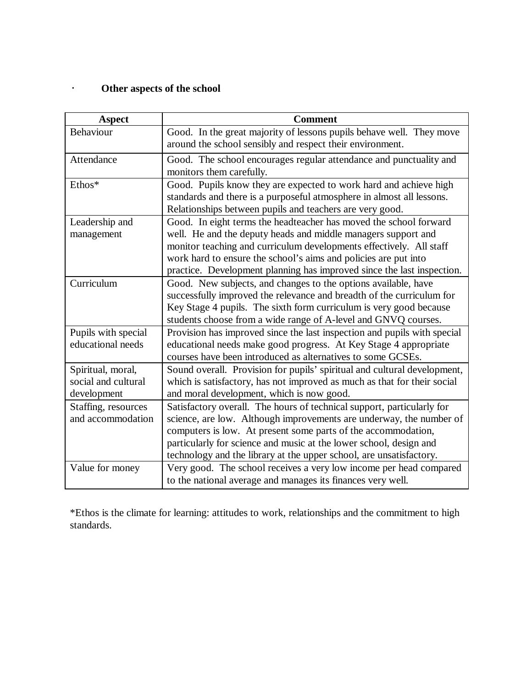# · **Other aspects of the school**

| Aspect                                                  | <b>Comment</b>                                                                                                                                                                                                                                                                                                                                              |  |  |
|---------------------------------------------------------|-------------------------------------------------------------------------------------------------------------------------------------------------------------------------------------------------------------------------------------------------------------------------------------------------------------------------------------------------------------|--|--|
| Behaviour                                               | Good. In the great majority of lessons pupils behave well. They move<br>around the school sensibly and respect their environment.                                                                                                                                                                                                                           |  |  |
| Attendance                                              | Good. The school encourages regular attendance and punctuality and<br>monitors them carefully.                                                                                                                                                                                                                                                              |  |  |
| Ethos*                                                  | Good. Pupils know they are expected to work hard and achieve high<br>standards and there is a purposeful atmosphere in almost all lessons.<br>Relationships between pupils and teachers are very good.                                                                                                                                                      |  |  |
| Leadership and<br>management                            | Good. In eight terms the headteacher has moved the school forward<br>well. He and the deputy heads and middle managers support and<br>monitor teaching and curriculum developments effectively. All staff<br>work hard to ensure the school's aims and policies are put into<br>practice. Development planning has improved since the last inspection.      |  |  |
| Curriculum                                              | Good. New subjects, and changes to the options available, have<br>successfully improved the relevance and breadth of the curriculum for<br>Key Stage 4 pupils. The sixth form curriculum is very good because<br>students choose from a wide range of A-level and GNVQ courses.                                                                             |  |  |
| Pupils with special<br>educational needs                | Provision has improved since the last inspection and pupils with special<br>educational needs make good progress. At Key Stage 4 appropriate<br>courses have been introduced as alternatives to some GCSEs.                                                                                                                                                 |  |  |
| Spiritual, moral,<br>social and cultural<br>development | Sound overall. Provision for pupils' spiritual and cultural development,<br>which is satisfactory, has not improved as much as that for their social<br>and moral development, which is now good.                                                                                                                                                           |  |  |
| Staffing, resources<br>and accommodation                | Satisfactory overall. The hours of technical support, particularly for<br>science, are low. Although improvements are underway, the number of<br>computers is low. At present some parts of the accommodation,<br>particularly for science and music at the lower school, design and<br>technology and the library at the upper school, are unsatisfactory. |  |  |
| Value for money                                         | Very good. The school receives a very low income per head compared<br>to the national average and manages its finances very well.                                                                                                                                                                                                                           |  |  |

\*Ethos is the climate for learning: attitudes to work, relationships and the commitment to high standards.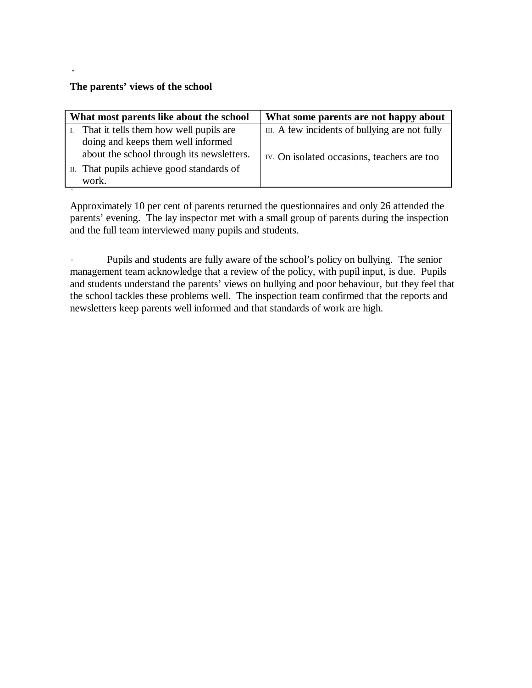### **The parents' views of the school**

·

| What most parents like about the school |                                           | What some parents are not happy about          |  |
|-----------------------------------------|-------------------------------------------|------------------------------------------------|--|
|                                         | I. That it tells them how well pupils are | III. A few incidents of bullying are not fully |  |
|                                         | doing and keeps them well informed        |                                                |  |
|                                         | about the school through its newsletters. | IV. On isolated occasions, teachers are too    |  |
|                                         | II. That pupils achieve good standards of |                                                |  |
|                                         | work.                                     |                                                |  |
|                                         |                                           |                                                |  |

Approximately 10 per cent of parents returned the questionnaires and only 26 attended the parents' evening. The lay inspector met with a small group of parents during the inspection and the full team interviewed many pupils and students.

· Pupils and students are fully aware of the school's policy on bullying. The senior management team acknowledge that a review of the policy, with pupil input, is due. Pupils and students understand the parents' views on bullying and poor behaviour, but they feel that the school tackles these problems well. The inspection team confirmed that the reports and newsletters keep parents well informed and that standards of work are high.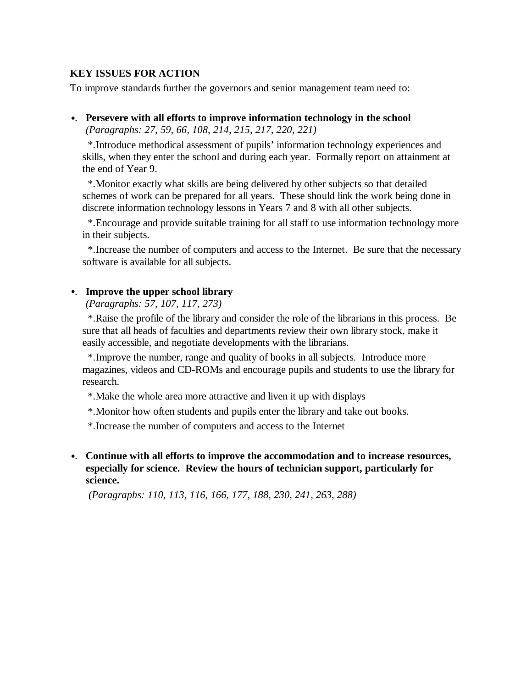### **KEY ISSUES FOR ACTION**

To improve standards further the governors and senior management team need to:

## •. **Persevere with all efforts to improve information technology in the school**

*(Paragraphs: 27, 59, 66, 108, 214, 215, 217, 220, 221)*

 \*.Introduce methodical assessment of pupils' information technology experiences and skills, when they enter the school and during each year. Formally report on attainment at the end of Year 9.

 \*.Monitor exactly what skills are being delivered by other subjects so that detailed schemes of work can be prepared for all years. These should link the work being done in discrete information technology lessons in Years 7 and 8 with all other subjects.

 \*.Encourage and provide suitable training for all staff to use information technology more in their subjects.

 \*.Increase the number of computers and access to the Internet. Be sure that the necessary software is available for all subjects.

### •. **Improve the upper school library**

*(Paragraphs: 57, 107, 117, 273)*

 \*.Raise the profile of the library and consider the role of the librarians in this process. Be sure that all heads of faculties and departments review their own library stock, make it easily accessible, and negotiate developments with the librarians.

 \*.Improve the number, range and quality of books in all subjects. Introduce more magazines, videos and CD-ROMs and encourage pupils and students to use the library for research.

\*.Make the whole area more attractive and liven it up with displays

\*.Monitor how often students and pupils enter the library and take out books.

\*.Increase the number of computers and access to the Internet

## •. **Continue with all efforts to improve the accommodation and to increase resources, especially for science. Review the hours of technician support, particularly for science.**

*(Paragraphs: 110, 113, 116, 166, 177, 188, 230, 241, 263, 288)*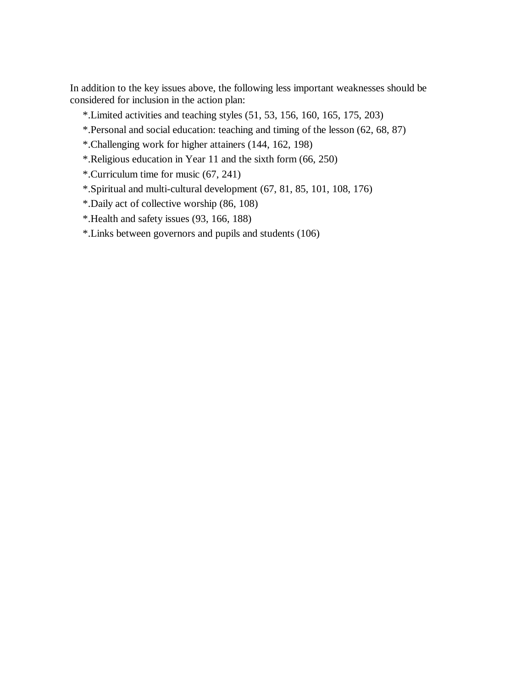In addition to the key issues above, the following less important weaknesses should be considered for inclusion in the action plan:

- \*.Limited activities and teaching styles (51, 53, 156, 160, 165, 175, 203)
- \*.Personal and social education: teaching and timing of the lesson (62, 68, 87)
- \*.Challenging work for higher attainers (144, 162, 198)
- \*.Religious education in Year 11 and the sixth form (66, 250)
- \*.Curriculum time for music (67, 241)
- \*.Spiritual and multi-cultural development (67, 81, 85, 101, 108, 176)
- \*.Daily act of collective worship (86, 108)
- \*.Health and safety issues (93, 166, 188)
- \*.Links between governors and pupils and students (106)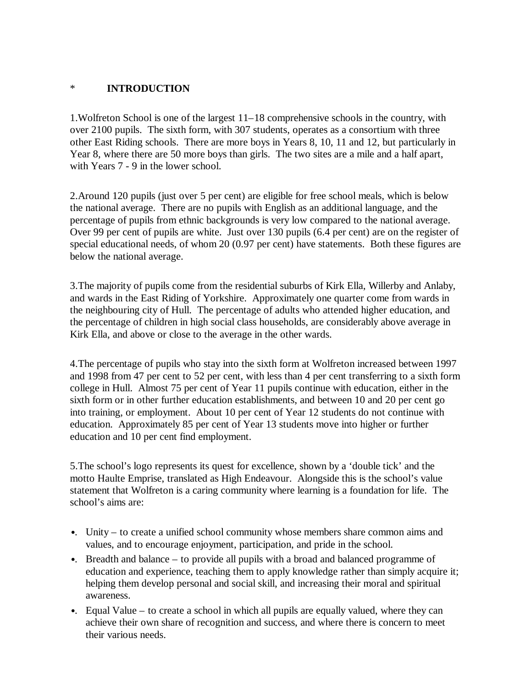## \* **INTRODUCTION**

1.Wolfreton School is one of the largest 11–18 comprehensive schools in the country, with over 2100 pupils. The sixth form, with 307 students, operates as a consortium with three other East Riding schools. There are more boys in Years 8, 10, 11 and 12, but particularly in Year 8, where there are 50 more boys than girls. The two sites are a mile and a half apart, with Years 7 - 9 in the lower school.

2.Around 120 pupils (just over 5 per cent) are eligible for free school meals, which is below the national average. There are no pupils with English as an additional language, and the percentage of pupils from ethnic backgrounds is very low compared to the national average. Over 99 per cent of pupils are white. Just over 130 pupils (6.4 per cent) are on the register of special educational needs, of whom 20 (0.97 per cent) have statements. Both these figures are below the national average.

3.The majority of pupils come from the residential suburbs of Kirk Ella, Willerby and Anlaby, and wards in the East Riding of Yorkshire. Approximately one quarter come from wards in the neighbouring city of Hull. The percentage of adults who attended higher education, and the percentage of children in high social class households, are considerably above average in Kirk Ella, and above or close to the average in the other wards.

4.The percentage of pupils who stay into the sixth form at Wolfreton increased between 1997 and 1998 from 47 per cent to 52 per cent, with less than 4 per cent transferring to a sixth form college in Hull. Almost 75 per cent of Year 11 pupils continue with education, either in the sixth form or in other further education establishments, and between 10 and 20 per cent go into training, or employment. About 10 per cent of Year 12 students do not continue with education. Approximately 85 per cent of Year 13 students move into higher or further education and 10 per cent find employment.

5.The school's logo represents its quest for excellence, shown by a 'double tick' and the motto Haulte Emprise, translated as High Endeavour. Alongside this is the school's value statement that Wolfreton is a caring community where learning is a foundation for life. The school's aims are:

- •. Unity to create a unified school community whose members share common aims and values, and to encourage enjoyment, participation, and pride in the school.
- •. Breadth and balance to provide all pupils with a broad and balanced programme of education and experience, teaching them to apply knowledge rather than simply acquire it; helping them develop personal and social skill, and increasing their moral and spiritual awareness.
- •. Equal Value to create a school in which all pupils are equally valued, where they can achieve their own share of recognition and success, and where there is concern to meet their various needs.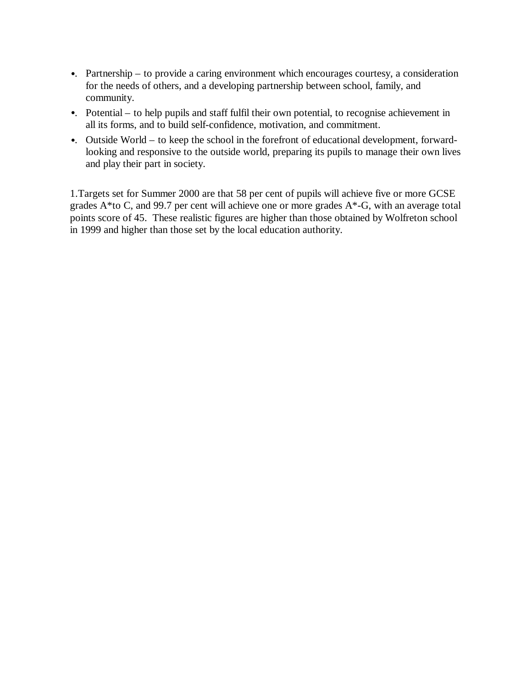- •. Partnership to provide a caring environment which encourages courtesy, a consideration for the needs of others, and a developing partnership between school, family, and community.
- •. Potential to help pupils and staff fulfil their own potential, to recognise achievement in all its forms, and to build self-confidence, motivation, and commitment.
- •. Outside World to keep the school in the forefront of educational development, forwardlooking and responsive to the outside world, preparing its pupils to manage their own lives and play their part in society.

1.Targets set for Summer 2000 are that 58 per cent of pupils will achieve five or more GCSE grades A\*to C, and 99.7 per cent will achieve one or more grades A\*-G, with an average total points score of 45. These realistic figures are higher than those obtained by Wolfreton school in 1999 and higher than those set by the local education authority.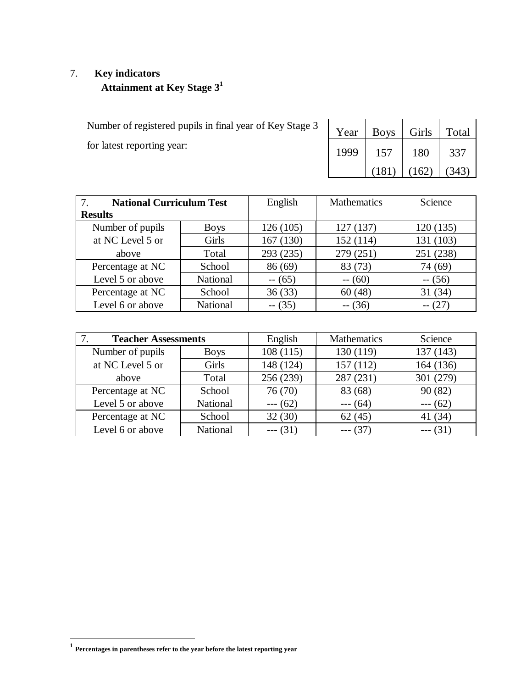# 7. **Key indicators Attainment at Key Stage 3<sup>1</sup>**

Number of registered pupils in final year of Key Stage 3 for latest reporting year:

| Year | <b>Boys</b> | Girls | Total |
|------|-------------|-------|-------|
| 1999 | 157         | 180   | 337   |
|      | (181)       | (162) | (343) |

| <b>National Curriculum Test</b><br>7. |             | English   | <b>Mathematics</b> | Science   |
|---------------------------------------|-------------|-----------|--------------------|-----------|
| <b>Results</b>                        |             |           |                    |           |
| Number of pupils                      | <b>Boys</b> | 126(105)  | 127(137)           | 120 (135) |
| at NC Level 5 or                      | Girls       | 167(130)  | 152 (114)          | 131 (103) |
| above                                 | Total       | 293 (235) | 279 (251)          | 251 (238) |
| Percentage at NC                      | School      | 86(69)    | 83 (73)            | 74 (69)   |
| Level 5 or above                      | National    | $-(65)$   | $- (60)$           | $- (56)$  |
| Percentage at NC                      | School      | 36(33)    | 60(48)             | 31(34)    |
| Level 6 or above                      | National    | -- (35)   | $- (36)$           | -- (27    |

| <b>Teacher Assessments</b> |             | English    | Mathematics | Science   |
|----------------------------|-------------|------------|-------------|-----------|
| Number of pupils           | <b>Boys</b> | 108(115)   | 130 (119)   | 137 (143) |
| at NC Level 5 or           | Girls       | 148 (124)  | 157 (112)   | 164 (136) |
| above                      | Total       | 256 (239)  | 287 (231)   | 301 (279) |
| Percentage at NC           | School      | 76 (70)    | 83 (68)     | 90(82)    |
| Level 5 or above           | National    | $-- (62)$  | $--- (64)$  | $-- (62)$ |
| Percentage at NC           | School      | 32(30)     | 62(45)      | 41 (34)   |
| Level 6 or above           | National    | $--- (31)$ | $-- (37)$   | $-- (31)$ |

 **1 Percentages in parentheses refer to the year before the latest reporting year**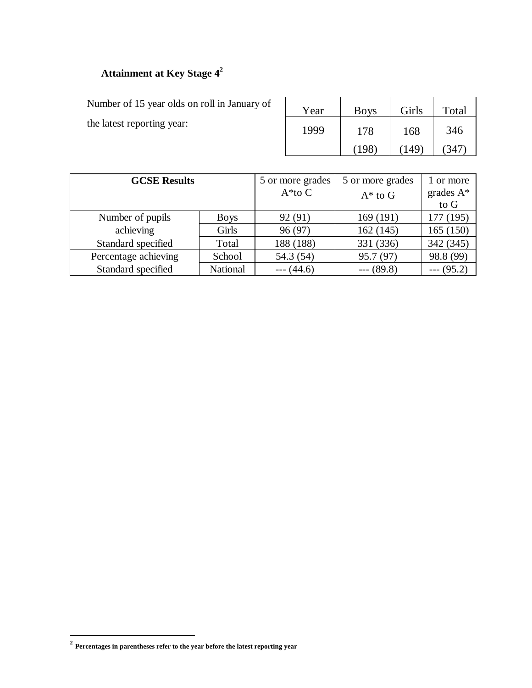# **Attainment at Key Stage 4<sup>2</sup>**

Number of 15 year olds on roll in January of

the latest reporting year:

| Year | <b>Boys</b> | Girls | Total |
|------|-------------|-------|-------|
| 1999 | 178         | 168   | 346   |
|      | 198         | (149) |       |

| <b>GCSE Results</b>  |             | 5 or more grades<br>$A^*$ to C | 5 or more grades<br>$A^*$ to $G$ | 1 or more<br>grades $A^*$<br>to G |
|----------------------|-------------|--------------------------------|----------------------------------|-----------------------------------|
| Number of pupils     | <b>Boys</b> | 92 (91)                        | 169(191)                         | 177 (195)                         |
| achieving            | Girls       | 96 (97)                        | 162(145)                         | 165(150)                          |
| Standard specified   | Total       | 188 (188)                      | 331 (336)                        | 342 (345)                         |
| Percentage achieving | School      | 54.3 (54)                      | 95.7 (97)                        | 98.8 (99)                         |
| Standard specified   | National    | $--- (44.6)$                   | $-- (89.8)$                      | $-- (95.2)$                       |

 **2 Percentages in parentheses refer to the year before the latest reporting year**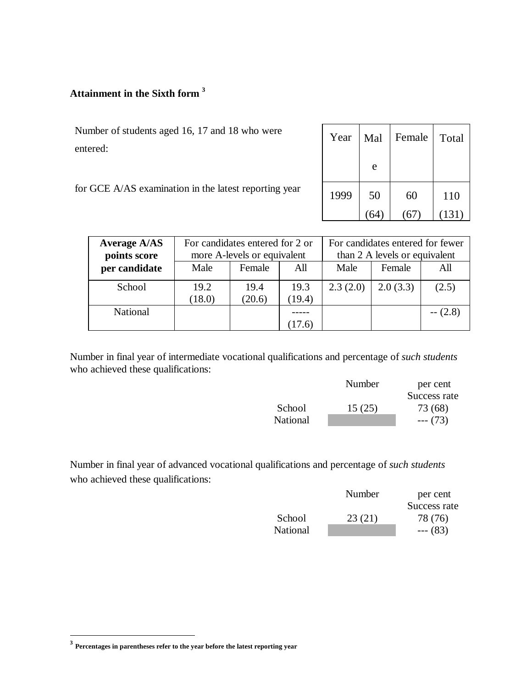# **Attainment in the Sixth form <sup>3</sup>**

| Number of students aged 16, 17 and 18 who were        | Year | Mal | Female | Total |
|-------------------------------------------------------|------|-----|--------|-------|
| entered:                                              |      |     |        |       |
|                                                       |      | e   |        |       |
| for GCE A/AS examination in the latest reporting year | 1999 | 50  | 60     | 110   |
|                                                       |      | 64  |        |       |

| <b>Average A/AS</b><br>points score | For candidates entered for 2 or<br>more A-levels or equivalent |                |                |          | For candidates entered for fewer<br>than 2 A levels or equivalent |           |
|-------------------------------------|----------------------------------------------------------------|----------------|----------------|----------|-------------------------------------------------------------------|-----------|
| per candidate                       | Male                                                           | Female         | All            | Male     | Female                                                            | All       |
| School                              | 19.2<br>(18.0)                                                 | 19.4<br>(20.6) | 19.3<br>(19.4) | 2.3(2.0) | 2.0(3.3)                                                          | (2.5)     |
| <b>National</b>                     |                                                                |                | (17.6)         |          |                                                                   | $- (2.8)$ |

Number in final year of intermediate vocational qualifications and percentage of *such students* who achieved these qualifications:

|          | Number | per cent     |
|----------|--------|--------------|
|          |        | Success rate |
| School   | 15(25) | 73 (68)      |
| National |        | $--- (73)$   |

Number in final year of advanced vocational qualifications and percentage of *such students* who achieved these qualifications:

|          | Number | per cent     |
|----------|--------|--------------|
|          |        | Success rate |
| School   | 23(21) | 78 (76)      |
| National |        | $--- (83)$   |

 **3 Percentages in parentheses refer to the year before the latest reporting year**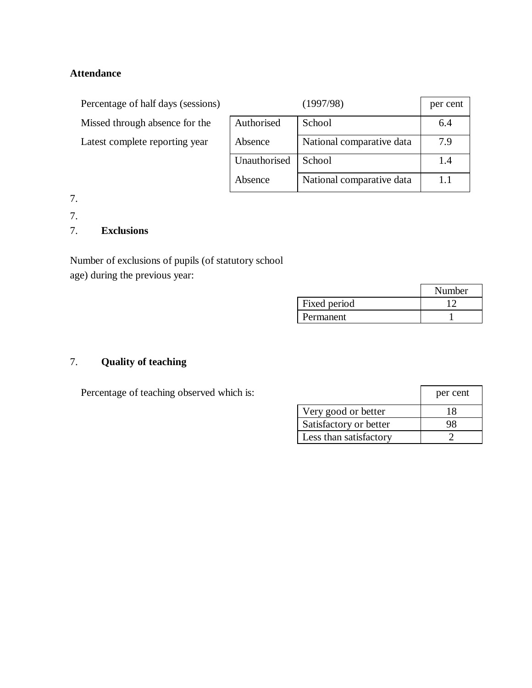## **Attendance**

| Percentage of half days (sessions) |              | (1997/98)                 | per cent |
|------------------------------------|--------------|---------------------------|----------|
| Missed through absence for the     | Authorised   | School                    | 6.4      |
| Latest complete reporting year     | Absence      | National comparative data | 7.9      |
|                                    | Unauthorised | School                    | 1.4      |
|                                    | Absence      | National comparative data | 1.1      |

7.

7.

## 7. **Exclusions**

Number of exclusions of pupils (of statutory school age) during the previous year:

|              | Number |
|--------------|--------|
| Fixed period |        |
| Permanent    |        |

# 7. **Quality of teaching**

Percentage of teaching observed which is:

|                        | per cent |
|------------------------|----------|
| Very good or better    | 18       |
| Satisfactory or better |          |
| Less than satisfactory |          |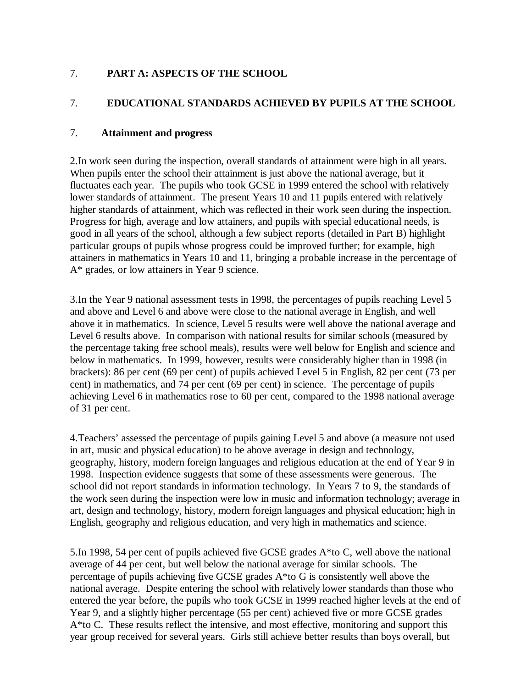## 7. **PART A: ASPECTS OF THE SCHOOL**

## 7. **EDUCATIONAL STANDARDS ACHIEVED BY PUPILS AT THE SCHOOL**

## 7. **Attainment and progress**

2.In work seen during the inspection, overall standards of attainment were high in all years. When pupils enter the school their attainment is just above the national average, but it fluctuates each year. The pupils who took GCSE in 1999 entered the school with relatively lower standards of attainment. The present Years 10 and 11 pupils entered with relatively higher standards of attainment, which was reflected in their work seen during the inspection. Progress for high, average and low attainers, and pupils with special educational needs, is good in all years of the school, although a few subject reports (detailed in Part B) highlight particular groups of pupils whose progress could be improved further; for example, high attainers in mathematics in Years 10 and 11, bringing a probable increase in the percentage of A\* grades, or low attainers in Year 9 science.

3.In the Year 9 national assessment tests in 1998, the percentages of pupils reaching Level 5 and above and Level 6 and above were close to the national average in English, and well above it in mathematics. In science, Level 5 results were well above the national average and Level 6 results above. In comparison with national results for similar schools (measured by the percentage taking free school meals), results were well below for English and science and below in mathematics. In 1999, however, results were considerably higher than in 1998 (in brackets): 86 per cent (69 per cent) of pupils achieved Level 5 in English, 82 per cent (73 per cent) in mathematics, and 74 per cent (69 per cent) in science. The percentage of pupils achieving Level 6 in mathematics rose to 60 per cent, compared to the 1998 national average of 31 per cent.

4.Teachers' assessed the percentage of pupils gaining Level 5 and above (a measure not used in art, music and physical education) to be above average in design and technology, geography, history, modern foreign languages and religious education at the end of Year 9 in 1998. Inspection evidence suggests that some of these assessments were generous. The school did not report standards in information technology. In Years 7 to 9, the standards of the work seen during the inspection were low in music and information technology; average in art, design and technology, history, modern foreign languages and physical education; high in English, geography and religious education, and very high in mathematics and science.

5.In 1998, 54 per cent of pupils achieved five GCSE grades A\*to C, well above the national average of 44 per cent, but well below the national average for similar schools. The percentage of pupils achieving five GCSE grades A\*to G is consistently well above the national average. Despite entering the school with relatively lower standards than those who entered the year before, the pupils who took GCSE in 1999 reached higher levels at the end of Year 9, and a slightly higher percentage (55 per cent) achieved five or more GCSE grades A\*to C. These results reflect the intensive, and most effective, monitoring and support this year group received for several years. Girls still achieve better results than boys overall, but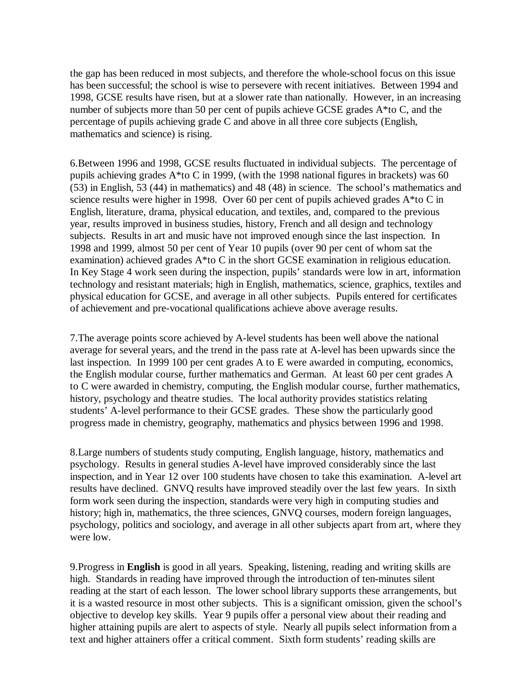the gap has been reduced in most subjects, and therefore the whole-school focus on this issue has been successful; the school is wise to persevere with recent initiatives. Between 1994 and 1998, GCSE results have risen, but at a slower rate than nationally. However, in an increasing number of subjects more than 50 per cent of pupils achieve GCSE grades A\*to C, and the percentage of pupils achieving grade C and above in all three core subjects (English, mathematics and science) is rising.

6.Between 1996 and 1998, GCSE results fluctuated in individual subjects. The percentage of pupils achieving grades A\*to C in 1999, (with the 1998 national figures in brackets) was 60 (53) in English, 53 (44) in mathematics) and 48 (48) in science. The school's mathematics and science results were higher in 1998. Over 60 per cent of pupils achieved grades A\*to C in English, literature, drama, physical education, and textiles, and, compared to the previous year, results improved in business studies, history, French and all design and technology subjects. Results in art and music have not improved enough since the last inspection. In 1998 and 1999, almost 50 per cent of Year 10 pupils (over 90 per cent of whom sat the examination) achieved grades A\*to C in the short GCSE examination in religious education. In Key Stage 4 work seen during the inspection, pupils' standards were low in art, information technology and resistant materials; high in English, mathematics, science, graphics, textiles and physical education for GCSE, and average in all other subjects. Pupils entered for certificates of achievement and pre-vocational qualifications achieve above average results.

7.The average points score achieved by A-level students has been well above the national average for several years, and the trend in the pass rate at A-level has been upwards since the last inspection. In 1999 100 per cent grades A to E were awarded in computing, economics, the English modular course, further mathematics and German. At least 60 per cent grades A to C were awarded in chemistry, computing, the English modular course, further mathematics, history, psychology and theatre studies. The local authority provides statistics relating students' A-level performance to their GCSE grades. These show the particularly good progress made in chemistry, geography, mathematics and physics between 1996 and 1998.

8.Large numbers of students study computing, English language, history, mathematics and psychology. Results in general studies A-level have improved considerably since the last inspection, and in Year 12 over 100 students have chosen to take this examination. A-level art results have declined. GNVQ results have improved steadily over the last few years. In sixth form work seen during the inspection, standards were very high in computing studies and history; high in, mathematics, the three sciences, GNVQ courses, modern foreign languages, psychology, politics and sociology, and average in all other subjects apart from art, where they were low.

9.Progress in **English** is good in all years. Speaking, listening, reading and writing skills are high. Standards in reading have improved through the introduction of ten-minutes silent reading at the start of each lesson. The lower school library supports these arrangements, but it is a wasted resource in most other subjects. This is a significant omission, given the school's objective to develop key skills. Year 9 pupils offer a personal view about their reading and higher attaining pupils are alert to aspects of style. Nearly all pupils select information from a text and higher attainers offer a critical comment. Sixth form students' reading skills are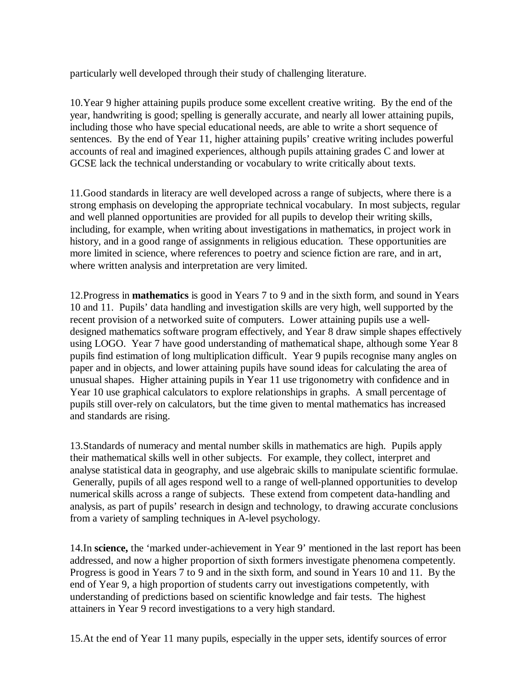particularly well developed through their study of challenging literature.

10.Year 9 higher attaining pupils produce some excellent creative writing. By the end of the year, handwriting is good; spelling is generally accurate, and nearly all lower attaining pupils, including those who have special educational needs, are able to write a short sequence of sentences. By the end of Year 11, higher attaining pupils' creative writing includes powerful accounts of real and imagined experiences, although pupils attaining grades C and lower at GCSE lack the technical understanding or vocabulary to write critically about texts.

11.Good standards in literacy are well developed across a range of subjects, where there is a strong emphasis on developing the appropriate technical vocabulary. In most subjects, regular and well planned opportunities are provided for all pupils to develop their writing skills, including, for example, when writing about investigations in mathematics, in project work in history, and in a good range of assignments in religious education. These opportunities are more limited in science, where references to poetry and science fiction are rare, and in art, where written analysis and interpretation are very limited.

12.Progress in **mathematics** is good in Years 7 to 9 and in the sixth form, and sound in Years 10 and 11. Pupils' data handling and investigation skills are very high, well supported by the recent provision of a networked suite of computers. Lower attaining pupils use a welldesigned mathematics software program effectively, and Year 8 draw simple shapes effectively using LOGO. Year 7 have good understanding of mathematical shape, although some Year 8 pupils find estimation of long multiplication difficult. Year 9 pupils recognise many angles on paper and in objects, and lower attaining pupils have sound ideas for calculating the area of unusual shapes. Higher attaining pupils in Year 11 use trigonometry with confidence and in Year 10 use graphical calculators to explore relationships in graphs. A small percentage of pupils still over-rely on calculators, but the time given to mental mathematics has increased and standards are rising.

13.Standards of numeracy and mental number skills in mathematics are high. Pupils apply their mathematical skills well in other subjects. For example, they collect, interpret and analyse statistical data in geography, and use algebraic skills to manipulate scientific formulae. Generally, pupils of all ages respond well to a range of well-planned opportunities to develop numerical skills across a range of subjects. These extend from competent data-handling and analysis, as part of pupils' research in design and technology, to drawing accurate conclusions from a variety of sampling techniques in A-level psychology.

14.In **science,** the 'marked under-achievement in Year 9' mentioned in the last report has been addressed, and now a higher proportion of sixth formers investigate phenomena competently. Progress is good in Years 7 to 9 and in the sixth form, and sound in Years 10 and 11. By the end of Year 9, a high proportion of students carry out investigations competently, with understanding of predictions based on scientific knowledge and fair tests. The highest attainers in Year 9 record investigations to a very high standard.

15.At the end of Year 11 many pupils, especially in the upper sets, identify sources of error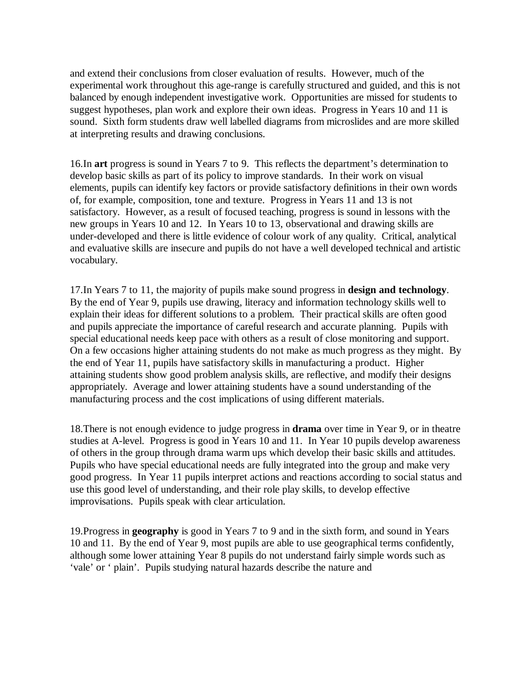and extend their conclusions from closer evaluation of results. However, much of the experimental work throughout this age-range is carefully structured and guided, and this is not balanced by enough independent investigative work. Opportunities are missed for students to suggest hypotheses, plan work and explore their own ideas. Progress in Years 10 and 11 is sound. Sixth form students draw well labelled diagrams from microslides and are more skilled at interpreting results and drawing conclusions.

16.In **art** progress is sound in Years 7 to 9. This reflects the department's determination to develop basic skills as part of its policy to improve standards. In their work on visual elements, pupils can identify key factors or provide satisfactory definitions in their own words of, for example, composition, tone and texture. Progress in Years 11 and 13 is not satisfactory. However, as a result of focused teaching, progress is sound in lessons with the new groups in Years 10 and 12. In Years 10 to 13, observational and drawing skills are under-developed and there is little evidence of colour work of any quality. Critical, analytical and evaluative skills are insecure and pupils do not have a well developed technical and artistic vocabulary.

17.In Years 7 to 11, the majority of pupils make sound progress in **design and technology**. By the end of Year 9, pupils use drawing, literacy and information technology skills well to explain their ideas for different solutions to a problem. Their practical skills are often good and pupils appreciate the importance of careful research and accurate planning. Pupils with special educational needs keep pace with others as a result of close monitoring and support. On a few occasions higher attaining students do not make as much progress as they might. By the end of Year 11, pupils have satisfactory skills in manufacturing a product. Higher attaining students show good problem analysis skills, are reflective, and modify their designs appropriately. Average and lower attaining students have a sound understanding of the manufacturing process and the cost implications of using different materials.

18.There is not enough evidence to judge progress in **drama** over time in Year 9, or in theatre studies at A-level. Progress is good in Years 10 and 11. In Year 10 pupils develop awareness of others in the group through drama warm ups which develop their basic skills and attitudes. Pupils who have special educational needs are fully integrated into the group and make very good progress. In Year 11 pupils interpret actions and reactions according to social status and use this good level of understanding, and their role play skills, to develop effective improvisations. Pupils speak with clear articulation.

19.Progress in **geography** is good in Years 7 to 9 and in the sixth form, and sound in Years 10 and 11. By the end of Year 9, most pupils are able to use geographical terms confidently, although some lower attaining Year 8 pupils do not understand fairly simple words such as 'vale' or ' plain'. Pupils studying natural hazards describe the nature and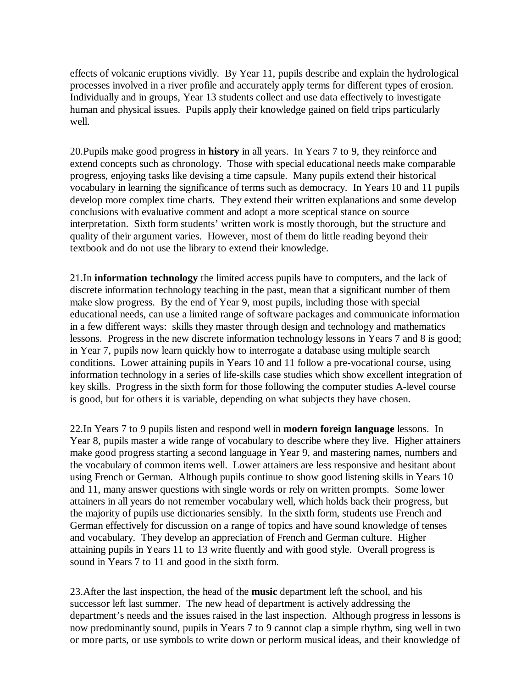effects of volcanic eruptions vividly. By Year 11, pupils describe and explain the hydrological processes involved in a river profile and accurately apply terms for different types of erosion. Individually and in groups, Year 13 students collect and use data effectively to investigate human and physical issues. Pupils apply their knowledge gained on field trips particularly well.

20.Pupils make good progress in **history** in all years. In Years 7 to 9, they reinforce and extend concepts such as chronology. Those with special educational needs make comparable progress, enjoying tasks like devising a time capsule. Many pupils extend their historical vocabulary in learning the significance of terms such as democracy. In Years 10 and 11 pupils develop more complex time charts. They extend their written explanations and some develop conclusions with evaluative comment and adopt a more sceptical stance on source interpretation. Sixth form students' written work is mostly thorough, but the structure and quality of their argument varies. However, most of them do little reading beyond their textbook and do not use the library to extend their knowledge.

21.In **information technology** the limited access pupils have to computers, and the lack of discrete information technology teaching in the past, mean that a significant number of them make slow progress. By the end of Year 9, most pupils, including those with special educational needs, can use a limited range of software packages and communicate information in a few different ways: skills they master through design and technology and mathematics lessons. Progress in the new discrete information technology lessons in Years 7 and 8 is good; in Year 7, pupils now learn quickly how to interrogate a database using multiple search conditions. Lower attaining pupils in Years 10 and 11 follow a pre-vocational course, using information technology in a series of life-skills case studies which show excellent integration of key skills. Progress in the sixth form for those following the computer studies A-level course is good, but for others it is variable, depending on what subjects they have chosen.

22.In Years 7 to 9 pupils listen and respond well in **modern foreign language** lessons. In Year 8, pupils master a wide range of vocabulary to describe where they live. Higher attainers make good progress starting a second language in Year 9, and mastering names, numbers and the vocabulary of common items well. Lower attainers are less responsive and hesitant about using French or German. Although pupils continue to show good listening skills in Years 10 and 11, many answer questions with single words or rely on written prompts. Some lower attainers in all years do not remember vocabulary well, which holds back their progress, but the majority of pupils use dictionaries sensibly. In the sixth form, students use French and German effectively for discussion on a range of topics and have sound knowledge of tenses and vocabulary. They develop an appreciation of French and German culture. Higher attaining pupils in Years 11 to 13 write fluently and with good style. Overall progress is sound in Years 7 to 11 and good in the sixth form.

23.After the last inspection, the head of the **music** department left the school, and his successor left last summer. The new head of department is actively addressing the department's needs and the issues raised in the last inspection. Although progress in lessons is now predominantly sound, pupils in Years 7 to 9 cannot clap a simple rhythm, sing well in two or more parts, or use symbols to write down or perform musical ideas, and their knowledge of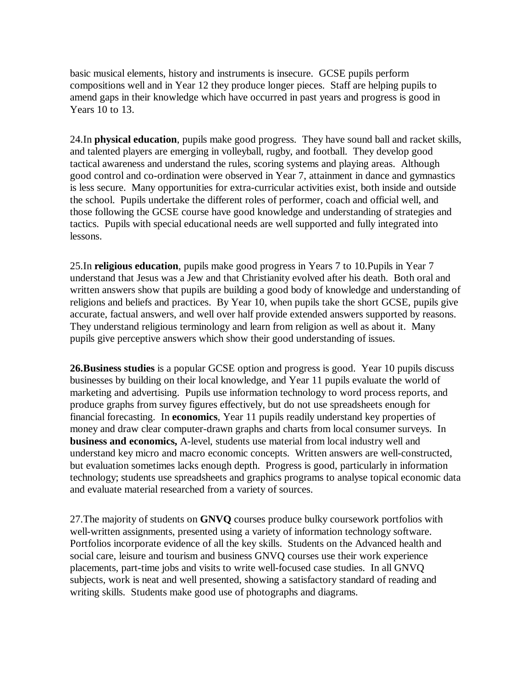basic musical elements, history and instruments is insecure. GCSE pupils perform compositions well and in Year 12 they produce longer pieces. Staff are helping pupils to amend gaps in their knowledge which have occurred in past years and progress is good in Years 10 to 13.

24.In **physical education**, pupils make good progress. They have sound ball and racket skills, and talented players are emerging in volleyball, rugby, and football. They develop good tactical awareness and understand the rules, scoring systems and playing areas. Although good control and co-ordination were observed in Year 7, attainment in dance and gymnastics is less secure. Many opportunities for extra-curricular activities exist, both inside and outside the school. Pupils undertake the different roles of performer, coach and official well, and those following the GCSE course have good knowledge and understanding of strategies and tactics. Pupils with special educational needs are well supported and fully integrated into lessons.

25.In **religious education**, pupils make good progress in Years 7 to 10.Pupils in Year 7 understand that Jesus was a Jew and that Christianity evolved after his death. Both oral and written answers show that pupils are building a good body of knowledge and understanding of religions and beliefs and practices. By Year 10, when pupils take the short GCSE, pupils give accurate, factual answers, and well over half provide extended answers supported by reasons. They understand religious terminology and learn from religion as well as about it. Many pupils give perceptive answers which show their good understanding of issues.

**26.Business studies** is a popular GCSE option and progress is good. Year 10 pupils discuss businesses by building on their local knowledge, and Year 11 pupils evaluate the world of marketing and advertising. Pupils use information technology to word process reports, and produce graphs from survey figures effectively, but do not use spreadsheets enough for financial forecasting. In **economics**, Year 11 pupils readily understand key properties of money and draw clear computer-drawn graphs and charts from local consumer surveys. In **business and economics,** A-level, students use material from local industry well and understand key micro and macro economic concepts. Written answers are well-constructed, but evaluation sometimes lacks enough depth. Progress is good, particularly in information technology; students use spreadsheets and graphics programs to analyse topical economic data and evaluate material researched from a variety of sources.

27.The majority of students on **GNVQ** courses produce bulky coursework portfolios with well-written assignments, presented using a variety of information technology software. Portfolios incorporate evidence of all the key skills. Students on the Advanced health and social care, leisure and tourism and business GNVQ courses use their work experience placements, part-time jobs and visits to write well-focused case studies. In all GNVQ subjects, work is neat and well presented, showing a satisfactory standard of reading and writing skills. Students make good use of photographs and diagrams.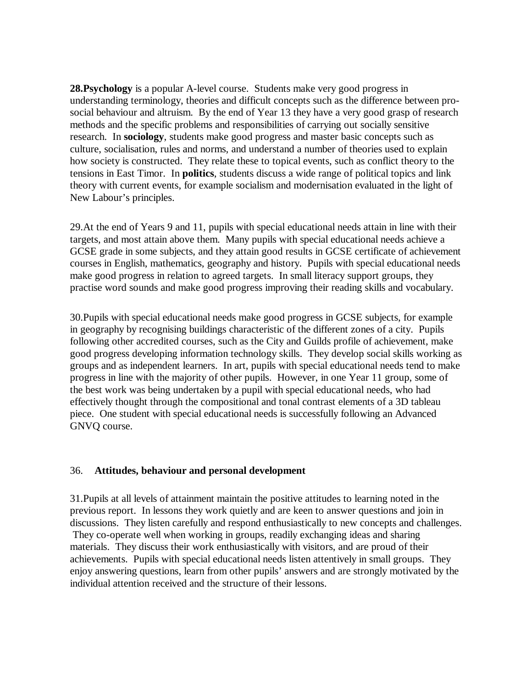**28.Psychology** is a popular A-level course. Students make very good progress in understanding terminology, theories and difficult concepts such as the difference between prosocial behaviour and altruism. By the end of Year 13 they have a very good grasp of research methods and the specific problems and responsibilities of carrying out socially sensitive research. In **sociology**, students make good progress and master basic concepts such as culture, socialisation, rules and norms, and understand a number of theories used to explain how society is constructed. They relate these to topical events, such as conflict theory to the tensions in East Timor. In **politics**, students discuss a wide range of political topics and link theory with current events, for example socialism and modernisation evaluated in the light of New Labour's principles.

29.At the end of Years 9 and 11, pupils with special educational needs attain in line with their targets, and most attain above them. Many pupils with special educational needs achieve a GCSE grade in some subjects, and they attain good results in GCSE certificate of achievement courses in English, mathematics, geography and history. Pupils with special educational needs make good progress in relation to agreed targets. In small literacy support groups, they practise word sounds and make good progress improving their reading skills and vocabulary.

30.Pupils with special educational needs make good progress in GCSE subjects, for example in geography by recognising buildings characteristic of the different zones of a city. Pupils following other accredited courses, such as the City and Guilds profile of achievement, make good progress developing information technology skills. They develop social skills working as groups and as independent learners. In art, pupils with special educational needs tend to make progress in line with the majority of other pupils. However, in one Year 11 group, some of the best work was being undertaken by a pupil with special educational needs, who had effectively thought through the compositional and tonal contrast elements of a 3D tableau piece. One student with special educational needs is successfully following an Advanced GNVQ course.

### 36. **Attitudes, behaviour and personal development**

31.Pupils at all levels of attainment maintain the positive attitudes to learning noted in the previous report. In lessons they work quietly and are keen to answer questions and join in discussions. They listen carefully and respond enthusiastically to new concepts and challenges. They co-operate well when working in groups, readily exchanging ideas and sharing materials. They discuss their work enthusiastically with visitors, and are proud of their achievements. Pupils with special educational needs listen attentively in small groups. They enjoy answering questions, learn from other pupils' answers and are strongly motivated by the individual attention received and the structure of their lessons.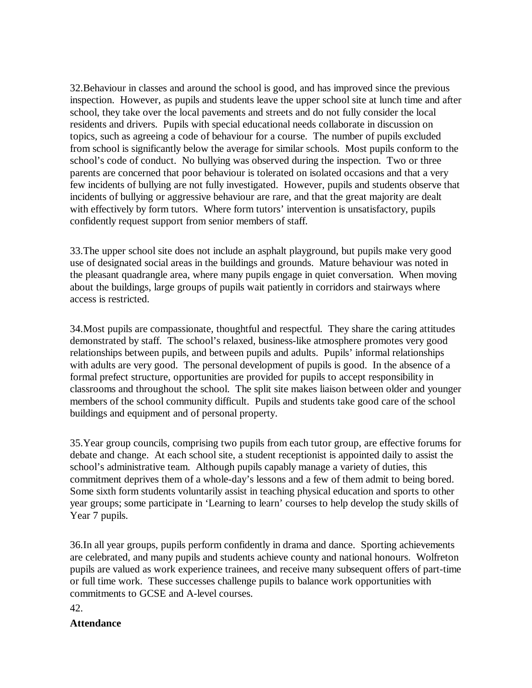32.Behaviour in classes and around the school is good, and has improved since the previous inspection. However, as pupils and students leave the upper school site at lunch time and after school, they take over the local pavements and streets and do not fully consider the local residents and drivers. Pupils with special educational needs collaborate in discussion on topics, such as agreeing a code of behaviour for a course. The number of pupils excluded from school is significantly below the average for similar schools. Most pupils conform to the school's code of conduct. No bullying was observed during the inspection. Two or three parents are concerned that poor behaviour is tolerated on isolated occasions and that a very few incidents of bullying are not fully investigated. However, pupils and students observe that incidents of bullying or aggressive behaviour are rare, and that the great majority are dealt with effectively by form tutors. Where form tutors' intervention is unsatisfactory, pupils confidently request support from senior members of staff.

33.The upper school site does not include an asphalt playground, but pupils make very good use of designated social areas in the buildings and grounds. Mature behaviour was noted in the pleasant quadrangle area, where many pupils engage in quiet conversation. When moving about the buildings, large groups of pupils wait patiently in corridors and stairways where access is restricted.

34.Most pupils are compassionate, thoughtful and respectful. They share the caring attitudes demonstrated by staff. The school's relaxed, business-like atmosphere promotes very good relationships between pupils, and between pupils and adults. Pupils' informal relationships with adults are very good. The personal development of pupils is good. In the absence of a formal prefect structure, opportunities are provided for pupils to accept responsibility in classrooms and throughout the school. The split site makes liaison between older and younger members of the school community difficult. Pupils and students take good care of the school buildings and equipment and of personal property.

35.Year group councils, comprising two pupils from each tutor group, are effective forums for debate and change. At each school site, a student receptionist is appointed daily to assist the school's administrative team. Although pupils capably manage a variety of duties, this commitment deprives them of a whole-day's lessons and a few of them admit to being bored. Some sixth form students voluntarily assist in teaching physical education and sports to other year groups; some participate in 'Learning to learn' courses to help develop the study skills of Year 7 pupils.

36.In all year groups, pupils perform confidently in drama and dance. Sporting achievements are celebrated, and many pupils and students achieve county and national honours. Wolfreton pupils are valued as work experience trainees, and receive many subsequent offers of part-time or full time work. These successes challenge pupils to balance work opportunities with commitments to GCSE and A-level courses.

42.

### **Attendance**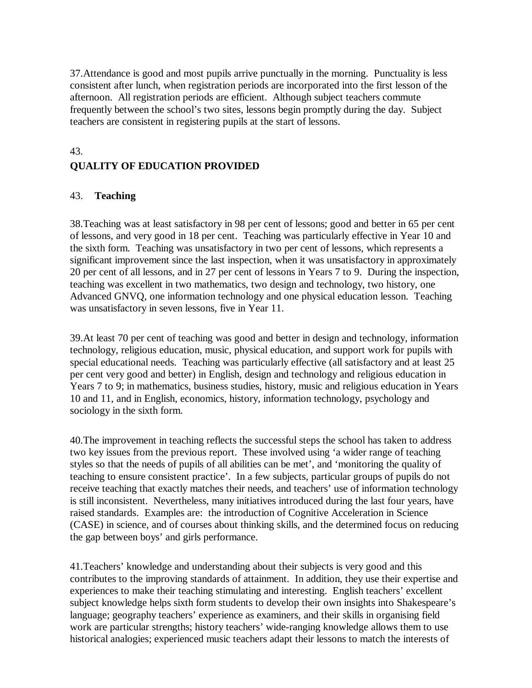37.Attendance is good and most pupils arrive punctually in the morning. Punctuality is less consistent after lunch, when registration periods are incorporated into the first lesson of the afternoon. All registration periods are efficient. Although subject teachers commute frequently between the school's two sites, lessons begin promptly during the day. Subject teachers are consistent in registering pupils at the start of lessons.

#### 43.

## **QUALITY OF EDUCATION PROVIDED**

## 43. **Teaching**

38.Teaching was at least satisfactory in 98 per cent of lessons; good and better in 65 per cent of lessons, and very good in 18 per cent. Teaching was particularly effective in Year 10 and the sixth form. Teaching was unsatisfactory in two per cent of lessons, which represents a significant improvement since the last inspection, when it was unsatisfactory in approximately 20 per cent of all lessons, and in 27 per cent of lessons in Years 7 to 9. During the inspection, teaching was excellent in two mathematics, two design and technology, two history, one Advanced GNVQ, one information technology and one physical education lesson. Teaching was unsatisfactory in seven lessons, five in Year 11.

39.At least 70 per cent of teaching was good and better in design and technology, information technology, religious education, music, physical education, and support work for pupils with special educational needs. Teaching was particularly effective (all satisfactory and at least 25 per cent very good and better) in English, design and technology and religious education in Years 7 to 9; in mathematics, business studies, history, music and religious education in Years 10 and 11, and in English, economics, history, information technology, psychology and sociology in the sixth form.

40.The improvement in teaching reflects the successful steps the school has taken to address two key issues from the previous report. These involved using 'a wider range of teaching styles so that the needs of pupils of all abilities can be met', and 'monitoring the quality of teaching to ensure consistent practice'. In a few subjects, particular groups of pupils do not receive teaching that exactly matches their needs, and teachers' use of information technology is still inconsistent. Nevertheless, many initiatives introduced during the last four years, have raised standards. Examples are: the introduction of Cognitive Acceleration in Science (CASE) in science, and of courses about thinking skills, and the determined focus on reducing the gap between boys' and girls performance.

41.Teachers' knowledge and understanding about their subjects is very good and this contributes to the improving standards of attainment. In addition, they use their expertise and experiences to make their teaching stimulating and interesting. English teachers' excellent subject knowledge helps sixth form students to develop their own insights into Shakespeare's language; geography teachers' experience as examiners, and their skills in organising field work are particular strengths; history teachers' wide-ranging knowledge allows them to use historical analogies; experienced music teachers adapt their lessons to match the interests of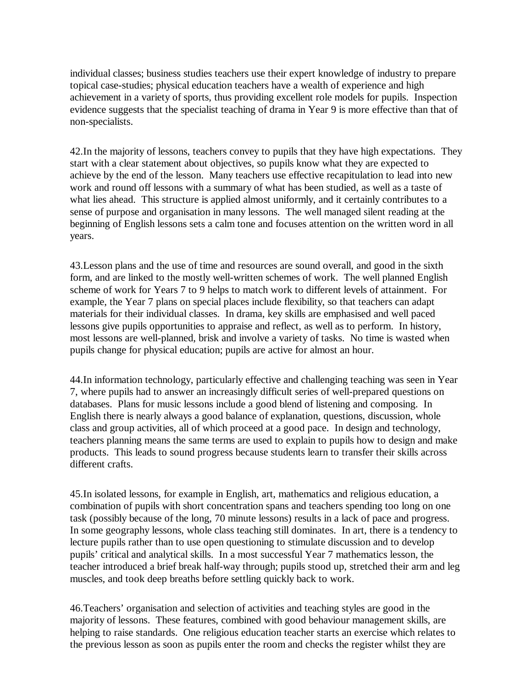individual classes; business studies teachers use their expert knowledge of industry to prepare topical case-studies; physical education teachers have a wealth of experience and high achievement in a variety of sports, thus providing excellent role models for pupils. Inspection evidence suggests that the specialist teaching of drama in Year 9 is more effective than that of non-specialists.

42.In the majority of lessons, teachers convey to pupils that they have high expectations. They start with a clear statement about objectives, so pupils know what they are expected to achieve by the end of the lesson. Many teachers use effective recapitulation to lead into new work and round off lessons with a summary of what has been studied, as well as a taste of what lies ahead. This structure is applied almost uniformly, and it certainly contributes to a sense of purpose and organisation in many lessons. The well managed silent reading at the beginning of English lessons sets a calm tone and focuses attention on the written word in all years.

43.Lesson plans and the use of time and resources are sound overall, and good in the sixth form, and are linked to the mostly well-written schemes of work. The well planned English scheme of work for Years 7 to 9 helps to match work to different levels of attainment. For example, the Year 7 plans on special places include flexibility, so that teachers can adapt materials for their individual classes. In drama, key skills are emphasised and well paced lessons give pupils opportunities to appraise and reflect, as well as to perform. In history, most lessons are well-planned, brisk and involve a variety of tasks. No time is wasted when pupils change for physical education; pupils are active for almost an hour.

44.In information technology, particularly effective and challenging teaching was seen in Year 7, where pupils had to answer an increasingly difficult series of well-prepared questions on databases. Plans for music lessons include a good blend of listening and composing. In English there is nearly always a good balance of explanation, questions, discussion, whole class and group activities, all of which proceed at a good pace. In design and technology, teachers planning means the same terms are used to explain to pupils how to design and make products. This leads to sound progress because students learn to transfer their skills across different crafts.

45.In isolated lessons, for example in English, art, mathematics and religious education, a combination of pupils with short concentration spans and teachers spending too long on one task (possibly because of the long, 70 minute lessons) results in a lack of pace and progress. In some geography lessons, whole class teaching still dominates. In art, there is a tendency to lecture pupils rather than to use open questioning to stimulate discussion and to develop pupils' critical and analytical skills. In a most successful Year 7 mathematics lesson, the teacher introduced a brief break half-way through; pupils stood up, stretched their arm and leg muscles, and took deep breaths before settling quickly back to work.

46.Teachers' organisation and selection of activities and teaching styles are good in the majority of lessons. These features, combined with good behaviour management skills, are helping to raise standards. One religious education teacher starts an exercise which relates to the previous lesson as soon as pupils enter the room and checks the register whilst they are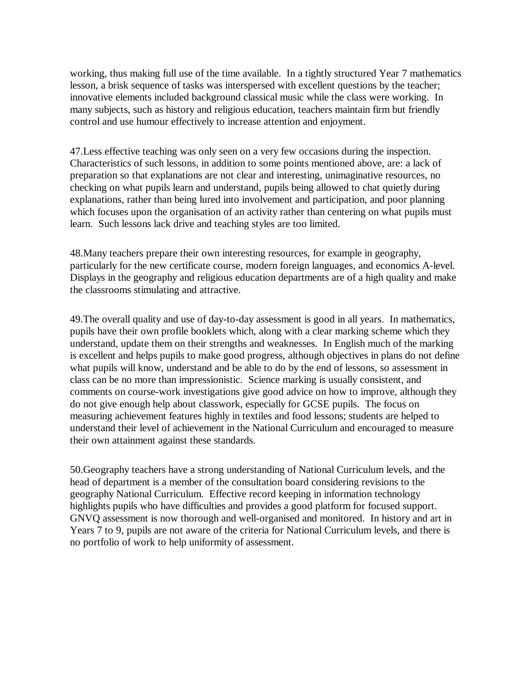working, thus making full use of the time available. In a tightly structured Year 7 mathematics lesson, a brisk sequence of tasks was interspersed with excellent questions by the teacher; innovative elements included background classical music while the class were working. In many subjects, such as history and religious education, teachers maintain firm but friendly control and use humour effectively to increase attention and enjoyment.

47.Less effective teaching was only seen on a very few occasions during the inspection. Characteristics of such lessons, in addition to some points mentioned above, are: a lack of preparation so that explanations are not clear and interesting, unimaginative resources, no checking on what pupils learn and understand, pupils being allowed to chat quietly during explanations, rather than being lured into involvement and participation, and poor planning which focuses upon the organisation of an activity rather than centering on what pupils must learn. Such lessons lack drive and teaching styles are too limited.

48.Many teachers prepare their own interesting resources, for example in geography, particularly for the new certificate course, modern foreign languages, and economics A-level. Displays in the geography and religious education departments are of a high quality and make the classrooms stimulating and attractive.

49.The overall quality and use of day-to-day assessment is good in all years. In mathematics, pupils have their own profile booklets which, along with a clear marking scheme which they understand, update them on their strengths and weaknesses. In English much of the marking is excellent and helps pupils to make good progress, although objectives in plans do not define what pupils will know, understand and be able to do by the end of lessons, so assessment in class can be no more than impressionistic. Science marking is usually consistent, and comments on course-work investigations give good advice on how to improve, although they do not give enough help about classwork, especially for GCSE pupils. The focus on measuring achievement features highly in textiles and food lessons; students are helped to understand their level of achievement in the National Curriculum and encouraged to measure their own attainment against these standards.

50.Geography teachers have a strong understanding of National Curriculum levels, and the head of department is a member of the consultation board considering revisions to the geography National Curriculum. Effective record keeping in information technology highlights pupils who have difficulties and provides a good platform for focused support. GNVQ assessment is now thorough and well-organised and monitored. In history and art in Years 7 to 9, pupils are not aware of the criteria for National Curriculum levels, and there is no portfolio of work to help uniformity of assessment.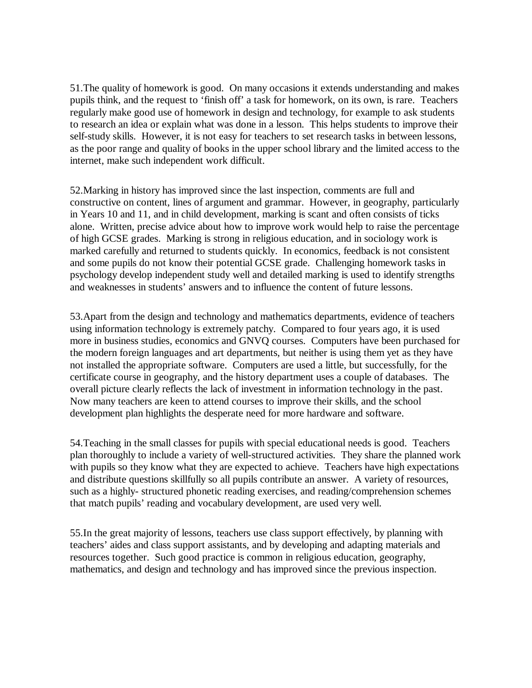51.The quality of homework is good. On many occasions it extends understanding and makes pupils think, and the request to 'finish off' a task for homework, on its own, is rare. Teachers regularly make good use of homework in design and technology, for example to ask students to research an idea or explain what was done in a lesson. This helps students to improve their self-study skills. However, it is not easy for teachers to set research tasks in between lessons, as the poor range and quality of books in the upper school library and the limited access to the internet, make such independent work difficult.

52.Marking in history has improved since the last inspection, comments are full and constructive on content, lines of argument and grammar. However, in geography, particularly in Years 10 and 11, and in child development, marking is scant and often consists of ticks alone. Written, precise advice about how to improve work would help to raise the percentage of high GCSE grades. Marking is strong in religious education, and in sociology work is marked carefully and returned to students quickly. In economics, feedback is not consistent and some pupils do not know their potential GCSE grade. Challenging homework tasks in psychology develop independent study well and detailed marking is used to identify strengths and weaknesses in students' answers and to influence the content of future lessons.

53.Apart from the design and technology and mathematics departments, evidence of teachers using information technology is extremely patchy. Compared to four years ago, it is used more in business studies, economics and GNVQ courses. Computers have been purchased for the modern foreign languages and art departments, but neither is using them yet as they have not installed the appropriate software. Computers are used a little, but successfully, for the certificate course in geography, and the history department uses a couple of databases. The overall picture clearly reflects the lack of investment in information technology in the past. Now many teachers are keen to attend courses to improve their skills, and the school development plan highlights the desperate need for more hardware and software.

54.Teaching in the small classes for pupils with special educational needs is good. Teachers plan thoroughly to include a variety of well-structured activities. They share the planned work with pupils so they know what they are expected to achieve. Teachers have high expectations and distribute questions skillfully so all pupils contribute an answer. A variety of resources, such as a highly- structured phonetic reading exercises, and reading/comprehension schemes that match pupils' reading and vocabulary development, are used very well.

55.In the great majority of lessons, teachers use class support effectively, by planning with teachers' aides and class support assistants, and by developing and adapting materials and resources together. Such good practice is common in religious education, geography, mathematics, and design and technology and has improved since the previous inspection.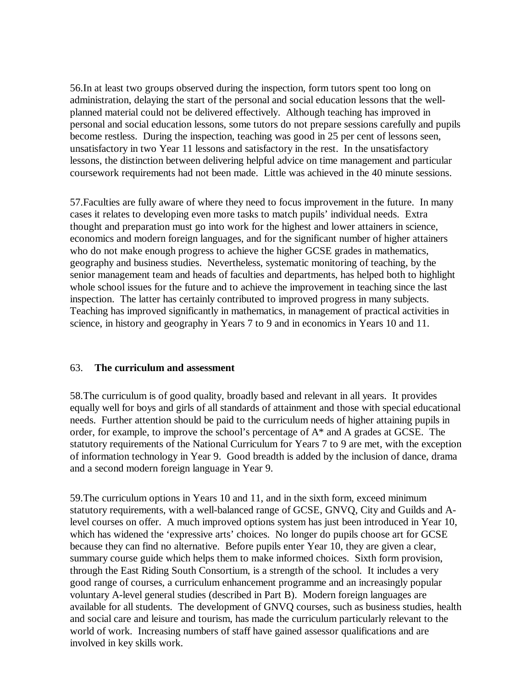56.In at least two groups observed during the inspection, form tutors spent too long on administration, delaying the start of the personal and social education lessons that the wellplanned material could not be delivered effectively. Although teaching has improved in personal and social education lessons, some tutors do not prepare sessions carefully and pupils become restless. During the inspection, teaching was good in 25 per cent of lessons seen, unsatisfactory in two Year 11 lessons and satisfactory in the rest. In the unsatisfactory lessons, the distinction between delivering helpful advice on time management and particular coursework requirements had not been made. Little was achieved in the 40 minute sessions.

57.Faculties are fully aware of where they need to focus improvement in the future. In many cases it relates to developing even more tasks to match pupils' individual needs. Extra thought and preparation must go into work for the highest and lower attainers in science, economics and modern foreign languages, and for the significant number of higher attainers who do not make enough progress to achieve the higher GCSE grades in mathematics, geography and business studies. Nevertheless, systematic monitoring of teaching, by the senior management team and heads of faculties and departments, has helped both to highlight whole school issues for the future and to achieve the improvement in teaching since the last inspection. The latter has certainly contributed to improved progress in many subjects. Teaching has improved significantly in mathematics, in management of practical activities in science, in history and geography in Years 7 to 9 and in economics in Years 10 and 11.

### 63. **The curriculum and assessment**

58.The curriculum is of good quality, broadly based and relevant in all years. It provides equally well for boys and girls of all standards of attainment and those with special educational needs. Further attention should be paid to the curriculum needs of higher attaining pupils in order, for example, to improve the school's percentage of A\* and A grades at GCSE. The statutory requirements of the National Curriculum for Years 7 to 9 are met, with the exception of information technology in Year 9. Good breadth is added by the inclusion of dance, drama and a second modern foreign language in Year 9.

59.The curriculum options in Years 10 and 11, and in the sixth form, exceed minimum statutory requirements, with a well-balanced range of GCSE, GNVQ, City and Guilds and Alevel courses on offer. A much improved options system has just been introduced in Year 10, which has widened the 'expressive arts' choices. No longer do pupils choose art for GCSE because they can find no alternative. Before pupils enter Year 10, they are given a clear, summary course guide which helps them to make informed choices. Sixth form provision, through the East Riding South Consortium, is a strength of the school. It includes a very good range of courses, a curriculum enhancement programme and an increasingly popular voluntary A-level general studies (described in Part B). Modern foreign languages are available for all students. The development of GNVQ courses, such as business studies, health and social care and leisure and tourism, has made the curriculum particularly relevant to the world of work. Increasing numbers of staff have gained assessor qualifications and are involved in key skills work.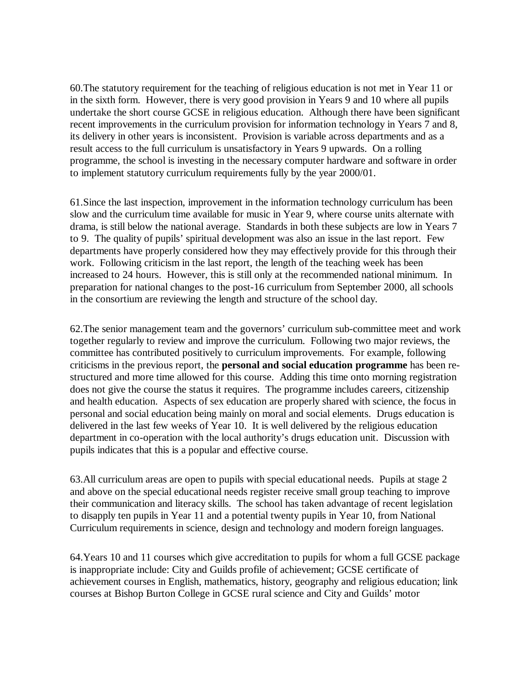60.The statutory requirement for the teaching of religious education is not met in Year 11 or in the sixth form. However, there is very good provision in Years 9 and 10 where all pupils undertake the short course GCSE in religious education. Although there have been significant recent improvements in the curriculum provision for information technology in Years 7 and 8, its delivery in other years is inconsistent. Provision is variable across departments and as a result access to the full curriculum is unsatisfactory in Years 9 upwards. On a rolling programme, the school is investing in the necessary computer hardware and software in order to implement statutory curriculum requirements fully by the year 2000/01.

61.Since the last inspection, improvement in the information technology curriculum has been slow and the curriculum time available for music in Year 9, where course units alternate with drama, is still below the national average. Standards in both these subjects are low in Years 7 to 9. The quality of pupils' spiritual development was also an issue in the last report. Few departments have properly considered how they may effectively provide for this through their work. Following criticism in the last report, the length of the teaching week has been increased to 24 hours. However, this is still only at the recommended national minimum. In preparation for national changes to the post-16 curriculum from September 2000, all schools in the consortium are reviewing the length and structure of the school day.

62.The senior management team and the governors' curriculum sub-committee meet and work together regularly to review and improve the curriculum. Following two major reviews, the committee has contributed positively to curriculum improvements. For example, following criticisms in the previous report, the **personal and social education programme** has been restructured and more time allowed for this course. Adding this time onto morning registration does not give the course the status it requires. The programme includes careers, citizenship and health education. Aspects of sex education are properly shared with science, the focus in personal and social education being mainly on moral and social elements. Drugs education is delivered in the last few weeks of Year 10. It is well delivered by the religious education department in co-operation with the local authority's drugs education unit. Discussion with pupils indicates that this is a popular and effective course.

63.All curriculum areas are open to pupils with special educational needs. Pupils at stage 2 and above on the special educational needs register receive small group teaching to improve their communication and literacy skills. The school has taken advantage of recent legislation to disapply ten pupils in Year 11 and a potential twenty pupils in Year 10, from National Curriculum requirements in science, design and technology and modern foreign languages.

64.Years 10 and 11 courses which give accreditation to pupils for whom a full GCSE package is inappropriate include: City and Guilds profile of achievement; GCSE certificate of achievement courses in English, mathematics, history, geography and religious education; link courses at Bishop Burton College in GCSE rural science and City and Guilds' motor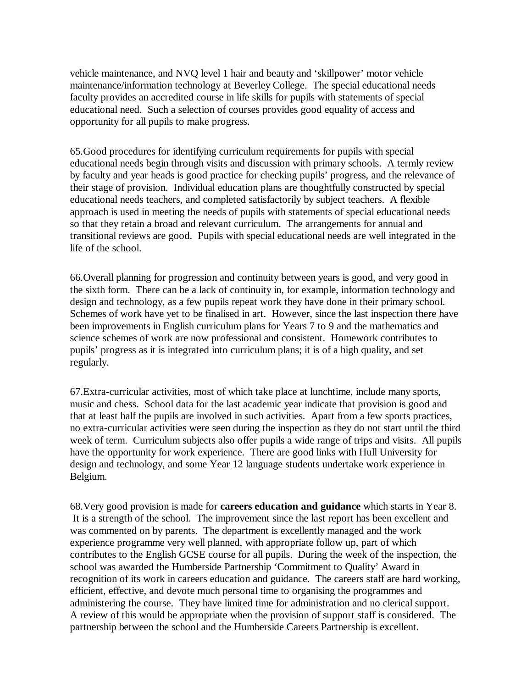vehicle maintenance, and NVQ level 1 hair and beauty and 'skillpower' motor vehicle maintenance/information technology at Beverley College. The special educational needs faculty provides an accredited course in life skills for pupils with statements of special educational need. Such a selection of courses provides good equality of access and opportunity for all pupils to make progress.

65.Good procedures for identifying curriculum requirements for pupils with special educational needs begin through visits and discussion with primary schools. A termly review by faculty and year heads is good practice for checking pupils' progress, and the relevance of their stage of provision. Individual education plans are thoughtfully constructed by special educational needs teachers, and completed satisfactorily by subject teachers. A flexible approach is used in meeting the needs of pupils with statements of special educational needs so that they retain a broad and relevant curriculum. The arrangements for annual and transitional reviews are good. Pupils with special educational needs are well integrated in the life of the school.

66.Overall planning for progression and continuity between years is good, and very good in the sixth form. There can be a lack of continuity in, for example, information technology and design and technology, as a few pupils repeat work they have done in their primary school. Schemes of work have yet to be finalised in art. However, since the last inspection there have been improvements in English curriculum plans for Years 7 to 9 and the mathematics and science schemes of work are now professional and consistent. Homework contributes to pupils' progress as it is integrated into curriculum plans; it is of a high quality, and set regularly.

67.Extra-curricular activities, most of which take place at lunchtime, include many sports, music and chess. School data for the last academic year indicate that provision is good and that at least half the pupils are involved in such activities. Apart from a few sports practices, no extra-curricular activities were seen during the inspection as they do not start until the third week of term. Curriculum subjects also offer pupils a wide range of trips and visits. All pupils have the opportunity for work experience. There are good links with Hull University for design and technology, and some Year 12 language students undertake work experience in Belgium.

68.Very good provision is made for **careers education and guidance** which starts in Year 8. It is a strength of the school. The improvement since the last report has been excellent and was commented on by parents. The department is excellently managed and the work experience programme very well planned, with appropriate follow up, part of which contributes to the English GCSE course for all pupils. During the week of the inspection, the school was awarded the Humberside Partnership 'Commitment to Quality' Award in recognition of its work in careers education and guidance. The careers staff are hard working, efficient, effective, and devote much personal time to organising the programmes and administering the course. They have limited time for administration and no clerical support. A review of this would be appropriate when the provision of support staff is considered. The partnership between the school and the Humberside Careers Partnership is excellent.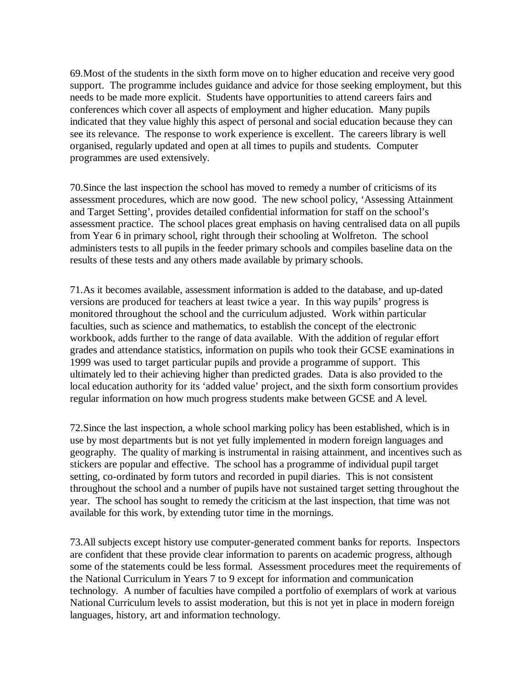69.Most of the students in the sixth form move on to higher education and receive very good support. The programme includes guidance and advice for those seeking employment, but this needs to be made more explicit. Students have opportunities to attend careers fairs and conferences which cover all aspects of employment and higher education. Many pupils indicated that they value highly this aspect of personal and social education because they can see its relevance. The response to work experience is excellent. The careers library is well organised, regularly updated and open at all times to pupils and students. Computer programmes are used extensively.

70.Since the last inspection the school has moved to remedy a number of criticisms of its assessment procedures, which are now good. The new school policy, 'Assessing Attainment and Target Setting', provides detailed confidential information for staff on the school's assessment practice. The school places great emphasis on having centralised data on all pupils from Year 6 in primary school, right through their schooling at Wolfreton. The school administers tests to all pupils in the feeder primary schools and compiles baseline data on the results of these tests and any others made available by primary schools.

71.As it becomes available, assessment information is added to the database, and up-dated versions are produced for teachers at least twice a year. In this way pupils' progress is monitored throughout the school and the curriculum adjusted. Work within particular faculties, such as science and mathematics, to establish the concept of the electronic workbook, adds further to the range of data available. With the addition of regular effort grades and attendance statistics, information on pupils who took their GCSE examinations in 1999 was used to target particular pupils and provide a programme of support. This ultimately led to their achieving higher than predicted grades. Data is also provided to the local education authority for its 'added value' project, and the sixth form consortium provides regular information on how much progress students make between GCSE and A level.

72.Since the last inspection, a whole school marking policy has been established, which is in use by most departments but is not yet fully implemented in modern foreign languages and geography. The quality of marking is instrumental in raising attainment, and incentives such as stickers are popular and effective. The school has a programme of individual pupil target setting, co-ordinated by form tutors and recorded in pupil diaries. This is not consistent throughout the school and a number of pupils have not sustained target setting throughout the year. The school has sought to remedy the criticism at the last inspection, that time was not available for this work, by extending tutor time in the mornings.

73.All subjects except history use computer-generated comment banks for reports. Inspectors are confident that these provide clear information to parents on academic progress, although some of the statements could be less formal. Assessment procedures meet the requirements of the National Curriculum in Years 7 to 9 except for information and communication technology. A number of faculties have compiled a portfolio of exemplars of work at various National Curriculum levels to assist moderation, but this is not yet in place in modern foreign languages, history, art and information technology.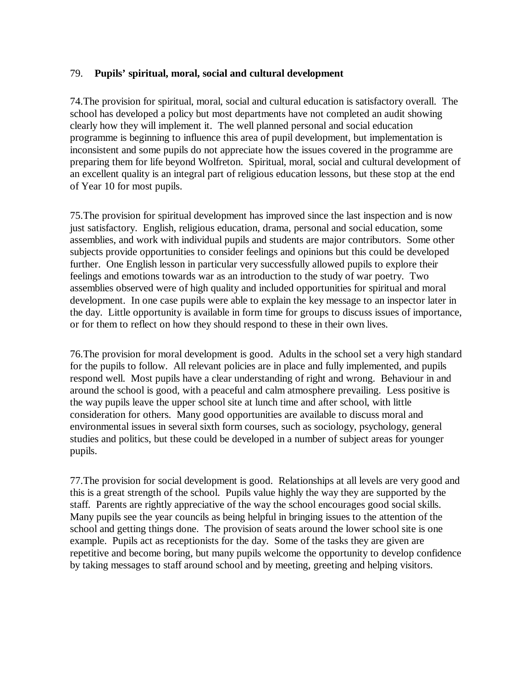# 79. **Pupils' spiritual, moral, social and cultural development**

74.The provision for spiritual, moral, social and cultural education is satisfactory overall. The school has developed a policy but most departments have not completed an audit showing clearly how they will implement it. The well planned personal and social education programme is beginning to influence this area of pupil development, but implementation is inconsistent and some pupils do not appreciate how the issues covered in the programme are preparing them for life beyond Wolfreton. Spiritual, moral, social and cultural development of an excellent quality is an integral part of religious education lessons, but these stop at the end of Year 10 for most pupils.

75.The provision for spiritual development has improved since the last inspection and is now just satisfactory. English, religious education, drama, personal and social education, some assemblies, and work with individual pupils and students are major contributors. Some other subjects provide opportunities to consider feelings and opinions but this could be developed further. One English lesson in particular very successfully allowed pupils to explore their feelings and emotions towards war as an introduction to the study of war poetry. Two assemblies observed were of high quality and included opportunities for spiritual and moral development. In one case pupils were able to explain the key message to an inspector later in the day. Little opportunity is available in form time for groups to discuss issues of importance, or for them to reflect on how they should respond to these in their own lives.

76.The provision for moral development is good. Adults in the school set a very high standard for the pupils to follow. All relevant policies are in place and fully implemented, and pupils respond well. Most pupils have a clear understanding of right and wrong. Behaviour in and around the school is good, with a peaceful and calm atmosphere prevailing. Less positive is the way pupils leave the upper school site at lunch time and after school, with little consideration for others. Many good opportunities are available to discuss moral and environmental issues in several sixth form courses, such as sociology, psychology, general studies and politics, but these could be developed in a number of subject areas for younger pupils.

77.The provision for social development is good. Relationships at all levels are very good and this is a great strength of the school. Pupils value highly the way they are supported by the staff. Parents are rightly appreciative of the way the school encourages good social skills. Many pupils see the year councils as being helpful in bringing issues to the attention of the school and getting things done. The provision of seats around the lower school site is one example. Pupils act as receptionists for the day. Some of the tasks they are given are repetitive and become boring, but many pupils welcome the opportunity to develop confidence by taking messages to staff around school and by meeting, greeting and helping visitors.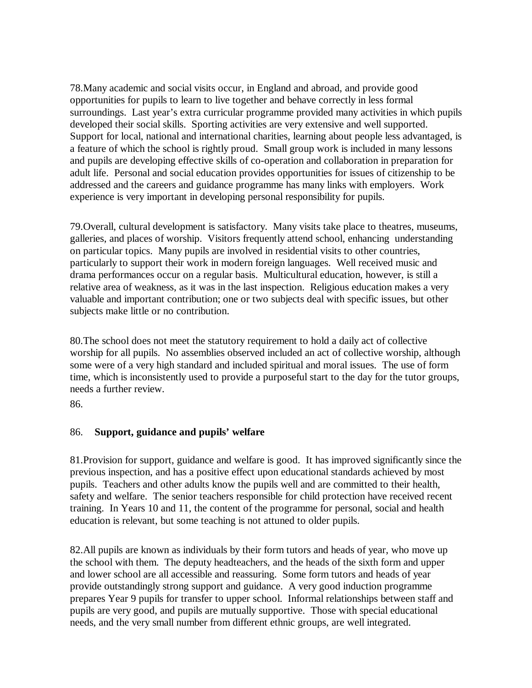78.Many academic and social visits occur, in England and abroad, and provide good opportunities for pupils to learn to live together and behave correctly in less formal surroundings. Last year's extra curricular programme provided many activities in which pupils developed their social skills. Sporting activities are very extensive and well supported. Support for local, national and international charities, learning about people less advantaged, is a feature of which the school is rightly proud. Small group work is included in many lessons and pupils are developing effective skills of co-operation and collaboration in preparation for adult life. Personal and social education provides opportunities for issues of citizenship to be addressed and the careers and guidance programme has many links with employers. Work experience is very important in developing personal responsibility for pupils.

79.Overall, cultural development is satisfactory. Many visits take place to theatres, museums, galleries, and places of worship. Visitors frequently attend school, enhancing understanding on particular topics. Many pupils are involved in residential visits to other countries, particularly to support their work in modern foreign languages. Well received music and drama performances occur on a regular basis. Multicultural education, however, is still a relative area of weakness, as it was in the last inspection. Religious education makes a very valuable and important contribution; one or two subjects deal with specific issues, but other subjects make little or no contribution.

80.The school does not meet the statutory requirement to hold a daily act of collective worship for all pupils. No assemblies observed included an act of collective worship, although some were of a very high standard and included spiritual and moral issues. The use of form time, which is inconsistently used to provide a purposeful start to the day for the tutor groups, needs a further review.

86.

# 86. **Support, guidance and pupils' welfare**

81.Provision for support, guidance and welfare is good. It has improved significantly since the previous inspection, and has a positive effect upon educational standards achieved by most pupils. Teachers and other adults know the pupils well and are committed to their health, safety and welfare. The senior teachers responsible for child protection have received recent training. In Years 10 and 11, the content of the programme for personal, social and health education is relevant, but some teaching is not attuned to older pupils.

82.All pupils are known as individuals by their form tutors and heads of year, who move up the school with them. The deputy headteachers, and the heads of the sixth form and upper and lower school are all accessible and reassuring. Some form tutors and heads of year provide outstandingly strong support and guidance. A very good induction programme prepares Year 9 pupils for transfer to upper school. Informal relationships between staff and pupils are very good, and pupils are mutually supportive. Those with special educational needs, and the very small number from different ethnic groups, are well integrated.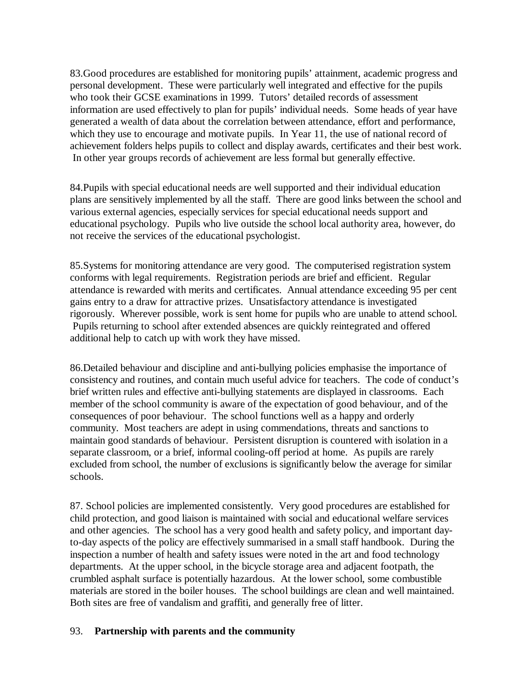83.Good procedures are established for monitoring pupils' attainment, academic progress and personal development. These were particularly well integrated and effective for the pupils who took their GCSE examinations in 1999. Tutors' detailed records of assessment information are used effectively to plan for pupils' individual needs. Some heads of year have generated a wealth of data about the correlation between attendance, effort and performance, which they use to encourage and motivate pupils. In Year 11, the use of national record of achievement folders helps pupils to collect and display awards, certificates and their best work. In other year groups records of achievement are less formal but generally effective.

84.Pupils with special educational needs are well supported and their individual education plans are sensitively implemented by all the staff. There are good links between the school and various external agencies, especially services for special educational needs support and educational psychology. Pupils who live outside the school local authority area, however, do not receive the services of the educational psychologist.

85.Systems for monitoring attendance are very good. The computerised registration system conforms with legal requirements. Registration periods are brief and efficient. Regular attendance is rewarded with merits and certificates. Annual attendance exceeding 95 per cent gains entry to a draw for attractive prizes. Unsatisfactory attendance is investigated rigorously. Wherever possible, work is sent home for pupils who are unable to attend school. Pupils returning to school after extended absences are quickly reintegrated and offered additional help to catch up with work they have missed.

86.Detailed behaviour and discipline and anti-bullying policies emphasise the importance of consistency and routines, and contain much useful advice for teachers. The code of conduct's brief written rules and effective anti-bullying statements are displayed in classrooms. Each member of the school community is aware of the expectation of good behaviour, and of the consequences of poor behaviour. The school functions well as a happy and orderly community. Most teachers are adept in using commendations, threats and sanctions to maintain good standards of behaviour. Persistent disruption is countered with isolation in a separate classroom, or a brief, informal cooling-off period at home. As pupils are rarely excluded from school, the number of exclusions is significantly below the average for similar schools.

87. School policies are implemented consistently. Very good procedures are established for child protection, and good liaison is maintained with social and educational welfare services and other agencies. The school has a very good health and safety policy, and important dayto-day aspects of the policy are effectively summarised in a small staff handbook. During the inspection a number of health and safety issues were noted in the art and food technology departments. At the upper school, in the bicycle storage area and adjacent footpath, the crumbled asphalt surface is potentially hazardous. At the lower school, some combustible materials are stored in the boiler houses. The school buildings are clean and well maintained. Both sites are free of vandalism and graffiti, and generally free of litter.

### 93. **Partnership with parents and the community**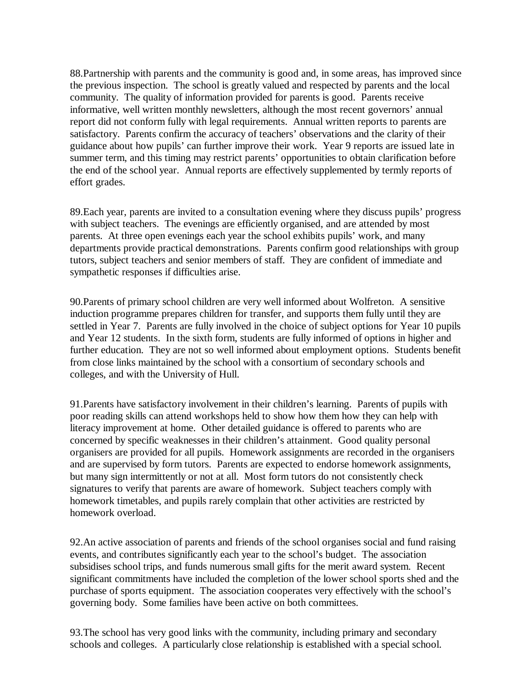88.Partnership with parents and the community is good and, in some areas, has improved since the previous inspection. The school is greatly valued and respected by parents and the local community. The quality of information provided for parents is good. Parents receive informative, well written monthly newsletters, although the most recent governors' annual report did not conform fully with legal requirements. Annual written reports to parents are satisfactory. Parents confirm the accuracy of teachers' observations and the clarity of their guidance about how pupils' can further improve their work. Year 9 reports are issued late in summer term, and this timing may restrict parents' opportunities to obtain clarification before the end of the school year. Annual reports are effectively supplemented by termly reports of effort grades.

89.Each year, parents are invited to a consultation evening where they discuss pupils' progress with subject teachers. The evenings are efficiently organised, and are attended by most parents. At three open evenings each year the school exhibits pupils' work, and many departments provide practical demonstrations. Parents confirm good relationships with group tutors, subject teachers and senior members of staff. They are confident of immediate and sympathetic responses if difficulties arise.

90.Parents of primary school children are very well informed about Wolfreton. A sensitive induction programme prepares children for transfer, and supports them fully until they are settled in Year 7. Parents are fully involved in the choice of subject options for Year 10 pupils and Year 12 students. In the sixth form, students are fully informed of options in higher and further education. They are not so well informed about employment options. Students benefit from close links maintained by the school with a consortium of secondary schools and colleges, and with the University of Hull.

91.Parents have satisfactory involvement in their children's learning. Parents of pupils with poor reading skills can attend workshops held to show how them how they can help with literacy improvement at home. Other detailed guidance is offered to parents who are concerned by specific weaknesses in their children's attainment. Good quality personal organisers are provided for all pupils. Homework assignments are recorded in the organisers and are supervised by form tutors. Parents are expected to endorse homework assignments, but many sign intermittently or not at all. Most form tutors do not consistently check signatures to verify that parents are aware of homework. Subject teachers comply with homework timetables, and pupils rarely complain that other activities are restricted by homework overload.

92.An active association of parents and friends of the school organises social and fund raising events, and contributes significantly each year to the school's budget. The association subsidises school trips, and funds numerous small gifts for the merit award system. Recent significant commitments have included the completion of the lower school sports shed and the purchase of sports equipment. The association cooperates very effectively with the school's governing body. Some families have been active on both committees.

93.The school has very good links with the community, including primary and secondary schools and colleges. A particularly close relationship is established with a special school.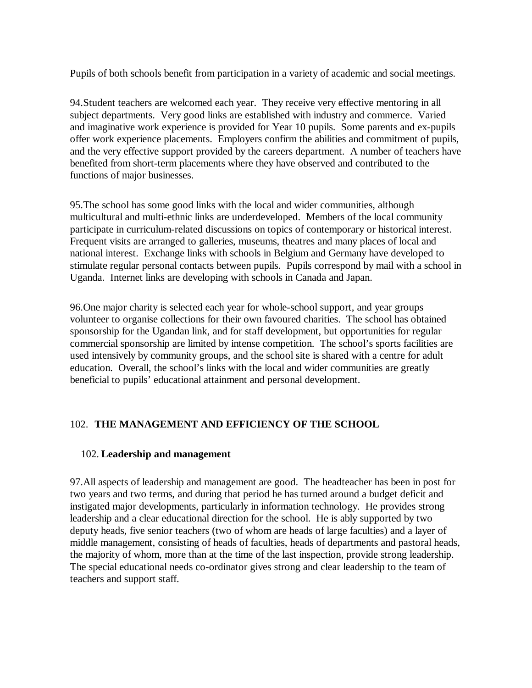Pupils of both schools benefit from participation in a variety of academic and social meetings.

94.Student teachers are welcomed each year. They receive very effective mentoring in all subject departments. Very good links are established with industry and commerce. Varied and imaginative work experience is provided for Year 10 pupils. Some parents and ex-pupils offer work experience placements. Employers confirm the abilities and commitment of pupils, and the very effective support provided by the careers department. A number of teachers have benefited from short-term placements where they have observed and contributed to the functions of major businesses.

95.The school has some good links with the local and wider communities, although multicultural and multi-ethnic links are underdeveloped. Members of the local community participate in curriculum-related discussions on topics of contemporary or historical interest. Frequent visits are arranged to galleries, museums, theatres and many places of local and national interest. Exchange links with schools in Belgium and Germany have developed to stimulate regular personal contacts between pupils. Pupils correspond by mail with a school in Uganda. Internet links are developing with schools in Canada and Japan.

96.One major charity is selected each year for whole-school support, and year groups volunteer to organise collections for their own favoured charities. The school has obtained sponsorship for the Ugandan link, and for staff development, but opportunities for regular commercial sponsorship are limited by intense competition. The school's sports facilities are used intensively by community groups, and the school site is shared with a centre for adult education. Overall, the school's links with the local and wider communities are greatly beneficial to pupils' educational attainment and personal development.

# 102. **THE MANAGEMENT AND EFFICIENCY OF THE SCHOOL**

### 102. **Leadership and management**

97.All aspects of leadership and management are good. The headteacher has been in post for two years and two terms, and during that period he has turned around a budget deficit and instigated major developments, particularly in information technology. He provides strong leadership and a clear educational direction for the school. He is ably supported by two deputy heads, five senior teachers (two of whom are heads of large faculties) and a layer of middle management, consisting of heads of faculties, heads of departments and pastoral heads, the majority of whom, more than at the time of the last inspection, provide strong leadership. The special educational needs co-ordinator gives strong and clear leadership to the team of teachers and support staff.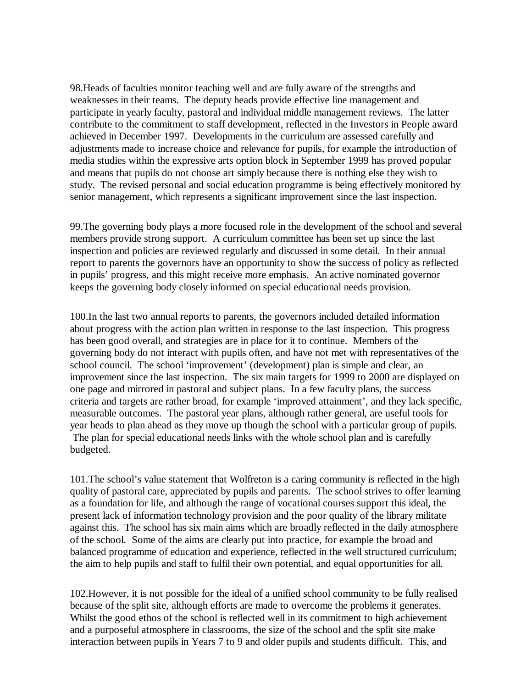98.Heads of faculties monitor teaching well and are fully aware of the strengths and weaknesses in their teams. The deputy heads provide effective line management and participate in yearly faculty, pastoral and individual middle management reviews. The latter contribute to the commitment to staff development, reflected in the Investors in People award achieved in December 1997. Developments in the curriculum are assessed carefully and adjustments made to increase choice and relevance for pupils, for example the introduction of media studies within the expressive arts option block in September 1999 has proved popular and means that pupils do not choose art simply because there is nothing else they wish to study. The revised personal and social education programme is being effectively monitored by senior management, which represents a significant improvement since the last inspection.

99.The governing body plays a more focused role in the development of the school and several members provide strong support. A curriculum committee has been set up since the last inspection and policies are reviewed regularly and discussed in some detail. In their annual report to parents the governors have an opportunity to show the success of policy as reflected in pupils' progress, and this might receive more emphasis. An active nominated governor keeps the governing body closely informed on special educational needs provision.

100.In the last two annual reports to parents, the governors included detailed information about progress with the action plan written in response to the last inspection. This progress has been good overall, and strategies are in place for it to continue. Members of the governing body do not interact with pupils often, and have not met with representatives of the school council. The school 'improvement' (development) plan is simple and clear, an improvement since the last inspection. The six main targets for 1999 to 2000 are displayed on one page and mirrored in pastoral and subject plans. In a few faculty plans, the success criteria and targets are rather broad, for example 'improved attainment', and they lack specific, measurable outcomes. The pastoral year plans, although rather general, are useful tools for year heads to plan ahead as they move up though the school with a particular group of pupils. The plan for special educational needs links with the whole school plan and is carefully budgeted.

101.The school's value statement that Wolfreton is a caring community is reflected in the high quality of pastoral care, appreciated by pupils and parents. The school strives to offer learning as a foundation for life, and although the range of vocational courses support this ideal, the present lack of information technology provision and the poor quality of the library militate against this. The school has six main aims which are broadly reflected in the daily atmosphere of the school. Some of the aims are clearly put into practice, for example the broad and balanced programme of education and experience, reflected in the well structured curriculum; the aim to help pupils and staff to fulfil their own potential, and equal opportunities for all.

102.However, it is not possible for the ideal of a unified school community to be fully realised because of the split site, although efforts are made to overcome the problems it generates. Whilst the good ethos of the school is reflected well in its commitment to high achievement and a purposeful atmosphere in classrooms, the size of the school and the split site make interaction between pupils in Years 7 to 9 and older pupils and students difficult. This, and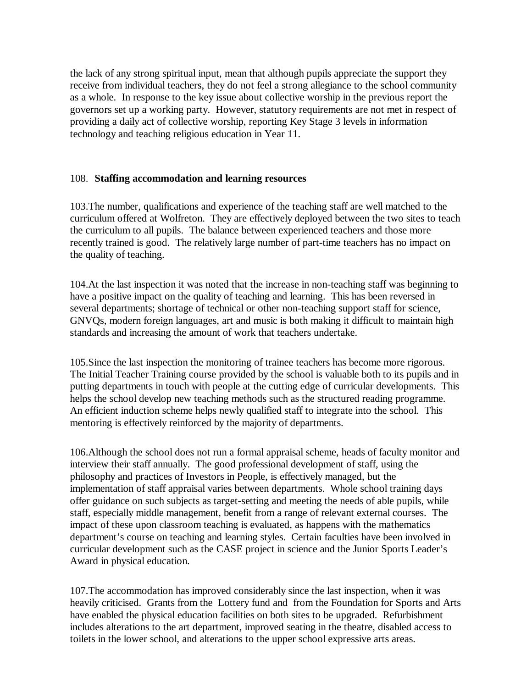the lack of any strong spiritual input, mean that although pupils appreciate the support they receive from individual teachers, they do not feel a strong allegiance to the school community as a whole. In response to the key issue about collective worship in the previous report the governors set up a working party. However, statutory requirements are not met in respect of providing a daily act of collective worship, reporting Key Stage 3 levels in information technology and teaching religious education in Year 11.

### 108. **Staffing accommodation and learning resources**

103.The number, qualifications and experience of the teaching staff are well matched to the curriculum offered at Wolfreton. They are effectively deployed between the two sites to teach the curriculum to all pupils. The balance between experienced teachers and those more recently trained is good. The relatively large number of part-time teachers has no impact on the quality of teaching.

104.At the last inspection it was noted that the increase in non-teaching staff was beginning to have a positive impact on the quality of teaching and learning. This has been reversed in several departments; shortage of technical or other non-teaching support staff for science, GNVQs, modern foreign languages, art and music is both making it difficult to maintain high standards and increasing the amount of work that teachers undertake.

105.Since the last inspection the monitoring of trainee teachers has become more rigorous. The Initial Teacher Training course provided by the school is valuable both to its pupils and in putting departments in touch with people at the cutting edge of curricular developments. This helps the school develop new teaching methods such as the structured reading programme. An efficient induction scheme helps newly qualified staff to integrate into the school. This mentoring is effectively reinforced by the majority of departments.

106.Although the school does not run a formal appraisal scheme, heads of faculty monitor and interview their staff annually. The good professional development of staff, using the philosophy and practices of Investors in People, is effectively managed, but the implementation of staff appraisal varies between departments. Whole school training days offer guidance on such subjects as target-setting and meeting the needs of able pupils, while staff, especially middle management, benefit from a range of relevant external courses. The impact of these upon classroom teaching is evaluated, as happens with the mathematics department's course on teaching and learning styles. Certain faculties have been involved in curricular development such as the CASE project in science and the Junior Sports Leader's Award in physical education.

107.The accommodation has improved considerably since the last inspection, when it was heavily criticised. Grants from the Lottery fund and from the Foundation for Sports and Arts have enabled the physical education facilities on both sites to be upgraded. Refurbishment includes alterations to the art department, improved seating in the theatre, disabled access to toilets in the lower school, and alterations to the upper school expressive arts areas.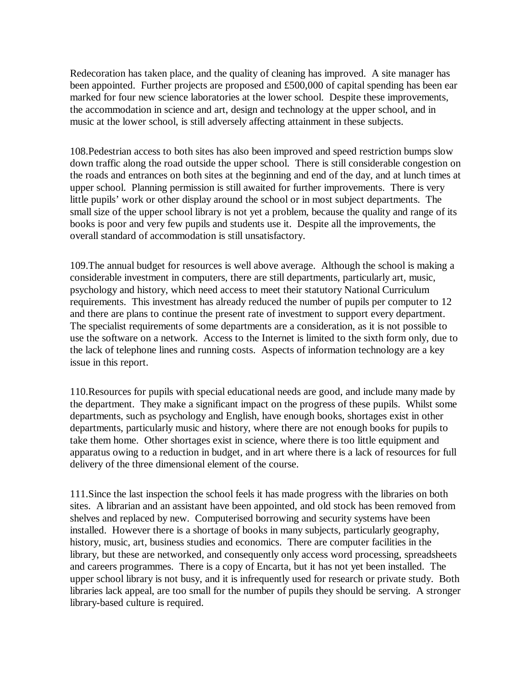Redecoration has taken place, and the quality of cleaning has improved. A site manager has been appointed. Further projects are proposed and £500,000 of capital spending has been ear marked for four new science laboratories at the lower school. Despite these improvements, the accommodation in science and art, design and technology at the upper school, and in music at the lower school, is still adversely affecting attainment in these subjects.

108.Pedestrian access to both sites has also been improved and speed restriction bumps slow down traffic along the road outside the upper school. There is still considerable congestion on the roads and entrances on both sites at the beginning and end of the day, and at lunch times at upper school. Planning permission is still awaited for further improvements. There is very little pupils' work or other display around the school or in most subject departments. The small size of the upper school library is not yet a problem, because the quality and range of its books is poor and very few pupils and students use it. Despite all the improvements, the overall standard of accommodation is still unsatisfactory.

109.The annual budget for resources is well above average. Although the school is making a considerable investment in computers, there are still departments, particularly art, music, psychology and history, which need access to meet their statutory National Curriculum requirements. This investment has already reduced the number of pupils per computer to 12 and there are plans to continue the present rate of investment to support every department. The specialist requirements of some departments are a consideration, as it is not possible to use the software on a network. Access to the Internet is limited to the sixth form only, due to the lack of telephone lines and running costs. Aspects of information technology are a key issue in this report.

110.Resources for pupils with special educational needs are good, and include many made by the department. They make a significant impact on the progress of these pupils. Whilst some departments, such as psychology and English, have enough books, shortages exist in other departments, particularly music and history, where there are not enough books for pupils to take them home. Other shortages exist in science, where there is too little equipment and apparatus owing to a reduction in budget, and in art where there is a lack of resources for full delivery of the three dimensional element of the course.

111.Since the last inspection the school feels it has made progress with the libraries on both sites. A librarian and an assistant have been appointed, and old stock has been removed from shelves and replaced by new. Computerised borrowing and security systems have been installed. However there is a shortage of books in many subjects, particularly geography, history, music, art, business studies and economics. There are computer facilities in the library, but these are networked, and consequently only access word processing, spreadsheets and careers programmes. There is a copy of Encarta, but it has not yet been installed. The upper school library is not busy, and it is infrequently used for research or private study. Both libraries lack appeal, are too small for the number of pupils they should be serving. A stronger library-based culture is required.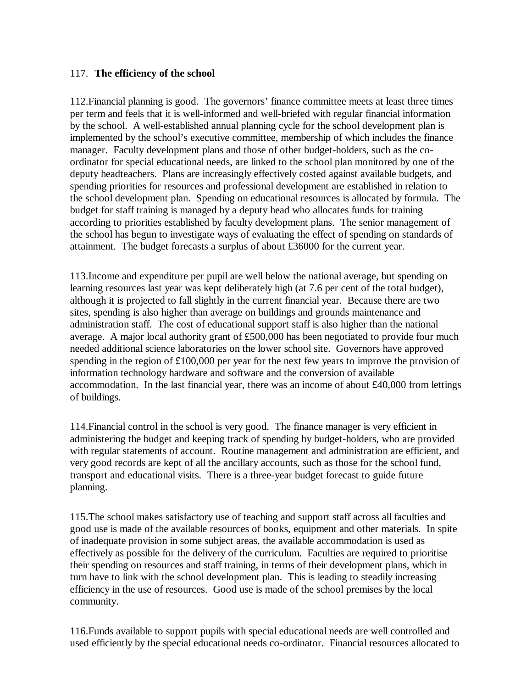# 117. **The efficiency of the school**

112.Financial planning is good. The governors' finance committee meets at least three times per term and feels that it is well-informed and well-briefed with regular financial information by the school. A well-established annual planning cycle for the school development plan is implemented by the school's executive committee, membership of which includes the finance manager. Faculty development plans and those of other budget-holders, such as the coordinator for special educational needs, are linked to the school plan monitored by one of the deputy headteachers. Plans are increasingly effectively costed against available budgets, and spending priorities for resources and professional development are established in relation to the school development plan. Spending on educational resources is allocated by formula. The budget for staff training is managed by a deputy head who allocates funds for training according to priorities established by faculty development plans. The senior management of the school has begun to investigate ways of evaluating the effect of spending on standards of attainment. The budget forecasts a surplus of about £36000 for the current year.

113.Income and expenditure per pupil are well below the national average, but spending on learning resources last year was kept deliberately high (at 7.6 per cent of the total budget), although it is projected to fall slightly in the current financial year. Because there are two sites, spending is also higher than average on buildings and grounds maintenance and administration staff. The cost of educational support staff is also higher than the national average. A major local authority grant of £500,000 has been negotiated to provide four much needed additional science laboratories on the lower school site. Governors have approved spending in the region of  $\text{\pounds}100,000$  per year for the next few years to improve the provision of information technology hardware and software and the conversion of available accommodation. In the last financial year, there was an income of about £40,000 from lettings of buildings.

114.Financial control in the school is very good. The finance manager is very efficient in administering the budget and keeping track of spending by budget-holders, who are provided with regular statements of account. Routine management and administration are efficient, and very good records are kept of all the ancillary accounts, such as those for the school fund, transport and educational visits. There is a three-year budget forecast to guide future planning.

115.The school makes satisfactory use of teaching and support staff across all faculties and good use is made of the available resources of books, equipment and other materials. In spite of inadequate provision in some subject areas, the available accommodation is used as effectively as possible for the delivery of the curriculum. Faculties are required to prioritise their spending on resources and staff training, in terms of their development plans, which in turn have to link with the school development plan. This is leading to steadily increasing efficiency in the use of resources. Good use is made of the school premises by the local community.

116.Funds available to support pupils with special educational needs are well controlled and used efficiently by the special educational needs co-ordinator. Financial resources allocated to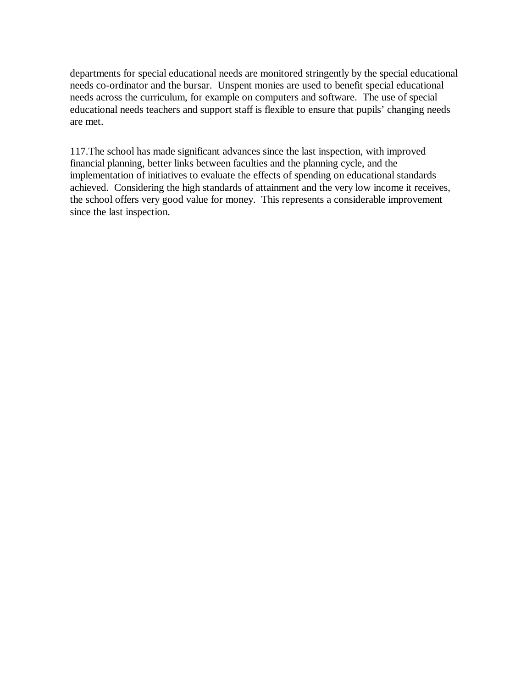departments for special educational needs are monitored stringently by the special educational needs co-ordinator and the bursar. Unspent monies are used to benefit special educational needs across the curriculum, for example on computers and software. The use of special educational needs teachers and support staff is flexible to ensure that pupils' changing needs are met.

117.The school has made significant advances since the last inspection, with improved financial planning, better links between faculties and the planning cycle, and the implementation of initiatives to evaluate the effects of spending on educational standards achieved. Considering the high standards of attainment and the very low income it receives, the school offers very good value for money. This represents a considerable improvement since the last inspection.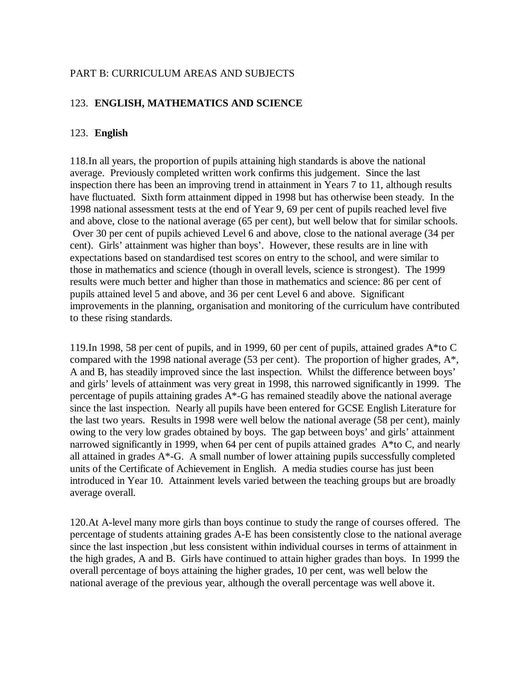# PART B: CURRICULUM AREAS AND SUBJECTS

# 123. **ENGLISH, MATHEMATICS AND SCIENCE**

#### 123. **English**

118.In all years, the proportion of pupils attaining high standards is above the national average. Previously completed written work confirms this judgement. Since the last inspection there has been an improving trend in attainment in Years 7 to 11, although results have fluctuated. Sixth form attainment dipped in 1998 but has otherwise been steady. In the 1998 national assessment tests at the end of Year 9, 69 per cent of pupils reached level five and above, close to the national average (65 per cent), but well below that for similar schools. Over 30 per cent of pupils achieved Level 6 and above, close to the national average (34 per cent). Girls' attainment was higher than boys'. However, these results are in line with expectations based on standardised test scores on entry to the school, and were similar to those in mathematics and science (though in overall levels, science is strongest). The 1999 results were much better and higher than those in mathematics and science: 86 per cent of pupils attained level 5 and above, and 36 per cent Level 6 and above. Significant improvements in the planning, organisation and monitoring of the curriculum have contributed to these rising standards.

119.In 1998, 58 per cent of pupils, and in 1999, 60 per cent of pupils, attained grades A\*to C compared with the 1998 national average (53 per cent). The proportion of higher grades, A\*, A and B, has steadily improved since the last inspection. Whilst the difference between boys' and girls' levels of attainment was very great in 1998, this narrowed significantly in 1999. The percentage of pupils attaining grades A\*-G has remained steadily above the national average since the last inspection. Nearly all pupils have been entered for GCSE English Literature for the last two years. Results in 1998 were well below the national average (58 per cent), mainly owing to the very low grades obtained by boys. The gap between boys' and girls' attainment narrowed significantly in 1999, when 64 per cent of pupils attained grades A\*to C, and nearly all attained in grades  $A^*$ -G. A small number of lower attaining pupils successfully completed units of the Certificate of Achievement in English. A media studies course has just been introduced in Year 10. Attainment levels varied between the teaching groups but are broadly average overall.

120.At A-level many more girls than boys continue to study the range of courses offered. The percentage of students attaining grades A-E has been consistently close to the national average since the last inspection ,but less consistent within individual courses in terms of attainment in the high grades, A and B. Girls have continued to attain higher grades than boys. In 1999 the overall percentage of boys attaining the higher grades, 10 per cent, was well below the national average of the previous year, although the overall percentage was well above it.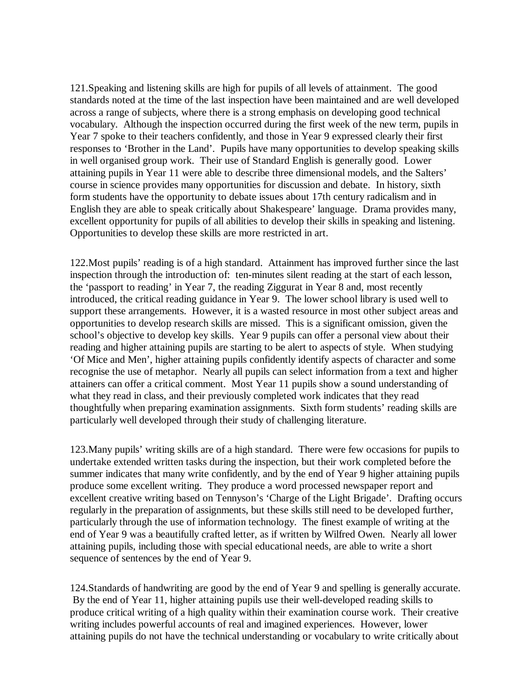121.Speaking and listening skills are high for pupils of all levels of attainment. The good standards noted at the time of the last inspection have been maintained and are well developed across a range of subjects, where there is a strong emphasis on developing good technical vocabulary. Although the inspection occurred during the first week of the new term, pupils in Year 7 spoke to their teachers confidently, and those in Year 9 expressed clearly their first responses to 'Brother in the Land'. Pupils have many opportunities to develop speaking skills in well organised group work. Their use of Standard English is generally good. Lower attaining pupils in Year 11 were able to describe three dimensional models, and the Salters' course in science provides many opportunities for discussion and debate. In history, sixth form students have the opportunity to debate issues about 17th century radicalism and in English they are able to speak critically about Shakespeare' language. Drama provides many, excellent opportunity for pupils of all abilities to develop their skills in speaking and listening. Opportunities to develop these skills are more restricted in art.

122.Most pupils' reading is of a high standard. Attainment has improved further since the last inspection through the introduction of: ten-minutes silent reading at the start of each lesson, the 'passport to reading' in Year 7, the reading Ziggurat in Year 8 and, most recently introduced, the critical reading guidance in Year 9. The lower school library is used well to support these arrangements. However, it is a wasted resource in most other subject areas and opportunities to develop research skills are missed. This is a significant omission, given the school's objective to develop key skills. Year 9 pupils can offer a personal view about their reading and higher attaining pupils are starting to be alert to aspects of style. When studying 'Of Mice and Men', higher attaining pupils confidently identify aspects of character and some recognise the use of metaphor. Nearly all pupils can select information from a text and higher attainers can offer a critical comment. Most Year 11 pupils show a sound understanding of what they read in class, and their previously completed work indicates that they read thoughtfully when preparing examination assignments. Sixth form students' reading skills are particularly well developed through their study of challenging literature.

123.Many pupils' writing skills are of a high standard. There were few occasions for pupils to undertake extended written tasks during the inspection, but their work completed before the summer indicates that many write confidently, and by the end of Year 9 higher attaining pupils produce some excellent writing. They produce a word processed newspaper report and excellent creative writing based on Tennyson's 'Charge of the Light Brigade'. Drafting occurs regularly in the preparation of assignments, but these skills still need to be developed further, particularly through the use of information technology. The finest example of writing at the end of Year 9 was a beautifully crafted letter, as if written by Wilfred Owen. Nearly all lower attaining pupils, including those with special educational needs, are able to write a short sequence of sentences by the end of Year 9.

124.Standards of handwriting are good by the end of Year 9 and spelling is generally accurate. By the end of Year 11, higher attaining pupils use their well-developed reading skills to produce critical writing of a high quality within their examination course work. Their creative writing includes powerful accounts of real and imagined experiences. However, lower attaining pupils do not have the technical understanding or vocabulary to write critically about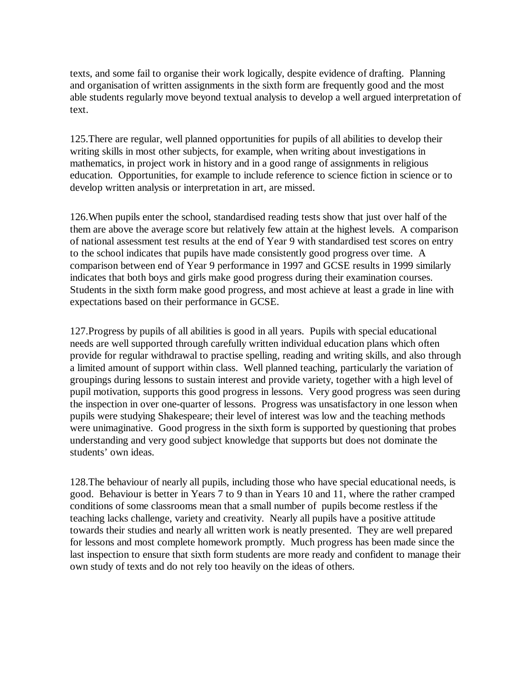texts, and some fail to organise their work logically, despite evidence of drafting. Planning and organisation of written assignments in the sixth form are frequently good and the most able students regularly move beyond textual analysis to develop a well argued interpretation of text.

125.There are regular, well planned opportunities for pupils of all abilities to develop their writing skills in most other subjects, for example, when writing about investigations in mathematics, in project work in history and in a good range of assignments in religious education. Opportunities, for example to include reference to science fiction in science or to develop written analysis or interpretation in art, are missed.

126.When pupils enter the school, standardised reading tests show that just over half of the them are above the average score but relatively few attain at the highest levels. A comparison of national assessment test results at the end of Year 9 with standardised test scores on entry to the school indicates that pupils have made consistently good progress over time. A comparison between end of Year 9 performance in 1997 and GCSE results in 1999 similarly indicates that both boys and girls make good progress during their examination courses. Students in the sixth form make good progress, and most achieve at least a grade in line with expectations based on their performance in GCSE.

127.Progress by pupils of all abilities is good in all years. Pupils with special educational needs are well supported through carefully written individual education plans which often provide for regular withdrawal to practise spelling, reading and writing skills, and also through a limited amount of support within class. Well planned teaching, particularly the variation of groupings during lessons to sustain interest and provide variety, together with a high level of pupil motivation, supports this good progress in lessons. Very good progress was seen during the inspection in over one-quarter of lessons. Progress was unsatisfactory in one lesson when pupils were studying Shakespeare; their level of interest was low and the teaching methods were unimaginative. Good progress in the sixth form is supported by questioning that probes understanding and very good subject knowledge that supports but does not dominate the students' own ideas.

128.The behaviour of nearly all pupils, including those who have special educational needs, is good. Behaviour is better in Years 7 to 9 than in Years 10 and 11, where the rather cramped conditions of some classrooms mean that a small number of pupils become restless if the teaching lacks challenge, variety and creativity. Nearly all pupils have a positive attitude towards their studies and nearly all written work is neatly presented. They are well prepared for lessons and most complete homework promptly. Much progress has been made since the last inspection to ensure that sixth form students are more ready and confident to manage their own study of texts and do not rely too heavily on the ideas of others.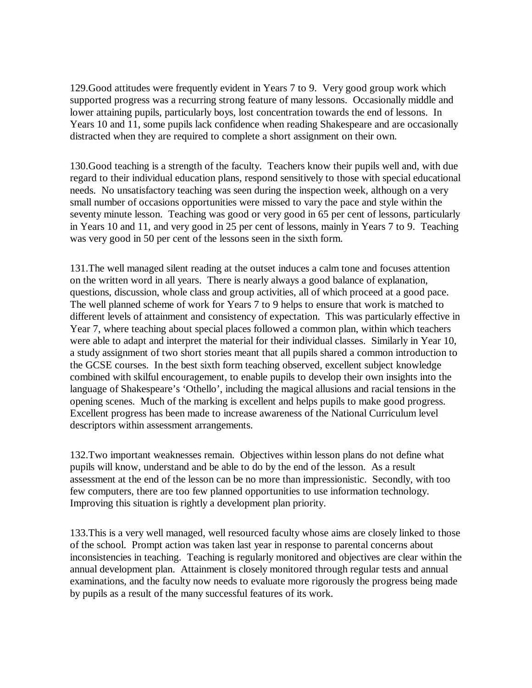129.Good attitudes were frequently evident in Years 7 to 9. Very good group work which supported progress was a recurring strong feature of many lessons. Occasionally middle and lower attaining pupils, particularly boys, lost concentration towards the end of lessons. In Years 10 and 11, some pupils lack confidence when reading Shakespeare and are occasionally distracted when they are required to complete a short assignment on their own.

130.Good teaching is a strength of the faculty. Teachers know their pupils well and, with due regard to their individual education plans, respond sensitively to those with special educational needs. No unsatisfactory teaching was seen during the inspection week, although on a very small number of occasions opportunities were missed to vary the pace and style within the seventy minute lesson. Teaching was good or very good in 65 per cent of lessons, particularly in Years 10 and 11, and very good in 25 per cent of lessons, mainly in Years 7 to 9. Teaching was very good in 50 per cent of the lessons seen in the sixth form.

131.The well managed silent reading at the outset induces a calm tone and focuses attention on the written word in all years. There is nearly always a good balance of explanation, questions, discussion, whole class and group activities, all of which proceed at a good pace. The well planned scheme of work for Years 7 to 9 helps to ensure that work is matched to different levels of attainment and consistency of expectation. This was particularly effective in Year 7, where teaching about special places followed a common plan, within which teachers were able to adapt and interpret the material for their individual classes. Similarly in Year 10, a study assignment of two short stories meant that all pupils shared a common introduction to the GCSE courses. In the best sixth form teaching observed, excellent subject knowledge combined with skilful encouragement, to enable pupils to develop their own insights into the language of Shakespeare's 'Othello', including the magical allusions and racial tensions in the opening scenes. Much of the marking is excellent and helps pupils to make good progress. Excellent progress has been made to increase awareness of the National Curriculum level descriptors within assessment arrangements.

132.Two important weaknesses remain. Objectives within lesson plans do not define what pupils will know, understand and be able to do by the end of the lesson. As a result assessment at the end of the lesson can be no more than impressionistic. Secondly, with too few computers, there are too few planned opportunities to use information technology. Improving this situation is rightly a development plan priority.

133.This is a very well managed, well resourced faculty whose aims are closely linked to those of the school. Prompt action was taken last year in response to parental concerns about inconsistencies in teaching. Teaching is regularly monitored and objectives are clear within the annual development plan. Attainment is closely monitored through regular tests and annual examinations, and the faculty now needs to evaluate more rigorously the progress being made by pupils as a result of the many successful features of its work.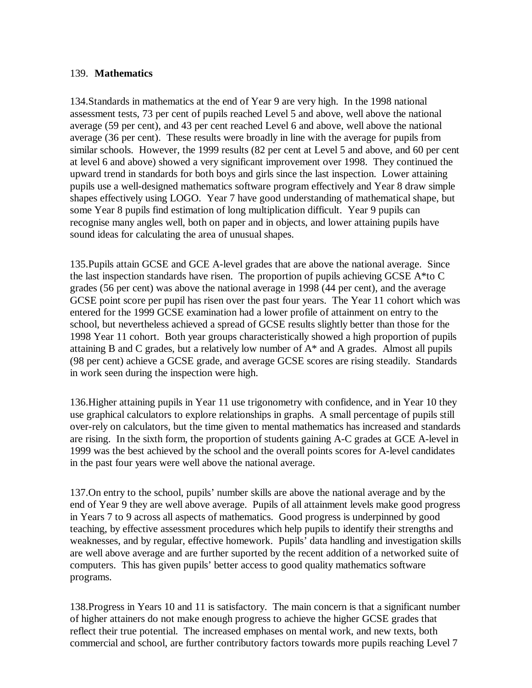## 139. **Mathematics**

134.Standards in mathematics at the end of Year 9 are very high. In the 1998 national assessment tests, 73 per cent of pupils reached Level 5 and above, well above the national average (59 per cent), and 43 per cent reached Level 6 and above, well above the national average (36 per cent). These results were broadly in line with the average for pupils from similar schools. However, the 1999 results (82 per cent at Level 5 and above, and 60 per cent at level 6 and above) showed a very significant improvement over 1998. They continued the upward trend in standards for both boys and girls since the last inspection. Lower attaining pupils use a well-designed mathematics software program effectively and Year 8 draw simple shapes effectively using LOGO. Year 7 have good understanding of mathematical shape, but some Year 8 pupils find estimation of long multiplication difficult. Year 9 pupils can recognise many angles well, both on paper and in objects, and lower attaining pupils have sound ideas for calculating the area of unusual shapes.

135.Pupils attain GCSE and GCE A-level grades that are above the national average. Since the last inspection standards have risen. The proportion of pupils achieving GCSE A\*to C grades (56 per cent) was above the national average in 1998 (44 per cent), and the average GCSE point score per pupil has risen over the past four years. The Year 11 cohort which was entered for the 1999 GCSE examination had a lower profile of attainment on entry to the school, but nevertheless achieved a spread of GCSE results slightly better than those for the 1998 Year 11 cohort. Both year groups characteristically showed a high proportion of pupils attaining B and C grades, but a relatively low number of A\* and A grades. Almost all pupils (98 per cent) achieve a GCSE grade, and average GCSE scores are rising steadily. Standards in work seen during the inspection were high.

136.Higher attaining pupils in Year 11 use trigonometry with confidence, and in Year 10 they use graphical calculators to explore relationships in graphs. A small percentage of pupils still over-rely on calculators, but the time given to mental mathematics has increased and standards are rising. In the sixth form, the proportion of students gaining A-C grades at GCE A-level in 1999 was the best achieved by the school and the overall points scores for A-level candidates in the past four years were well above the national average.

137.On entry to the school, pupils' number skills are above the national average and by the end of Year 9 they are well above average. Pupils of all attainment levels make good progress in Years 7 to 9 across all aspects of mathematics. Good progress is underpinned by good teaching, by effective assessment procedures which help pupils to identify their strengths and weaknesses, and by regular, effective homework. Pupils' data handling and investigation skills are well above average and are further suported by the recent addition of a networked suite of computers. This has given pupils' better access to good quality mathematics software programs.

138.Progress in Years 10 and 11 is satisfactory. The main concern is that a significant number of higher attainers do not make enough progress to achieve the higher GCSE grades that reflect their true potential. The increased emphases on mental work, and new texts, both commercial and school, are further contributory factors towards more pupils reaching Level 7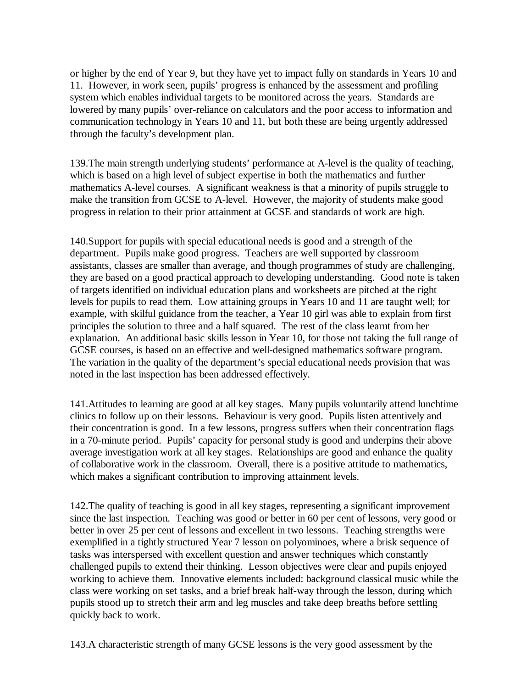or higher by the end of Year 9, but they have yet to impact fully on standards in Years 10 and 11. However, in work seen, pupils' progress is enhanced by the assessment and profiling system which enables individual targets to be monitored across the years. Standards are lowered by many pupils' over-reliance on calculators and the poor access to information and communication technology in Years 10 and 11, but both these are being urgently addressed through the faculty's development plan.

139.The main strength underlying students' performance at A-level is the quality of teaching, which is based on a high level of subject expertise in both the mathematics and further mathematics A-level courses. A significant weakness is that a minority of pupils struggle to make the transition from GCSE to A-level. However, the majority of students make good progress in relation to their prior attainment at GCSE and standards of work are high.

140.Support for pupils with special educational needs is good and a strength of the department. Pupils make good progress. Teachers are well supported by classroom assistants, classes are smaller than average, and though programmes of study are challenging, they are based on a good practical approach to developing understanding. Good note is taken of targets identified on individual education plans and worksheets are pitched at the right levels for pupils to read them. Low attaining groups in Years 10 and 11 are taught well; for example, with skilful guidance from the teacher, a Year 10 girl was able to explain from first principles the solution to three and a half squared. The rest of the class learnt from her explanation. An additional basic skills lesson in Year 10, for those not taking the full range of GCSE courses, is based on an effective and well-designed mathematics software program. The variation in the quality of the department's special educational needs provision that was noted in the last inspection has been addressed effectively.

141.Attitudes to learning are good at all key stages. Many pupils voluntarily attend lunchtime clinics to follow up on their lessons. Behaviour is very good. Pupils listen attentively and their concentration is good. In a few lessons, progress suffers when their concentration flags in a 70-minute period. Pupils' capacity for personal study is good and underpins their above average investigation work at all key stages. Relationships are good and enhance the quality of collaborative work in the classroom. Overall, there is a positive attitude to mathematics, which makes a significant contribution to improving attainment levels.

142.The quality of teaching is good in all key stages, representing a significant improvement since the last inspection. Teaching was good or better in 60 per cent of lessons, very good or better in over 25 per cent of lessons and excellent in two lessons. Teaching strengths were exemplified in a tightly structured Year 7 lesson on polyominoes, where a brisk sequence of tasks was interspersed with excellent question and answer techniques which constantly challenged pupils to extend their thinking. Lesson objectives were clear and pupils enjoyed working to achieve them. Innovative elements included: background classical music while the class were working on set tasks, and a brief break half-way through the lesson, during which pupils stood up to stretch their arm and leg muscles and take deep breaths before settling quickly back to work.

143.A characteristic strength of many GCSE lessons is the very good assessment by the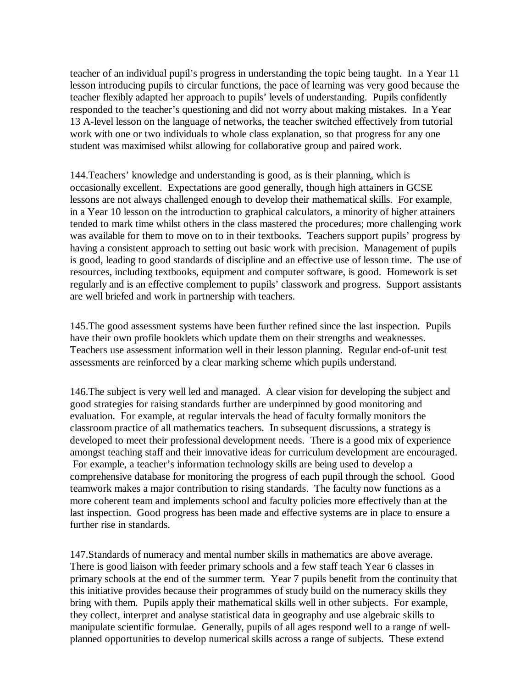teacher of an individual pupil's progress in understanding the topic being taught. In a Year 11 lesson introducing pupils to circular functions, the pace of learning was very good because the teacher flexibly adapted her approach to pupils' levels of understanding. Pupils confidently responded to the teacher's questioning and did not worry about making mistakes. In a Year 13 A-level lesson on the language of networks, the teacher switched effectively from tutorial work with one or two individuals to whole class explanation, so that progress for any one student was maximised whilst allowing for collaborative group and paired work.

144.Teachers' knowledge and understanding is good, as is their planning, which is occasionally excellent. Expectations are good generally, though high attainers in GCSE lessons are not always challenged enough to develop their mathematical skills. For example, in a Year 10 lesson on the introduction to graphical calculators, a minority of higher attainers tended to mark time whilst others in the class mastered the procedures; more challenging work was available for them to move on to in their textbooks. Teachers support pupils' progress by having a consistent approach to setting out basic work with precision. Management of pupils is good, leading to good standards of discipline and an effective use of lesson time. The use of resources, including textbooks, equipment and computer software, is good. Homework is set regularly and is an effective complement to pupils' classwork and progress. Support assistants are well briefed and work in partnership with teachers.

145.The good assessment systems have been further refined since the last inspection. Pupils have their own profile booklets which update them on their strengths and weaknesses. Teachers use assessment information well in their lesson planning. Regular end-of-unit test assessments are reinforced by a clear marking scheme which pupils understand.

146.The subject is very well led and managed. A clear vision for developing the subject and good strategies for raising standards further are underpinned by good monitoring and evaluation. For example, at regular intervals the head of faculty formally monitors the classroom practice of all mathematics teachers. In subsequent discussions, a strategy is developed to meet their professional development needs. There is a good mix of experience amongst teaching staff and their innovative ideas for curriculum development are encouraged. For example, a teacher's information technology skills are being used to develop a comprehensive database for monitoring the progress of each pupil through the school. Good teamwork makes a major contribution to rising standards. The faculty now functions as a more coherent team and implements school and faculty policies more effectively than at the last inspection. Good progress has been made and effective systems are in place to ensure a further rise in standards.

147.Standards of numeracy and mental number skills in mathematics are above average. There is good liaison with feeder primary schools and a few staff teach Year 6 classes in primary schools at the end of the summer term. Year 7 pupils benefit from the continuity that this initiative provides because their programmes of study build on the numeracy skills they bring with them. Pupils apply their mathematical skills well in other subjects. For example, they collect, interpret and analyse statistical data in geography and use algebraic skills to manipulate scientific formulae. Generally, pupils of all ages respond well to a range of wellplanned opportunities to develop numerical skills across a range of subjects. These extend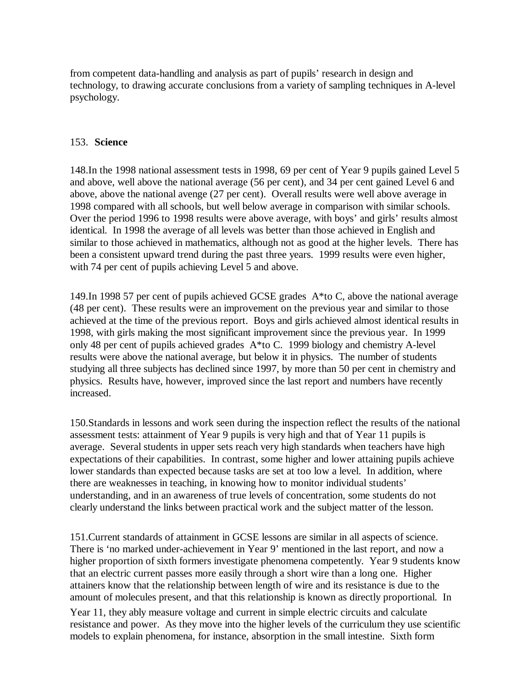from competent data-handling and analysis as part of pupils' research in design and technology, to drawing accurate conclusions from a variety of sampling techniques in A-level psychology.

### 153. **Science**

148.In the 1998 national assessment tests in 1998, 69 per cent of Year 9 pupils gained Level 5 and above, well above the national average (56 per cent), and 34 per cent gained Level 6 and above, above the national avenge (27 per cent). Overall results were well above average in 1998 compared with all schools, but well below average in comparison with similar schools. Over the period 1996 to 1998 results were above average, with boys' and girls' results almost identical. In 1998 the average of all levels was better than those achieved in English and similar to those achieved in mathematics, although not as good at the higher levels. There has been a consistent upward trend during the past three years. 1999 results were even higher, with 74 per cent of pupils achieving Level 5 and above.

149.In 1998 57 per cent of pupils achieved GCSE grades A\*to C, above the national average (48 per cent). These results were an improvement on the previous year and similar to those achieved at the time of the previous report. Boys and girls achieved almost identical results in 1998, with girls making the most significant improvement since the previous year. In 1999 only 48 per cent of pupils achieved grades A\*to C. 1999 biology and chemistry A-level results were above the national average, but below it in physics. The number of students studying all three subjects has declined since 1997, by more than 50 per cent in chemistry and physics. Results have, however, improved since the last report and numbers have recently increased.

150.Standards in lessons and work seen during the inspection reflect the results of the national assessment tests: attainment of Year 9 pupils is very high and that of Year 11 pupils is average. Several students in upper sets reach very high standards when teachers have high expectations of their capabilities. In contrast, some higher and lower attaining pupils achieve lower standards than expected because tasks are set at too low a level. In addition, where there are weaknesses in teaching, in knowing how to monitor individual students' understanding, and in an awareness of true levels of concentration, some students do not clearly understand the links between practical work and the subject matter of the lesson.

151.Current standards of attainment in GCSE lessons are similar in all aspects of science. There is 'no marked under-achievement in Year 9' mentioned in the last report, and now a higher proportion of sixth formers investigate phenomena competently. Year 9 students know that an electric current passes more easily through a short wire than a long one. Higher attainers know that the relationship between length of wire and its resistance is due to the amount of molecules present, and that this relationship is known as directly proportional. In

Year 11, they ably measure voltage and current in simple electric circuits and calculate resistance and power. As they move into the higher levels of the curriculum they use scientific models to explain phenomena, for instance, absorption in the small intestine. Sixth form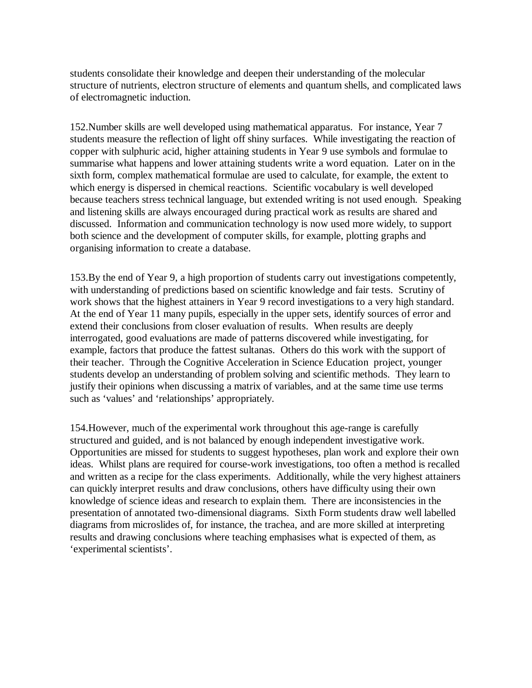students consolidate their knowledge and deepen their understanding of the molecular structure of nutrients, electron structure of elements and quantum shells, and complicated laws of electromagnetic induction.

152.Number skills are well developed using mathematical apparatus. For instance, Year 7 students measure the reflection of light off shiny surfaces. While investigating the reaction of copper with sulphuric acid, higher attaining students in Year 9 use symbols and formulae to summarise what happens and lower attaining students write a word equation. Later on in the sixth form, complex mathematical formulae are used to calculate, for example, the extent to which energy is dispersed in chemical reactions. Scientific vocabulary is well developed because teachers stress technical language, but extended writing is not used enough. Speaking and listening skills are always encouraged during practical work as results are shared and discussed. Information and communication technology is now used more widely, to support both science and the development of computer skills, for example, plotting graphs and organising information to create a database.

153.By the end of Year 9, a high proportion of students carry out investigations competently, with understanding of predictions based on scientific knowledge and fair tests. Scrutiny of work shows that the highest attainers in Year 9 record investigations to a very high standard. At the end of Year 11 many pupils, especially in the upper sets, identify sources of error and extend their conclusions from closer evaluation of results. When results are deeply interrogated, good evaluations are made of patterns discovered while investigating, for example, factors that produce the fattest sultanas. Others do this work with the support of their teacher. Through the Cognitive Acceleration in Science Education project, younger students develop an understanding of problem solving and scientific methods. They learn to justify their opinions when discussing a matrix of variables, and at the same time use terms such as 'values' and 'relationships' appropriately.

154.However, much of the experimental work throughout this age-range is carefully structured and guided, and is not balanced by enough independent investigative work. Opportunities are missed for students to suggest hypotheses, plan work and explore their own ideas. Whilst plans are required for course-work investigations, too often a method is recalled and written as a recipe for the class experiments. Additionally, while the very highest attainers can quickly interpret results and draw conclusions, others have difficulty using their own knowledge of science ideas and research to explain them. There are inconsistencies in the presentation of annotated two-dimensional diagrams. Sixth Form students draw well labelled diagrams from microslides of, for instance, the trachea, and are more skilled at interpreting results and drawing conclusions where teaching emphasises what is expected of them, as 'experimental scientists'.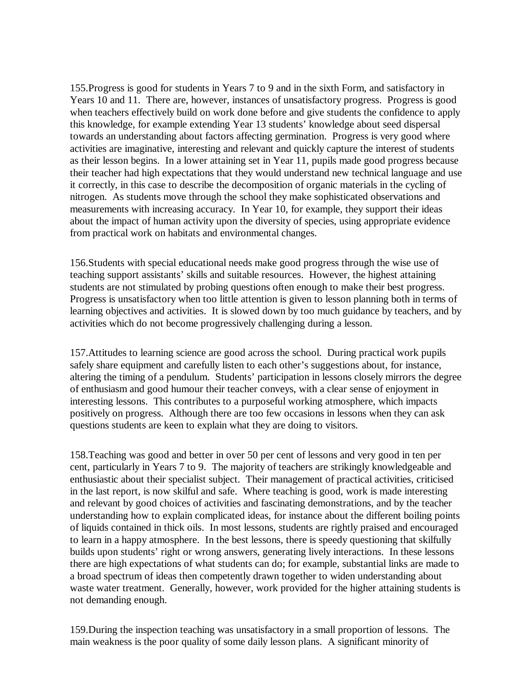155.Progress is good for students in Years 7 to 9 and in the sixth Form, and satisfactory in Years 10 and 11. There are, however, instances of unsatisfactory progress. Progress is good when teachers effectively build on work done before and give students the confidence to apply this knowledge, for example extending Year 13 students' knowledge about seed dispersal towards an understanding about factors affecting germination. Progress is very good where activities are imaginative, interesting and relevant and quickly capture the interest of students as their lesson begins. In a lower attaining set in Year 11, pupils made good progress because their teacher had high expectations that they would understand new technical language and use it correctly, in this case to describe the decomposition of organic materials in the cycling of nitrogen. As students move through the school they make sophisticated observations and measurements with increasing accuracy. In Year 10, for example, they support their ideas about the impact of human activity upon the diversity of species, using appropriate evidence from practical work on habitats and environmental changes.

156.Students with special educational needs make good progress through the wise use of teaching support assistants' skills and suitable resources. However, the highest attaining students are not stimulated by probing questions often enough to make their best progress. Progress is unsatisfactory when too little attention is given to lesson planning both in terms of learning objectives and activities. It is slowed down by too much guidance by teachers, and by activities which do not become progressively challenging during a lesson.

157.Attitudes to learning science are good across the school. During practical work pupils safely share equipment and carefully listen to each other's suggestions about, for instance, altering the timing of a pendulum. Students' participation in lessons closely mirrors the degree of enthusiasm and good humour their teacher conveys, with a clear sense of enjoyment in interesting lessons. This contributes to a purposeful working atmosphere, which impacts positively on progress. Although there are too few occasions in lessons when they can ask questions students are keen to explain what they are doing to visitors.

158.Teaching was good and better in over 50 per cent of lessons and very good in ten per cent, particularly in Years 7 to 9. The majority of teachers are strikingly knowledgeable and enthusiastic about their specialist subject. Their management of practical activities, criticised in the last report, is now skilful and safe. Where teaching is good, work is made interesting and relevant by good choices of activities and fascinating demonstrations, and by the teacher understanding how to explain complicated ideas, for instance about the different boiling points of liquids contained in thick oils. In most lessons, students are rightly praised and encouraged to learn in a happy atmosphere. In the best lessons, there is speedy questioning that skilfully builds upon students' right or wrong answers, generating lively interactions. In these lessons there are high expectations of what students can do; for example, substantial links are made to a broad spectrum of ideas then competently drawn together to widen understanding about waste water treatment. Generally, however, work provided for the higher attaining students is not demanding enough.

159.During the inspection teaching was unsatisfactory in a small proportion of lessons. The main weakness is the poor quality of some daily lesson plans. A significant minority of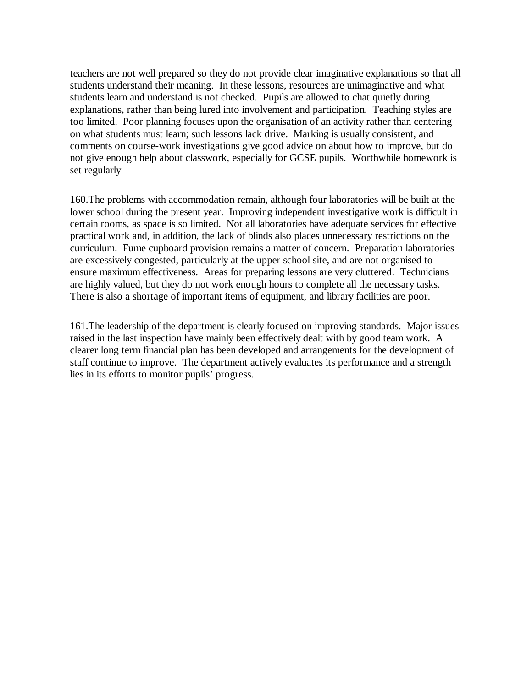teachers are not well prepared so they do not provide clear imaginative explanations so that all students understand their meaning. In these lessons, resources are unimaginative and what students learn and understand is not checked. Pupils are allowed to chat quietly during explanations, rather than being lured into involvement and participation. Teaching styles are too limited. Poor planning focuses upon the organisation of an activity rather than centering on what students must learn; such lessons lack drive. Marking is usually consistent, and comments on course-work investigations give good advice on about how to improve, but do not give enough help about classwork, especially for GCSE pupils. Worthwhile homework is set regularly

160.The problems with accommodation remain, although four laboratories will be built at the lower school during the present year. Improving independent investigative work is difficult in certain rooms, as space is so limited. Not all laboratories have adequate services for effective practical work and, in addition, the lack of blinds also places unnecessary restrictions on the curriculum. Fume cupboard provision remains a matter of concern. Preparation laboratories are excessively congested, particularly at the upper school site, and are not organised to ensure maximum effectiveness. Areas for preparing lessons are very cluttered. Technicians are highly valued, but they do not work enough hours to complete all the necessary tasks. There is also a shortage of important items of equipment, and library facilities are poor.

161.The leadership of the department is clearly focused on improving standards. Major issues raised in the last inspection have mainly been effectively dealt with by good team work. A clearer long term financial plan has been developed and arrangements for the development of staff continue to improve. The department actively evaluates its performance and a strength lies in its efforts to monitor pupils' progress.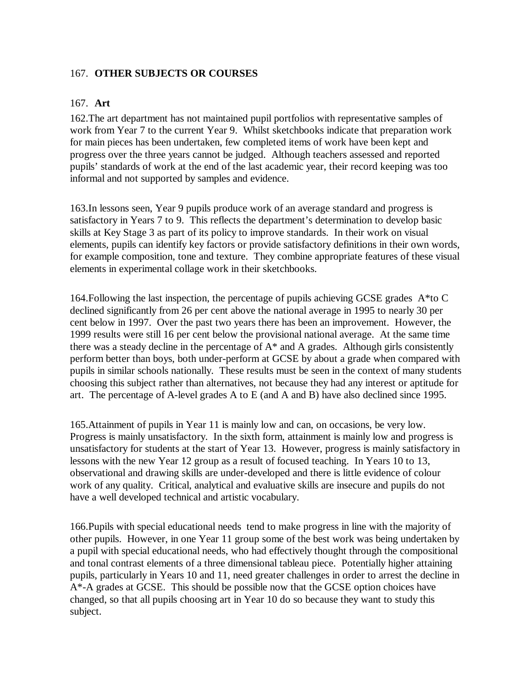# 167. **OTHER SUBJECTS OR COURSES**

### 167. **Art**

162.The art department has not maintained pupil portfolios with representative samples of work from Year 7 to the current Year 9. Whilst sketchbooks indicate that preparation work for main pieces has been undertaken, few completed items of work have been kept and progress over the three years cannot be judged. Although teachers assessed and reported pupils' standards of work at the end of the last academic year, their record keeping was too informal and not supported by samples and evidence.

163.In lessons seen, Year 9 pupils produce work of an average standard and progress is satisfactory in Years 7 to 9. This reflects the department's determination to develop basic skills at Key Stage 3 as part of its policy to improve standards. In their work on visual elements, pupils can identify key factors or provide satisfactory definitions in their own words, for example composition, tone and texture. They combine appropriate features of these visual elements in experimental collage work in their sketchbooks.

164.Following the last inspection, the percentage of pupils achieving GCSE grades A\*to C declined significantly from 26 per cent above the national average in 1995 to nearly 30 per cent below in 1997. Over the past two years there has been an improvement. However, the 1999 results were still 16 per cent below the provisional national average. At the same time there was a steady decline in the percentage of A\* and A grades. Although girls consistently perform better than boys, both under-perform at GCSE by about a grade when compared with pupils in similar schools nationally. These results must be seen in the context of many students choosing this subject rather than alternatives, not because they had any interest or aptitude for art. The percentage of A-level grades A to E (and A and B) have also declined since 1995.

165.Attainment of pupils in Year 11 is mainly low and can, on occasions, be very low. Progress is mainly unsatisfactory. In the sixth form, attainment is mainly low and progress is unsatisfactory for students at the start of Year 13. However, progress is mainly satisfactory in lessons with the new Year 12 group as a result of focused teaching. In Years 10 to 13, observational and drawing skills are under-developed and there is little evidence of colour work of any quality. Critical, analytical and evaluative skills are insecure and pupils do not have a well developed technical and artistic vocabulary.

166.Pupils with special educational needs tend to make progress in line with the majority of other pupils. However, in one Year 11 group some of the best work was being undertaken by a pupil with special educational needs, who had effectively thought through the compositional and tonal contrast elements of a three dimensional tableau piece. Potentially higher attaining pupils, particularly in Years 10 and 11, need greater challenges in order to arrest the decline in A\*-A grades at GCSE. This should be possible now that the GCSE option choices have changed, so that all pupils choosing art in Year 10 do so because they want to study this subject.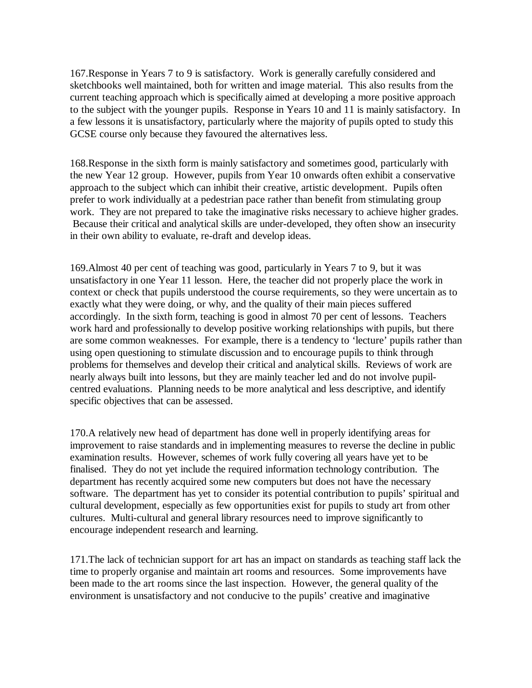167.Response in Years 7 to 9 is satisfactory. Work is generally carefully considered and sketchbooks well maintained, both for written and image material. This also results from the current teaching approach which is specifically aimed at developing a more positive approach to the subject with the younger pupils. Response in Years 10 and 11 is mainly satisfactory. In a few lessons it is unsatisfactory, particularly where the majority of pupils opted to study this GCSE course only because they favoured the alternatives less.

168.Response in the sixth form is mainly satisfactory and sometimes good, particularly with the new Year 12 group. However, pupils from Year 10 onwards often exhibit a conservative approach to the subject which can inhibit their creative, artistic development. Pupils often prefer to work individually at a pedestrian pace rather than benefit from stimulating group work. They are not prepared to take the imaginative risks necessary to achieve higher grades. Because their critical and analytical skills are under-developed, they often show an insecurity in their own ability to evaluate, re-draft and develop ideas.

169.Almost 40 per cent of teaching was good, particularly in Years 7 to 9, but it was unsatisfactory in one Year 11 lesson. Here, the teacher did not properly place the work in context or check that pupils understood the course requirements, so they were uncertain as to exactly what they were doing, or why, and the quality of their main pieces suffered accordingly. In the sixth form, teaching is good in almost 70 per cent of lessons. Teachers work hard and professionally to develop positive working relationships with pupils, but there are some common weaknesses. For example, there is a tendency to 'lecture' pupils rather than using open questioning to stimulate discussion and to encourage pupils to think through problems for themselves and develop their critical and analytical skills. Reviews of work are nearly always built into lessons, but they are mainly teacher led and do not involve pupilcentred evaluations. Planning needs to be more analytical and less descriptive, and identify specific objectives that can be assessed.

170.A relatively new head of department has done well in properly identifying areas for improvement to raise standards and in implementing measures to reverse the decline in public examination results. However, schemes of work fully covering all years have yet to be finalised. They do not yet include the required information technology contribution. The department has recently acquired some new computers but does not have the necessary software. The department has yet to consider its potential contribution to pupils' spiritual and cultural development, especially as few opportunities exist for pupils to study art from other cultures. Multi-cultural and general library resources need to improve significantly to encourage independent research and learning.

171.The lack of technician support for art has an impact on standards as teaching staff lack the time to properly organise and maintain art rooms and resources. Some improvements have been made to the art rooms since the last inspection. However, the general quality of the environment is unsatisfactory and not conducive to the pupils' creative and imaginative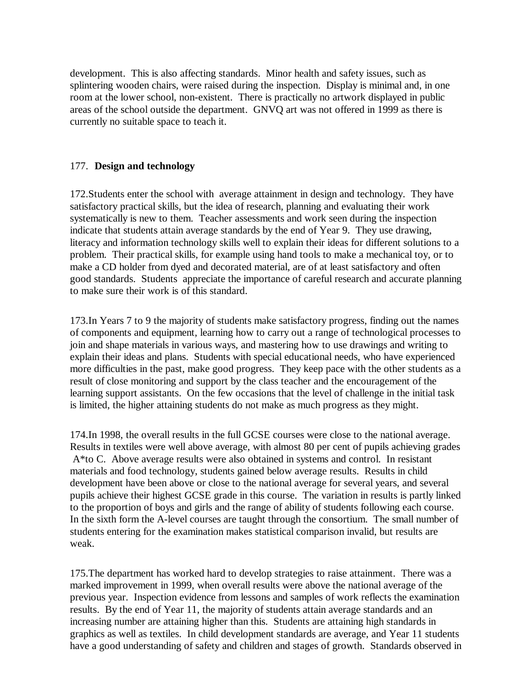development. This is also affecting standards. Minor health and safety issues, such as splintering wooden chairs, were raised during the inspection. Display is minimal and, in one room at the lower school, non-existent. There is practically no artwork displayed in public areas of the school outside the department. GNVQ art was not offered in 1999 as there is currently no suitable space to teach it.

### 177. **Design and technology**

172.Students enter the school with average attainment in design and technology. They have satisfactory practical skills, but the idea of research, planning and evaluating their work systematically is new to them. Teacher assessments and work seen during the inspection indicate that students attain average standards by the end of Year 9. They use drawing, literacy and information technology skills well to explain their ideas for different solutions to a problem. Their practical skills, for example using hand tools to make a mechanical toy, or to make a CD holder from dyed and decorated material, are of at least satisfactory and often good standards. Students appreciate the importance of careful research and accurate planning to make sure their work is of this standard.

173.In Years 7 to 9 the majority of students make satisfactory progress, finding out the names of components and equipment, learning how to carry out a range of technological processes to join and shape materials in various ways, and mastering how to use drawings and writing to explain their ideas and plans. Students with special educational needs, who have experienced more difficulties in the past, make good progress. They keep pace with the other students as a result of close monitoring and support by the class teacher and the encouragement of the learning support assistants. On the few occasions that the level of challenge in the initial task is limited, the higher attaining students do not make as much progress as they might.

174.In 1998, the overall results in the full GCSE courses were close to the national average. Results in textiles were well above average, with almost 80 per cent of pupils achieving grades A\*to C. Above average results were also obtained in systems and control. In resistant materials and food technology, students gained below average results. Results in child development have been above or close to the national average for several years, and several pupils achieve their highest GCSE grade in this course. The variation in results is partly linked to the proportion of boys and girls and the range of ability of students following each course. In the sixth form the A-level courses are taught through the consortium. The small number of students entering for the examination makes statistical comparison invalid, but results are weak.

175.The department has worked hard to develop strategies to raise attainment. There was a marked improvement in 1999, when overall results were above the national average of the previous year. Inspection evidence from lessons and samples of work reflects the examination results. By the end of Year 11, the majority of students attain average standards and an increasing number are attaining higher than this. Students are attaining high standards in graphics as well as textiles. In child development standards are average, and Year 11 students have a good understanding of safety and children and stages of growth. Standards observed in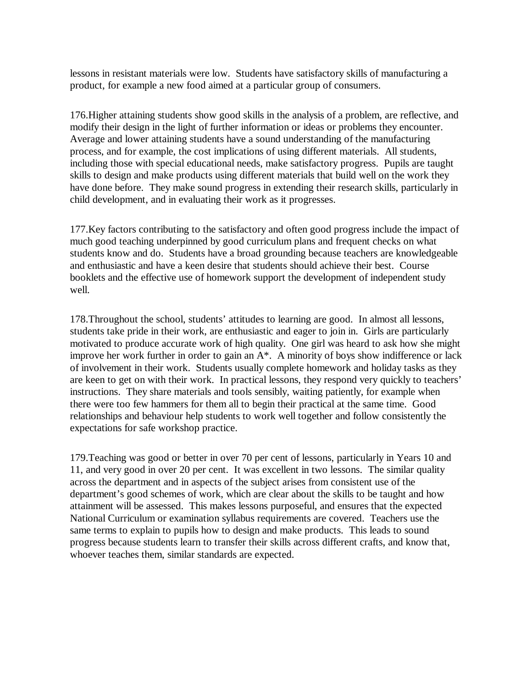lessons in resistant materials were low. Students have satisfactory skills of manufacturing a product, for example a new food aimed at a particular group of consumers.

176.Higher attaining students show good skills in the analysis of a problem, are reflective, and modify their design in the light of further information or ideas or problems they encounter. Average and lower attaining students have a sound understanding of the manufacturing process, and for example, the cost implications of using different materials. All students, including those with special educational needs, make satisfactory progress. Pupils are taught skills to design and make products using different materials that build well on the work they have done before. They make sound progress in extending their research skills, particularly in child development, and in evaluating their work as it progresses.

177.Key factors contributing to the satisfactory and often good progress include the impact of much good teaching underpinned by good curriculum plans and frequent checks on what students know and do. Students have a broad grounding because teachers are knowledgeable and enthusiastic and have a keen desire that students should achieve their best. Course booklets and the effective use of homework support the development of independent study well.

178.Throughout the school, students' attitudes to learning are good. In almost all lessons, students take pride in their work, are enthusiastic and eager to join in. Girls are particularly motivated to produce accurate work of high quality. One girl was heard to ask how she might improve her work further in order to gain an A\*. A minority of boys show indifference or lack of involvement in their work. Students usually complete homework and holiday tasks as they are keen to get on with their work. In practical lessons, they respond very quickly to teachers' instructions. They share materials and tools sensibly, waiting patiently, for example when there were too few hammers for them all to begin their practical at the same time. Good relationships and behaviour help students to work well together and follow consistently the expectations for safe workshop practice.

179.Teaching was good or better in over 70 per cent of lessons, particularly in Years 10 and 11, and very good in over 20 per cent. It was excellent in two lessons. The similar quality across the department and in aspects of the subject arises from consistent use of the department's good schemes of work, which are clear about the skills to be taught and how attainment will be assessed. This makes lessons purposeful, and ensures that the expected National Curriculum or examination syllabus requirements are covered. Teachers use the same terms to explain to pupils how to design and make products. This leads to sound progress because students learn to transfer their skills across different crafts, and know that, whoever teaches them, similar standards are expected.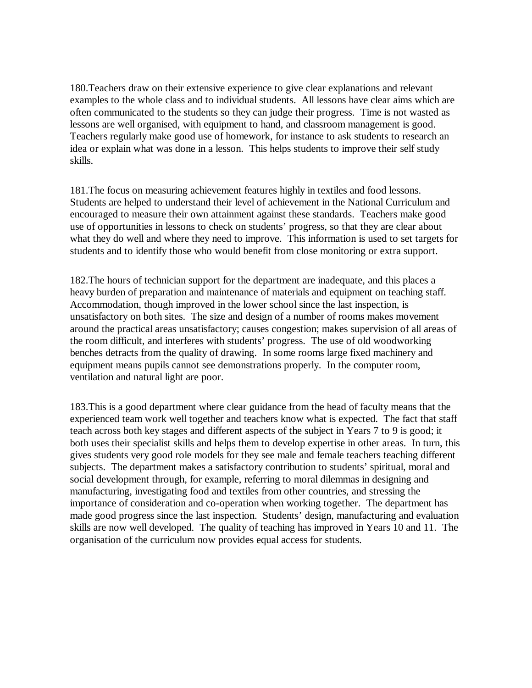180.Teachers draw on their extensive experience to give clear explanations and relevant examples to the whole class and to individual students. All lessons have clear aims which are often communicated to the students so they can judge their progress. Time is not wasted as lessons are well organised, with equipment to hand, and classroom management is good. Teachers regularly make good use of homework, for instance to ask students to research an idea or explain what was done in a lesson. This helps students to improve their self study skills.

181.The focus on measuring achievement features highly in textiles and food lessons. Students are helped to understand their level of achievement in the National Curriculum and encouraged to measure their own attainment against these standards. Teachers make good use of opportunities in lessons to check on students' progress, so that they are clear about what they do well and where they need to improve. This information is used to set targets for students and to identify those who would benefit from close monitoring or extra support.

182.The hours of technician support for the department are inadequate, and this places a heavy burden of preparation and maintenance of materials and equipment on teaching staff. Accommodation, though improved in the lower school since the last inspection, is unsatisfactory on both sites. The size and design of a number of rooms makes movement around the practical areas unsatisfactory; causes congestion; makes supervision of all areas of the room difficult, and interferes with students' progress. The use of old woodworking benches detracts from the quality of drawing. In some rooms large fixed machinery and equipment means pupils cannot see demonstrations properly. In the computer room, ventilation and natural light are poor.

183.This is a good department where clear guidance from the head of faculty means that the experienced team work well together and teachers know what is expected. The fact that staff teach across both key stages and different aspects of the subject in Years 7 to 9 is good; it both uses their specialist skills and helps them to develop expertise in other areas. In turn, this gives students very good role models for they see male and female teachers teaching different subjects. The department makes a satisfactory contribution to students' spiritual, moral and social development through, for example, referring to moral dilemmas in designing and manufacturing, investigating food and textiles from other countries, and stressing the importance of consideration and co-operation when working together. The department has made good progress since the last inspection. Students' design, manufacturing and evaluation skills are now well developed. The quality of teaching has improved in Years 10 and 11. The organisation of the curriculum now provides equal access for students.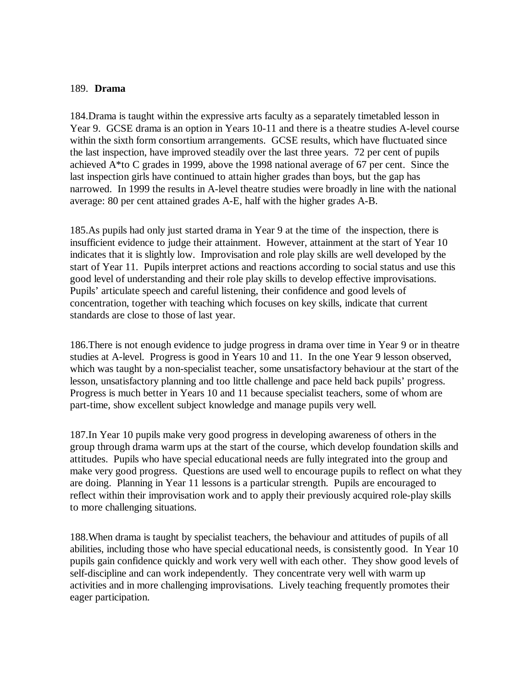#### 189. **Drama**

184.Drama is taught within the expressive arts faculty as a separately timetabled lesson in Year 9. GCSE drama is an option in Years 10-11 and there is a theatre studies A-level course within the sixth form consortium arrangements. GCSE results, which have fluctuated since the last inspection, have improved steadily over the last three years. 72 per cent of pupils achieved A\*to C grades in 1999, above the 1998 national average of 67 per cent. Since the last inspection girls have continued to attain higher grades than boys, but the gap has narrowed. In 1999 the results in A-level theatre studies were broadly in line with the national average: 80 per cent attained grades A-E, half with the higher grades A-B.

185.As pupils had only just started drama in Year 9 at the time of the inspection, there is insufficient evidence to judge their attainment. However, attainment at the start of Year 10 indicates that it is slightly low. Improvisation and role play skills are well developed by the start of Year 11. Pupils interpret actions and reactions according to social status and use this good level of understanding and their role play skills to develop effective improvisations. Pupils' articulate speech and careful listening, their confidence and good levels of concentration, together with teaching which focuses on key skills, indicate that current standards are close to those of last year.

186.There is not enough evidence to judge progress in drama over time in Year 9 or in theatre studies at A-level. Progress is good in Years 10 and 11. In the one Year 9 lesson observed, which was taught by a non-specialist teacher, some unsatisfactory behaviour at the start of the lesson, unsatisfactory planning and too little challenge and pace held back pupils' progress. Progress is much better in Years 10 and 11 because specialist teachers, some of whom are part-time, show excellent subject knowledge and manage pupils very well.

187.In Year 10 pupils make very good progress in developing awareness of others in the group through drama warm ups at the start of the course, which develop foundation skills and attitudes. Pupils who have special educational needs are fully integrated into the group and make very good progress. Questions are used well to encourage pupils to reflect on what they are doing. Planning in Year 11 lessons is a particular strength. Pupils are encouraged to reflect within their improvisation work and to apply their previously acquired role-play skills to more challenging situations.

188.When drama is taught by specialist teachers, the behaviour and attitudes of pupils of all abilities, including those who have special educational needs, is consistently good. In Year 10 pupils gain confidence quickly and work very well with each other. They show good levels of self-discipline and can work independently. They concentrate very well with warm up activities and in more challenging improvisations. Lively teaching frequently promotes their eager participation.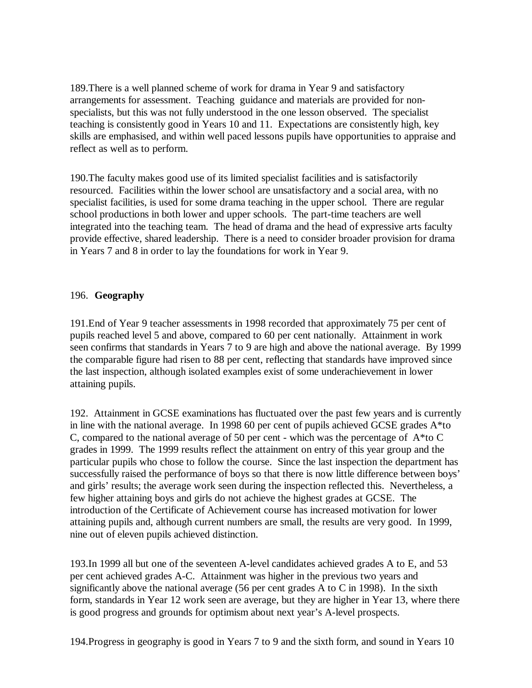189.There is a well planned scheme of work for drama in Year 9 and satisfactory arrangements for assessment. Teaching guidance and materials are provided for nonspecialists, but this was not fully understood in the one lesson observed. The specialist teaching is consistently good in Years 10 and 11. Expectations are consistently high, key skills are emphasised, and within well paced lessons pupils have opportunities to appraise and reflect as well as to perform.

190.The faculty makes good use of its limited specialist facilities and is satisfactorily resourced. Facilities within the lower school are unsatisfactory and a social area, with no specialist facilities, is used for some drama teaching in the upper school. There are regular school productions in both lower and upper schools. The part-time teachers are well integrated into the teaching team. The head of drama and the head of expressive arts faculty provide effective, shared leadership. There is a need to consider broader provision for drama in Years 7 and 8 in order to lay the foundations for work in Year 9.

### 196. **Geography**

191.End of Year 9 teacher assessments in 1998 recorded that approximately 75 per cent of pupils reached level 5 and above, compared to 60 per cent nationally. Attainment in work seen confirms that standards in Years 7 to 9 are high and above the national average. By 1999 the comparable figure had risen to 88 per cent, reflecting that standards have improved since the last inspection, although isolated examples exist of some underachievement in lower attaining pupils.

192. Attainment in GCSE examinations has fluctuated over the past few years and is currently in line with the national average. In 1998 60 per cent of pupils achieved GCSE grades A\*to C, compared to the national average of 50 per cent - which was the percentage of A\*to C grades in 1999. The 1999 results reflect the attainment on entry of this year group and the particular pupils who chose to follow the course. Since the last inspection the department has successfully raised the performance of boys so that there is now little difference between boys' and girls' results; the average work seen during the inspection reflected this. Nevertheless, a few higher attaining boys and girls do not achieve the highest grades at GCSE. The introduction of the Certificate of Achievement course has increased motivation for lower attaining pupils and, although current numbers are small, the results are very good. In 1999, nine out of eleven pupils achieved distinction.

193.In 1999 all but one of the seventeen A-level candidates achieved grades A to E, and 53 per cent achieved grades A-C. Attainment was higher in the previous two years and significantly above the national average (56 per cent grades A to C in 1998). In the sixth form, standards in Year 12 work seen are average, but they are higher in Year 13, where there is good progress and grounds for optimism about next year's A-level prospects.

194.Progress in geography is good in Years 7 to 9 and the sixth form, and sound in Years 10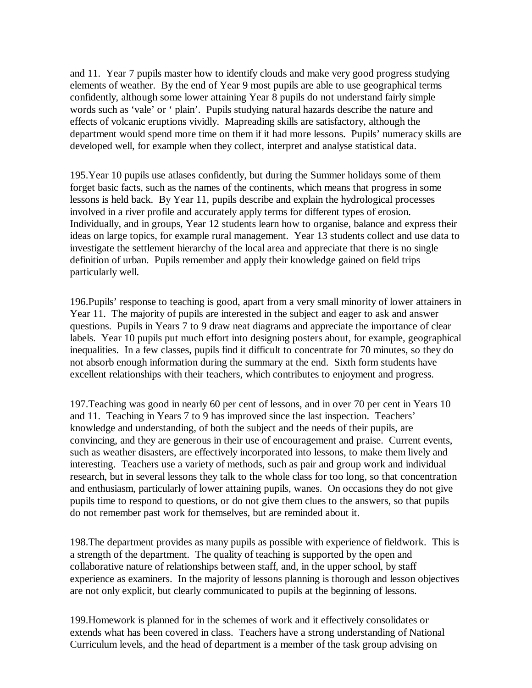and 11. Year 7 pupils master how to identify clouds and make very good progress studying elements of weather. By the end of Year 9 most pupils are able to use geographical terms confidently, although some lower attaining Year 8 pupils do not understand fairly simple words such as 'vale' or ' plain'. Pupils studying natural hazards describe the nature and effects of volcanic eruptions vividly. Mapreading skills are satisfactory, although the department would spend more time on them if it had more lessons. Pupils' numeracy skills are developed well, for example when they collect, interpret and analyse statistical data.

195.Year 10 pupils use atlases confidently, but during the Summer holidays some of them forget basic facts, such as the names of the continents, which means that progress in some lessons is held back. By Year 11, pupils describe and explain the hydrological processes involved in a river profile and accurately apply terms for different types of erosion. Individually, and in groups, Year 12 students learn how to organise, balance and express their ideas on large topics, for example rural management. Year 13 students collect and use data to investigate the settlement hierarchy of the local area and appreciate that there is no single definition of urban. Pupils remember and apply their knowledge gained on field trips particularly well.

196.Pupils' response to teaching is good, apart from a very small minority of lower attainers in Year 11. The majority of pupils are interested in the subject and eager to ask and answer questions. Pupils in Years 7 to 9 draw neat diagrams and appreciate the importance of clear labels. Year 10 pupils put much effort into designing posters about, for example, geographical inequalities. In a few classes, pupils find it difficult to concentrate for 70 minutes, so they do not absorb enough information during the summary at the end. Sixth form students have excellent relationships with their teachers, which contributes to enjoyment and progress.

197.Teaching was good in nearly 60 per cent of lessons, and in over 70 per cent in Years 10 and 11. Teaching in Years 7 to 9 has improved since the last inspection. Teachers' knowledge and understanding, of both the subject and the needs of their pupils, are convincing, and they are generous in their use of encouragement and praise. Current events, such as weather disasters, are effectively incorporated into lessons, to make them lively and interesting. Teachers use a variety of methods, such as pair and group work and individual research, but in several lessons they talk to the whole class for too long, so that concentration and enthusiasm, particularly of lower attaining pupils, wanes. On occasions they do not give pupils time to respond to questions, or do not give them clues to the answers, so that pupils do not remember past work for themselves, but are reminded about it.

198.The department provides as many pupils as possible with experience of fieldwork. This is a strength of the department. The quality of teaching is supported by the open and collaborative nature of relationships between staff, and, in the upper school, by staff experience as examiners. In the majority of lessons planning is thorough and lesson objectives are not only explicit, but clearly communicated to pupils at the beginning of lessons.

199.Homework is planned for in the schemes of work and it effectively consolidates or extends what has been covered in class. Teachers have a strong understanding of National Curriculum levels, and the head of department is a member of the task group advising on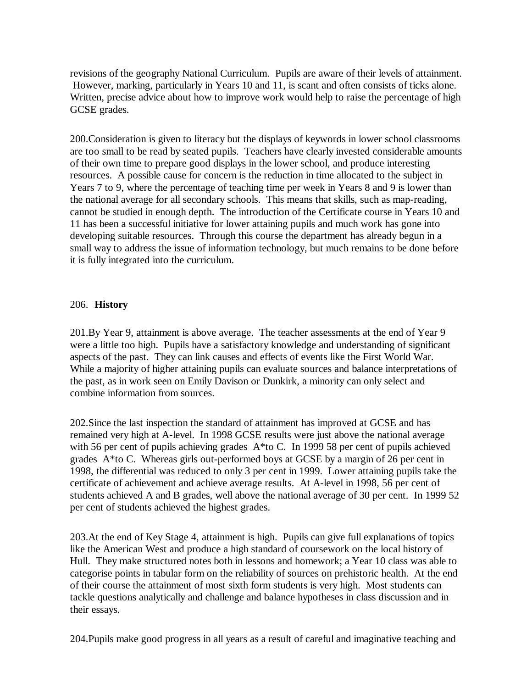revisions of the geography National Curriculum. Pupils are aware of their levels of attainment. However, marking, particularly in Years 10 and 11, is scant and often consists of ticks alone. Written, precise advice about how to improve work would help to raise the percentage of high GCSE grades.

200.Consideration is given to literacy but the displays of keywords in lower school classrooms are too small to be read by seated pupils. Teachers have clearly invested considerable amounts of their own time to prepare good displays in the lower school, and produce interesting resources. A possible cause for concern is the reduction in time allocated to the subject in Years 7 to 9, where the percentage of teaching time per week in Years 8 and 9 is lower than the national average for all secondary schools. This means that skills, such as map-reading, cannot be studied in enough depth. The introduction of the Certificate course in Years 10 and 11 has been a successful initiative for lower attaining pupils and much work has gone into developing suitable resources. Through this course the department has already begun in a small way to address the issue of information technology, but much remains to be done before it is fully integrated into the curriculum.

#### 206. **History**

201.By Year 9, attainment is above average. The teacher assessments at the end of Year 9 were a little too high. Pupils have a satisfactory knowledge and understanding of significant aspects of the past. They can link causes and effects of events like the First World War. While a majority of higher attaining pupils can evaluate sources and balance interpretations of the past, as in work seen on Emily Davison or Dunkirk, a minority can only select and combine information from sources.

202.Since the last inspection the standard of attainment has improved at GCSE and has remained very high at A-level. In 1998 GCSE results were just above the national average with 56 per cent of pupils achieving grades A\*to C. In 1999 58 per cent of pupils achieved grades A\*to C. Whereas girls out-performed boys at GCSE by a margin of 26 per cent in 1998, the differential was reduced to only 3 per cent in 1999. Lower attaining pupils take the certificate of achievement and achieve average results. At A-level in 1998, 56 per cent of students achieved A and B grades, well above the national average of 30 per cent. In 1999 52 per cent of students achieved the highest grades.

203.At the end of Key Stage 4, attainment is high. Pupils can give full explanations of topics like the American West and produce a high standard of coursework on the local history of Hull. They make structured notes both in lessons and homework; a Year 10 class was able to categorise points in tabular form on the reliability of sources on prehistoric health. At the end of their course the attainment of most sixth form students is very high. Most students can tackle questions analytically and challenge and balance hypotheses in class discussion and in their essays.

204.Pupils make good progress in all years as a result of careful and imaginative teaching and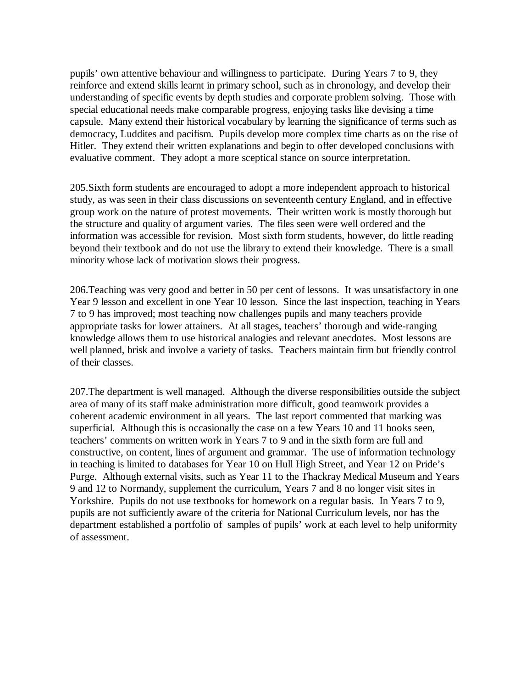pupils' own attentive behaviour and willingness to participate. During Years 7 to 9, they reinforce and extend skills learnt in primary school, such as in chronology, and develop their understanding of specific events by depth studies and corporate problem solving. Those with special educational needs make comparable progress, enjoying tasks like devising a time capsule. Many extend their historical vocabulary by learning the significance of terms such as democracy, Luddites and pacifism. Pupils develop more complex time charts as on the rise of Hitler. They extend their written explanations and begin to offer developed conclusions with evaluative comment. They adopt a more sceptical stance on source interpretation.

205.Sixth form students are encouraged to adopt a more independent approach to historical study, as was seen in their class discussions on seventeenth century England, and in effective group work on the nature of protest movements. Their written work is mostly thorough but the structure and quality of argument varies. The files seen were well ordered and the information was accessible for revision. Most sixth form students, however, do little reading beyond their textbook and do not use the library to extend their knowledge. There is a small minority whose lack of motivation slows their progress.

206.Teaching was very good and better in 50 per cent of lessons. It was unsatisfactory in one Year 9 lesson and excellent in one Year 10 lesson. Since the last inspection, teaching in Years 7 to 9 has improved; most teaching now challenges pupils and many teachers provide appropriate tasks for lower attainers. At all stages, teachers' thorough and wide-ranging knowledge allows them to use historical analogies and relevant anecdotes. Most lessons are well planned, brisk and involve a variety of tasks. Teachers maintain firm but friendly control of their classes.

207.The department is well managed. Although the diverse responsibilities outside the subject area of many of its staff make administration more difficult, good teamwork provides a coherent academic environment in all years. The last report commented that marking was superficial. Although this is occasionally the case on a few Years 10 and 11 books seen, teachers' comments on written work in Years 7 to 9 and in the sixth form are full and constructive, on content, lines of argument and grammar. The use of information technology in teaching is limited to databases for Year 10 on Hull High Street, and Year 12 on Pride's Purge. Although external visits, such as Year 11 to the Thackray Medical Museum and Years 9 and 12 to Normandy, supplement the curriculum, Years 7 and 8 no longer visit sites in Yorkshire. Pupils do not use textbooks for homework on a regular basis. In Years 7 to 9, pupils are not sufficiently aware of the criteria for National Curriculum levels, nor has the department established a portfolio of samples of pupils' work at each level to help uniformity of assessment.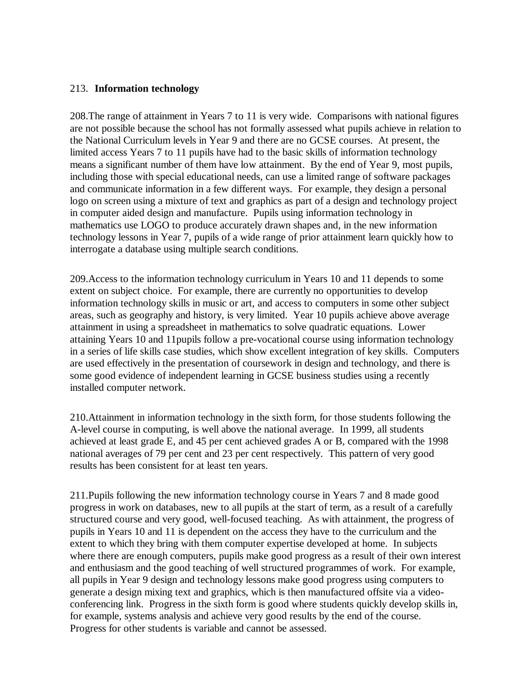### 213. **Information technology**

208.The range of attainment in Years 7 to 11 is very wide. Comparisons with national figures are not possible because the school has not formally assessed what pupils achieve in relation to the National Curriculum levels in Year 9 and there are no GCSE courses. At present, the limited access Years 7 to 11 pupils have had to the basic skills of information technology means a significant number of them have low attainment. By the end of Year 9, most pupils, including those with special educational needs, can use a limited range of software packages and communicate information in a few different ways. For example, they design a personal logo on screen using a mixture of text and graphics as part of a design and technology project in computer aided design and manufacture. Pupils using information technology in mathematics use LOGO to produce accurately drawn shapes and, in the new information technology lessons in Year 7, pupils of a wide range of prior attainment learn quickly how to interrogate a database using multiple search conditions.

209.Access to the information technology curriculum in Years 10 and 11 depends to some extent on subject choice. For example, there are currently no opportunities to develop information technology skills in music or art, and access to computers in some other subject areas, such as geography and history, is very limited. Year 10 pupils achieve above average attainment in using a spreadsheet in mathematics to solve quadratic equations. Lower attaining Years 10 and 11pupils follow a pre-vocational course using information technology in a series of life skills case studies, which show excellent integration of key skills. Computers are used effectively in the presentation of coursework in design and technology, and there is some good evidence of independent learning in GCSE business studies using a recently installed computer network.

210.Attainment in information technology in the sixth form, for those students following the A-level course in computing, is well above the national average. In 1999, all students achieved at least grade E, and 45 per cent achieved grades A or B, compared with the 1998 national averages of 79 per cent and 23 per cent respectively. This pattern of very good results has been consistent for at least ten years.

211.Pupils following the new information technology course in Years 7 and 8 made good progress in work on databases, new to all pupils at the start of term, as a result of a carefully structured course and very good, well-focused teaching. As with attainment, the progress of pupils in Years 10 and 11 is dependent on the access they have to the curriculum and the extent to which they bring with them computer expertise developed at home. In subjects where there are enough computers, pupils make good progress as a result of their own interest and enthusiasm and the good teaching of well structured programmes of work. For example, all pupils in Year 9 design and technology lessons make good progress using computers to generate a design mixing text and graphics, which is then manufactured offsite via a videoconferencing link. Progress in the sixth form is good where students quickly develop skills in, for example, systems analysis and achieve very good results by the end of the course. Progress for other students is variable and cannot be assessed.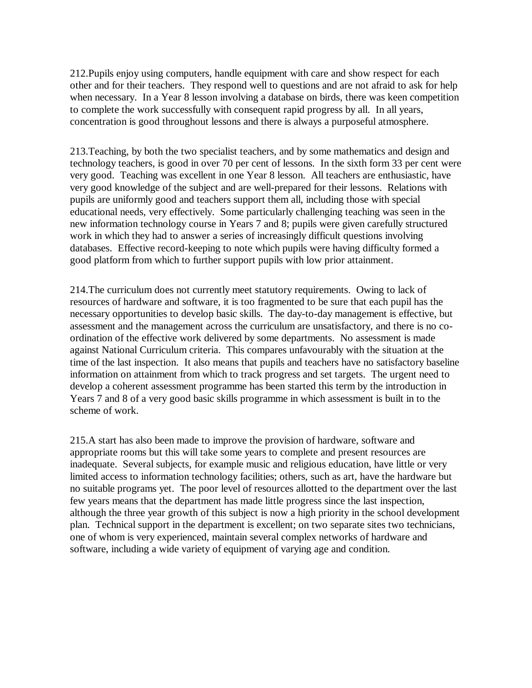212.Pupils enjoy using computers, handle equipment with care and show respect for each other and for their teachers. They respond well to questions and are not afraid to ask for help when necessary. In a Year 8 lesson involving a database on birds, there was keen competition to complete the work successfully with consequent rapid progress by all. In all years, concentration is good throughout lessons and there is always a purposeful atmosphere.

213.Teaching, by both the two specialist teachers, and by some mathematics and design and technology teachers, is good in over 70 per cent of lessons. In the sixth form 33 per cent were very good. Teaching was excellent in one Year 8 lesson. All teachers are enthusiastic, have very good knowledge of the subject and are well-prepared for their lessons. Relations with pupils are uniformly good and teachers support them all, including those with special educational needs, very effectively. Some particularly challenging teaching was seen in the new information technology course in Years 7 and 8; pupils were given carefully structured work in which they had to answer a series of increasingly difficult questions involving databases. Effective record-keeping to note which pupils were having difficulty formed a good platform from which to further support pupils with low prior attainment.

214.The curriculum does not currently meet statutory requirements. Owing to lack of resources of hardware and software, it is too fragmented to be sure that each pupil has the necessary opportunities to develop basic skills. The day-to-day management is effective, but assessment and the management across the curriculum are unsatisfactory, and there is no coordination of the effective work delivered by some departments. No assessment is made against National Curriculum criteria. This compares unfavourably with the situation at the time of the last inspection. It also means that pupils and teachers have no satisfactory baseline information on attainment from which to track progress and set targets. The urgent need to develop a coherent assessment programme has been started this term by the introduction in Years 7 and 8 of a very good basic skills programme in which assessment is built in to the scheme of work.

215.A start has also been made to improve the provision of hardware, software and appropriate rooms but this will take some years to complete and present resources are inadequate. Several subjects, for example music and religious education, have little or very limited access to information technology facilities; others, such as art, have the hardware but no suitable programs yet. The poor level of resources allotted to the department over the last few years means that the department has made little progress since the last inspection, although the three year growth of this subject is now a high priority in the school development plan. Technical support in the department is excellent; on two separate sites two technicians, one of whom is very experienced, maintain several complex networks of hardware and software, including a wide variety of equipment of varying age and condition.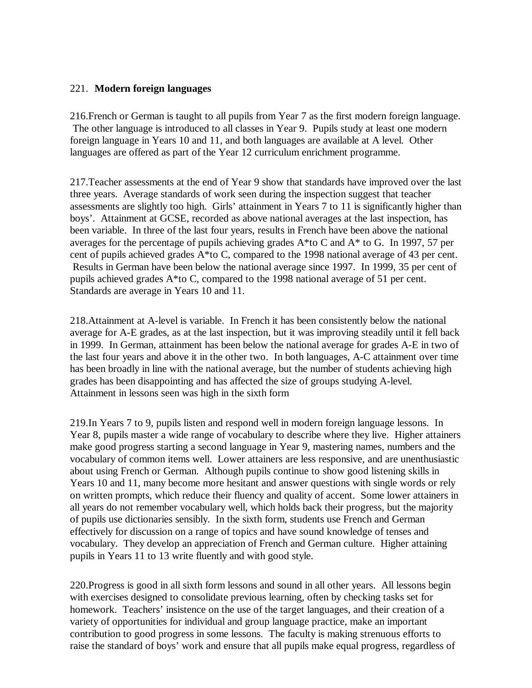# 221. **Modern foreign languages**

216.French or German is taught to all pupils from Year 7 as the first modern foreign language. The other language is introduced to all classes in Year 9. Pupils study at least one modern foreign language in Years 10 and 11, and both languages are available at A level. Other languages are offered as part of the Year 12 curriculum enrichment programme.

217.Teacher assessments at the end of Year 9 show that standards have improved over the last three years. Average standards of work seen during the inspection suggest that teacher assessments are slightly too high. Girls' attainment in Years 7 to 11 is significantly higher than boys'. Attainment at GCSE, recorded as above national averages at the last inspection, has been variable. In three of the last four years, results in French have been above the national averages for the percentage of pupils achieving grades A\*to C and A\* to G. In 1997, 57 per cent of pupils achieved grades A\*to C, compared to the 1998 national average of 43 per cent. Results in German have been below the national average since 1997. In 1999, 35 per cent of pupils achieved grades A\*to C, compared to the 1998 national average of 51 per cent. Standards are average in Years 10 and 11.

218.Attainment at A-level is variable. In French it has been consistently below the national average for A-E grades, as at the last inspection, but it was improving steadily until it fell back in 1999. In German, attainment has been below the national average for grades A-E in two of the last four years and above it in the other two. In both languages, A-C attainment over time has been broadly in line with the national average, but the number of students achieving high grades has been disappointing and has affected the size of groups studying A-level. Attainment in lessons seen was high in the sixth form

219.In Years 7 to 9, pupils listen and respond well in modern foreign language lessons. In Year 8, pupils master a wide range of vocabulary to describe where they live. Higher attainers make good progress starting a second language in Year 9, mastering names, numbers and the vocabulary of common items well. Lower attainers are less responsive, and are unenthusiastic about using French or German. Although pupils continue to show good listening skills in Years 10 and 11, many become more hesitant and answer questions with single words or rely on written prompts, which reduce their fluency and quality of accent. Some lower attainers in all years do not remember vocabulary well, which holds back their progress, but the majority of pupils use dictionaries sensibly. In the sixth form, students use French and German effectively for discussion on a range of topics and have sound knowledge of tenses and vocabulary. They develop an appreciation of French and German culture. Higher attaining pupils in Years 11 to 13 write fluently and with good style.

220.Progress is good in all sixth form lessons and sound in all other years. All lessons begin with exercises designed to consolidate previous learning, often by checking tasks set for homework. Teachers' insistence on the use of the target languages, and their creation of a variety of opportunities for individual and group language practice, make an important contribution to good progress in some lessons. The faculty is making strenuous efforts to raise the standard of boys' work and ensure that all pupils make equal progress, regardless of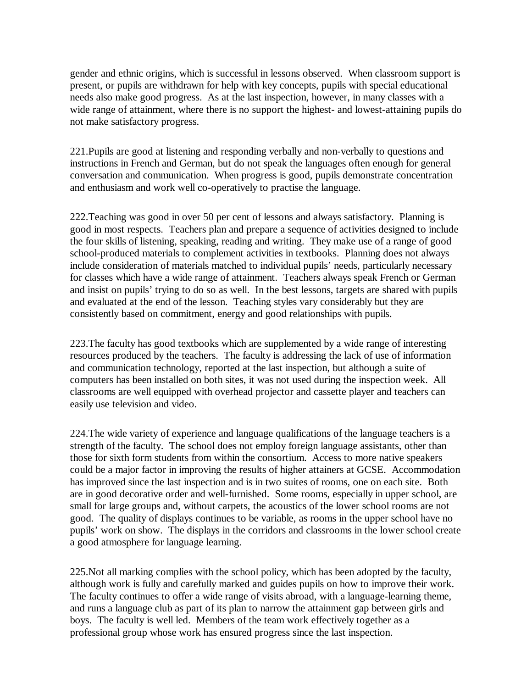gender and ethnic origins, which is successful in lessons observed. When classroom support is present, or pupils are withdrawn for help with key concepts, pupils with special educational needs also make good progress. As at the last inspection, however, in many classes with a wide range of attainment, where there is no support the highest- and lowest-attaining pupils do not make satisfactory progress.

221.Pupils are good at listening and responding verbally and non-verbally to questions and instructions in French and German, but do not speak the languages often enough for general conversation and communication. When progress is good, pupils demonstrate concentration and enthusiasm and work well co-operatively to practise the language.

222.Teaching was good in over 50 per cent of lessons and always satisfactory. Planning is good in most respects. Teachers plan and prepare a sequence of activities designed to include the four skills of listening, speaking, reading and writing. They make use of a range of good school-produced materials to complement activities in textbooks. Planning does not always include consideration of materials matched to individual pupils' needs, particularly necessary for classes which have a wide range of attainment. Teachers always speak French or German and insist on pupils' trying to do so as well. In the best lessons, targets are shared with pupils and evaluated at the end of the lesson. Teaching styles vary considerably but they are consistently based on commitment, energy and good relationships with pupils.

223.The faculty has good textbooks which are supplemented by a wide range of interesting resources produced by the teachers. The faculty is addressing the lack of use of information and communication technology, reported at the last inspection, but although a suite of computers has been installed on both sites, it was not used during the inspection week. All classrooms are well equipped with overhead projector and cassette player and teachers can easily use television and video.

224.The wide variety of experience and language qualifications of the language teachers is a strength of the faculty. The school does not employ foreign language assistants, other than those for sixth form students from within the consortium. Access to more native speakers could be a major factor in improving the results of higher attainers at GCSE. Accommodation has improved since the last inspection and is in two suites of rooms, one on each site. Both are in good decorative order and well-furnished. Some rooms, especially in upper school, are small for large groups and, without carpets, the acoustics of the lower school rooms are not good. The quality of displays continues to be variable, as rooms in the upper school have no pupils' work on show. The displays in the corridors and classrooms in the lower school create a good atmosphere for language learning.

225.Not all marking complies with the school policy, which has been adopted by the faculty, although work is fully and carefully marked and guides pupils on how to improve their work. The faculty continues to offer a wide range of visits abroad, with a language-learning theme, and runs a language club as part of its plan to narrow the attainment gap between girls and boys. The faculty is well led. Members of the team work effectively together as a professional group whose work has ensured progress since the last inspection.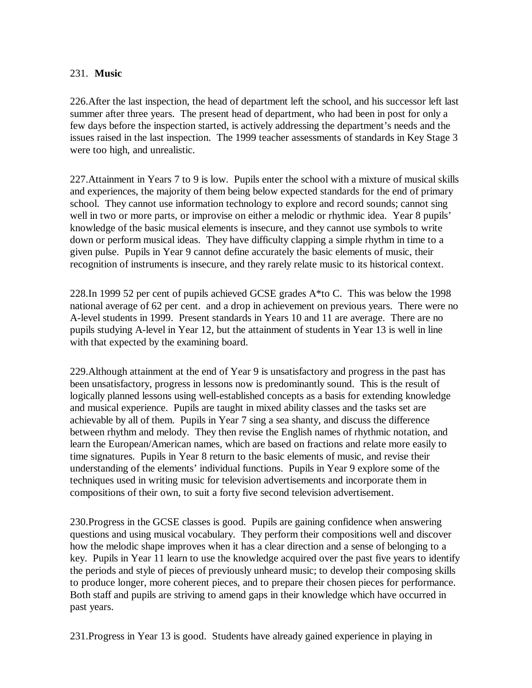# 231. **Music**

226.After the last inspection, the head of department left the school, and his successor left last summer after three years. The present head of department, who had been in post for only a few days before the inspection started, is actively addressing the department's needs and the issues raised in the last inspection. The 1999 teacher assessments of standards in Key Stage 3 were too high, and unrealistic.

227.Attainment in Years 7 to 9 is low. Pupils enter the school with a mixture of musical skills and experiences, the majority of them being below expected standards for the end of primary school. They cannot use information technology to explore and record sounds; cannot sing well in two or more parts, or improvise on either a melodic or rhythmic idea. Year 8 pupils' knowledge of the basic musical elements is insecure, and they cannot use symbols to write down or perform musical ideas. They have difficulty clapping a simple rhythm in time to a given pulse. Pupils in Year 9 cannot define accurately the basic elements of music, their recognition of instruments is insecure, and they rarely relate music to its historical context.

228.In 1999 52 per cent of pupils achieved GCSE grades A\*to C. This was below the 1998 national average of 62 per cent. and a drop in achievement on previous years. There were no A-level students in 1999. Present standards in Years 10 and 11 are average. There are no pupils studying A-level in Year 12, but the attainment of students in Year 13 is well in line with that expected by the examining board.

229.Although attainment at the end of Year 9 is unsatisfactory and progress in the past has been unsatisfactory, progress in lessons now is predominantly sound. This is the result of logically planned lessons using well-established concepts as a basis for extending knowledge and musical experience. Pupils are taught in mixed ability classes and the tasks set are achievable by all of them. Pupils in Year 7 sing a sea shanty, and discuss the difference between rhythm and melody. They then revise the English names of rhythmic notation, and learn the European/American names, which are based on fractions and relate more easily to time signatures. Pupils in Year 8 return to the basic elements of music, and revise their understanding of the elements' individual functions. Pupils in Year 9 explore some of the techniques used in writing music for television advertisements and incorporate them in compositions of their own, to suit a forty five second television advertisement.

230.Progress in the GCSE classes is good. Pupils are gaining confidence when answering questions and using musical vocabulary. They perform their compositions well and discover how the melodic shape improves when it has a clear direction and a sense of belonging to a key. Pupils in Year 11 learn to use the knowledge acquired over the past five years to identify the periods and style of pieces of previously unheard music; to develop their composing skills to produce longer, more coherent pieces, and to prepare their chosen pieces for performance. Both staff and pupils are striving to amend gaps in their knowledge which have occurred in past years.

231.Progress in Year 13 is good. Students have already gained experience in playing in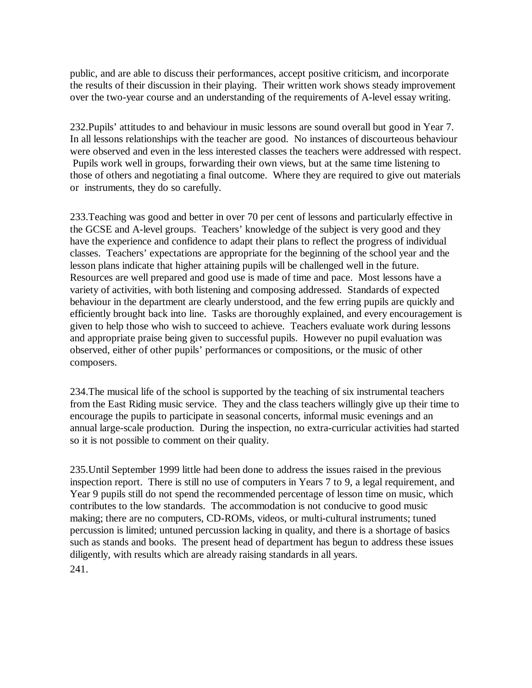public, and are able to discuss their performances, accept positive criticism, and incorporate the results of their discussion in their playing. Their written work shows steady improvement over the two-year course and an understanding of the requirements of A-level essay writing.

232.Pupils' attitudes to and behaviour in music lessons are sound overall but good in Year 7. In all lessons relationships with the teacher are good. No instances of discourteous behaviour were observed and even in the less interested classes the teachers were addressed with respect. Pupils work well in groups, forwarding their own views, but at the same time listening to those of others and negotiating a final outcome. Where they are required to give out materials or instruments, they do so carefully.

233.Teaching was good and better in over 70 per cent of lessons and particularly effective in the GCSE and A-level groups. Teachers' knowledge of the subject is very good and they have the experience and confidence to adapt their plans to reflect the progress of individual classes. Teachers' expectations are appropriate for the beginning of the school year and the lesson plans indicate that higher attaining pupils will be challenged well in the future. Resources are well prepared and good use is made of time and pace. Most lessons have a variety of activities, with both listening and composing addressed. Standards of expected behaviour in the department are clearly understood, and the few erring pupils are quickly and efficiently brought back into line. Tasks are thoroughly explained, and every encouragement is given to help those who wish to succeed to achieve. Teachers evaluate work during lessons and appropriate praise being given to successful pupils. However no pupil evaluation was observed, either of other pupils' performances or compositions, or the music of other composers.

234.The musical life of the school is supported by the teaching of six instrumental teachers from the East Riding music service. They and the class teachers willingly give up their time to encourage the pupils to participate in seasonal concerts, informal music evenings and an annual large-scale production. During the inspection, no extra-curricular activities had started so it is not possible to comment on their quality.

235.Until September 1999 little had been done to address the issues raised in the previous inspection report. There is still no use of computers in Years 7 to 9, a legal requirement, and Year 9 pupils still do not spend the recommended percentage of lesson time on music, which contributes to the low standards. The accommodation is not conducive to good music making; there are no computers, CD-ROMs, videos, or multi-cultural instruments; tuned percussion is limited; untuned percussion lacking in quality, and there is a shortage of basics such as stands and books. The present head of department has begun to address these issues diligently, with results which are already raising standards in all years. 241.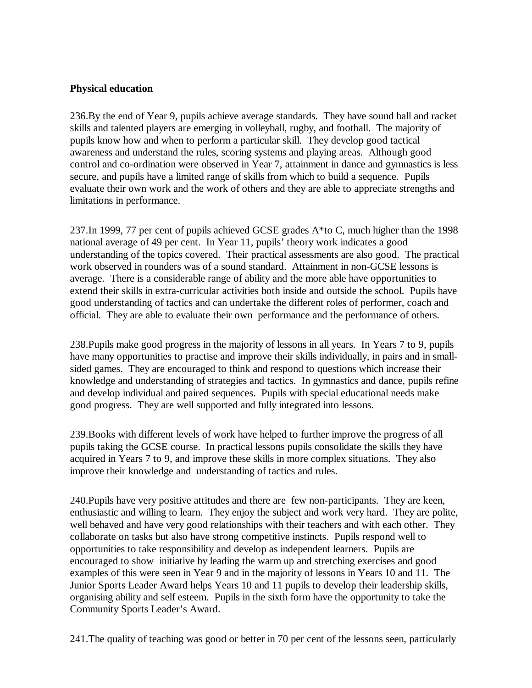### **Physical education**

236.By the end of Year 9, pupils achieve average standards. They have sound ball and racket skills and talented players are emerging in volleyball, rugby, and football. The majority of pupils know how and when to perform a particular skill. They develop good tactical awareness and understand the rules, scoring systems and playing areas. Although good control and co-ordination were observed in Year 7, attainment in dance and gymnastics is less secure, and pupils have a limited range of skills from which to build a sequence. Pupils evaluate their own work and the work of others and they are able to appreciate strengths and limitations in performance.

237.In 1999, 77 per cent of pupils achieved GCSE grades A\*to C, much higher than the 1998 national average of 49 per cent. In Year 11, pupils' theory work indicates a good understanding of the topics covered. Their practical assessments are also good. The practical work observed in rounders was of a sound standard. Attainment in non-GCSE lessons is average. There is a considerable range of ability and the more able have opportunities to extend their skills in extra-curricular activities both inside and outside the school. Pupils have good understanding of tactics and can undertake the different roles of performer, coach and official. They are able to evaluate their own performance and the performance of others.

238.Pupils make good progress in the majority of lessons in all years. In Years 7 to 9, pupils have many opportunities to practise and improve their skills individually, in pairs and in smallsided games. They are encouraged to think and respond to questions which increase their knowledge and understanding of strategies and tactics. In gymnastics and dance, pupils refine and develop individual and paired sequences. Pupils with special educational needs make good progress. They are well supported and fully integrated into lessons.

239.Books with different levels of work have helped to further improve the progress of all pupils taking the GCSE course. In practical lessons pupils consolidate the skills they have acquired in Years 7 to 9, and improve these skills in more complex situations. They also improve their knowledge and understanding of tactics and rules.

240.Pupils have very positive attitudes and there are few non-participants. They are keen, enthusiastic and willing to learn. They enjoy the subject and work very hard. They are polite, well behaved and have very good relationships with their teachers and with each other. They collaborate on tasks but also have strong competitive instincts. Pupils respond well to opportunities to take responsibility and develop as independent learners. Pupils are encouraged to show initiative by leading the warm up and stretching exercises and good examples of this were seen in Year 9 and in the majority of lessons in Years 10 and 11. The Junior Sports Leader Award helps Years 10 and 11 pupils to develop their leadership skills, organising ability and self esteem. Pupils in the sixth form have the opportunity to take the Community Sports Leader's Award.

241.The quality of teaching was good or better in 70 per cent of the lessons seen, particularly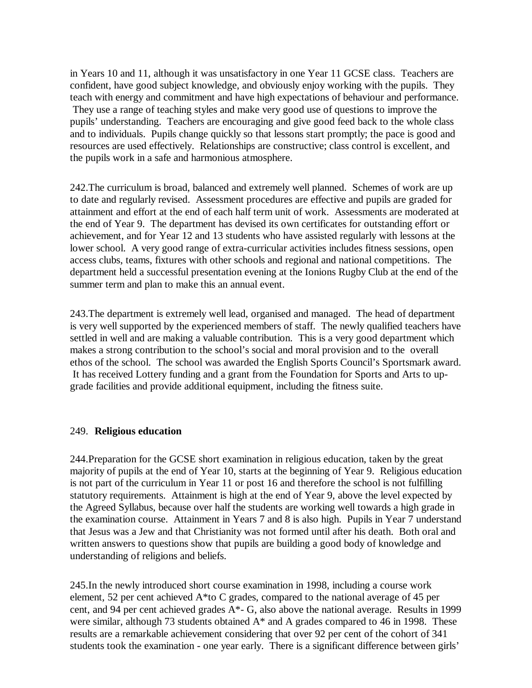in Years 10 and 11, although it was unsatisfactory in one Year 11 GCSE class. Teachers are confident, have good subject knowledge, and obviously enjoy working with the pupils. They teach with energy and commitment and have high expectations of behaviour and performance. They use a range of teaching styles and make very good use of questions to improve the pupils' understanding. Teachers are encouraging and give good feed back to the whole class and to individuals. Pupils change quickly so that lessons start promptly; the pace is good and resources are used effectively. Relationships are constructive; class control is excellent, and the pupils work in a safe and harmonious atmosphere.

242.The curriculum is broad, balanced and extremely well planned. Schemes of work are up to date and regularly revised. Assessment procedures are effective and pupils are graded for attainment and effort at the end of each half term unit of work. Assessments are moderated at the end of Year 9. The department has devised its own certificates for outstanding effort or achievement, and for Year 12 and 13 students who have assisted regularly with lessons at the lower school. A very good range of extra-curricular activities includes fitness sessions, open access clubs, teams, fixtures with other schools and regional and national competitions. The department held a successful presentation evening at the Ionions Rugby Club at the end of the summer term and plan to make this an annual event.

243.The department is extremely well lead, organised and managed. The head of department is very well supported by the experienced members of staff. The newly qualified teachers have settled in well and are making a valuable contribution. This is a very good department which makes a strong contribution to the school's social and moral provision and to the overall ethos of the school. The school was awarded the English Sports Council's Sportsmark award. It has received Lottery funding and a grant from the Foundation for Sports and Arts to upgrade facilities and provide additional equipment, including the fitness suite.

#### 249. **Religious education**

244.Preparation for the GCSE short examination in religious education, taken by the great majority of pupils at the end of Year 10, starts at the beginning of Year 9. Religious education is not part of the curriculum in Year 11 or post 16 and therefore the school is not fulfilling statutory requirements. Attainment is high at the end of Year 9, above the level expected by the Agreed Syllabus, because over half the students are working well towards a high grade in the examination course. Attainment in Years 7 and 8 is also high. Pupils in Year 7 understand that Jesus was a Jew and that Christianity was not formed until after his death. Both oral and written answers to questions show that pupils are building a good body of knowledge and understanding of religions and beliefs.

245.In the newly introduced short course examination in 1998, including a course work element, 52 per cent achieved A\*to C grades, compared to the national average of 45 per cent, and 94 per cent achieved grades A\*- G, also above the national average. Results in 1999 were similar, although 73 students obtained A\* and A grades compared to 46 in 1998. These results are a remarkable achievement considering that over 92 per cent of the cohort of 341 students took the examination - one year early. There is a significant difference between girls'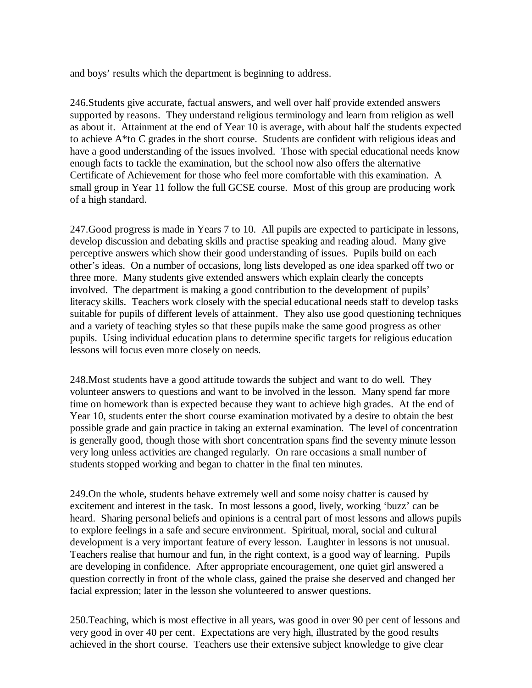and boys' results which the department is beginning to address.

246.Students give accurate, factual answers, and well over half provide extended answers supported by reasons. They understand religious terminology and learn from religion as well as about it. Attainment at the end of Year 10 is average, with about half the students expected to achieve A\*to C grades in the short course. Students are confident with religious ideas and have a good understanding of the issues involved. Those with special educational needs know enough facts to tackle the examination, but the school now also offers the alternative Certificate of Achievement for those who feel more comfortable with this examination. A small group in Year 11 follow the full GCSE course. Most of this group are producing work of a high standard.

247.Good progress is made in Years 7 to 10. All pupils are expected to participate in lessons, develop discussion and debating skills and practise speaking and reading aloud. Many give perceptive answers which show their good understanding of issues. Pupils build on each other's ideas. On a number of occasions, long lists developed as one idea sparked off two or three more. Many students give extended answers which explain clearly the concepts involved. The department is making a good contribution to the development of pupils' literacy skills. Teachers work closely with the special educational needs staff to develop tasks suitable for pupils of different levels of attainment. They also use good questioning techniques and a variety of teaching styles so that these pupils make the same good progress as other pupils. Using individual education plans to determine specific targets for religious education lessons will focus even more closely on needs.

248.Most students have a good attitude towards the subject and want to do well. They volunteer answers to questions and want to be involved in the lesson. Many spend far more time on homework than is expected because they want to achieve high grades. At the end of Year 10, students enter the short course examination motivated by a desire to obtain the best possible grade and gain practice in taking an external examination. The level of concentration is generally good, though those with short concentration spans find the seventy minute lesson very long unless activities are changed regularly. On rare occasions a small number of students stopped working and began to chatter in the final ten minutes.

249.On the whole, students behave extremely well and some noisy chatter is caused by excitement and interest in the task. In most lessons a good, lively, working 'buzz' can be heard. Sharing personal beliefs and opinions is a central part of most lessons and allows pupils to explore feelings in a safe and secure environment. Spiritual, moral, social and cultural development is a very important feature of every lesson. Laughter in lessons is not unusual. Teachers realise that humour and fun, in the right context, is a good way of learning. Pupils are developing in confidence. After appropriate encouragement, one quiet girl answered a question correctly in front of the whole class, gained the praise she deserved and changed her facial expression; later in the lesson she volunteered to answer questions.

250.Teaching, which is most effective in all years, was good in over 90 per cent of lessons and very good in over 40 per cent. Expectations are very high, illustrated by the good results achieved in the short course. Teachers use their extensive subject knowledge to give clear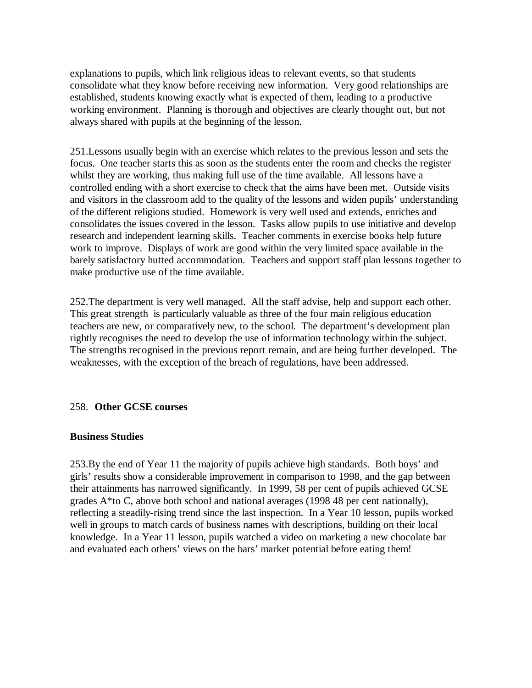explanations to pupils, which link religious ideas to relevant events, so that students consolidate what they know before receiving new information. Very good relationships are established, students knowing exactly what is expected of them, leading to a productive working environment. Planning is thorough and objectives are clearly thought out, but not always shared with pupils at the beginning of the lesson.

251.Lessons usually begin with an exercise which relates to the previous lesson and sets the focus. One teacher starts this as soon as the students enter the room and checks the register whilst they are working, thus making full use of the time available. All lessons have a controlled ending with a short exercise to check that the aims have been met. Outside visits and visitors in the classroom add to the quality of the lessons and widen pupils' understanding of the different religions studied. Homework is very well used and extends, enriches and consolidates the issues covered in the lesson. Tasks allow pupils to use initiative and develop research and independent learning skills. Teacher comments in exercise books help future work to improve. Displays of work are good within the very limited space available in the barely satisfactory hutted accommodation. Teachers and support staff plan lessons together to make productive use of the time available.

252.The department is very well managed. All the staff advise, help and support each other. This great strength is particularly valuable as three of the four main religious education teachers are new, or comparatively new, to the school. The department's development plan rightly recognises the need to develop the use of information technology within the subject. The strengths recognised in the previous report remain, and are being further developed. The weaknesses, with the exception of the breach of regulations, have been addressed.

#### 258. **Other GCSE courses**

#### **Business Studies**

253.By the end of Year 11 the majority of pupils achieve high standards. Both boys' and girls' results show a considerable improvement in comparison to 1998, and the gap between their attainments has narrowed significantly. In 1999, 58 per cent of pupils achieved GCSE grades A\*to C, above both school and national averages (1998 48 per cent nationally), reflecting a steadily-rising trend since the last inspection. In a Year 10 lesson, pupils worked well in groups to match cards of business names with descriptions, building on their local knowledge. In a Year 11 lesson, pupils watched a video on marketing a new chocolate bar and evaluated each others' views on the bars' market potential before eating them!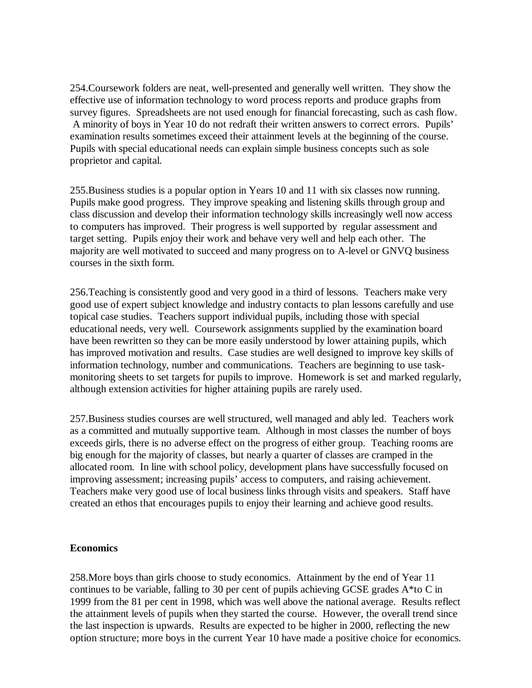254.Coursework folders are neat, well-presented and generally well written. They show the effective use of information technology to word process reports and produce graphs from survey figures. Spreadsheets are not used enough for financial forecasting, such as cash flow. A minority of boys in Year 10 do not redraft their written answers to correct errors. Pupils' examination results sometimes exceed their attainment levels at the beginning of the course. Pupils with special educational needs can explain simple business concepts such as sole proprietor and capital.

255.Business studies is a popular option in Years 10 and 11 with six classes now running. Pupils make good progress. They improve speaking and listening skills through group and class discussion and develop their information technology skills increasingly well now access to computers has improved. Their progress is well supported by regular assessment and target setting. Pupils enjoy their work and behave very well and help each other. The majority are well motivated to succeed and many progress on to A-level or GNVQ business courses in the sixth form.

256.Teaching is consistently good and very good in a third of lessons. Teachers make very good use of expert subject knowledge and industry contacts to plan lessons carefully and use topical case studies. Teachers support individual pupils, including those with special educational needs, very well. Coursework assignments supplied by the examination board have been rewritten so they can be more easily understood by lower attaining pupils, which has improved motivation and results. Case studies are well designed to improve key skills of information technology, number and communications. Teachers are beginning to use taskmonitoring sheets to set targets for pupils to improve. Homework is set and marked regularly, although extension activities for higher attaining pupils are rarely used.

257.Business studies courses are well structured, well managed and ably led. Teachers work as a committed and mutually supportive team. Although in most classes the number of boys exceeds girls, there is no adverse effect on the progress of either group. Teaching rooms are big enough for the majority of classes, but nearly a quarter of classes are cramped in the allocated room. In line with school policy, development plans have successfully focused on improving assessment; increasing pupils' access to computers, and raising achievement. Teachers make very good use of local business links through visits and speakers. Staff have created an ethos that encourages pupils to enjoy their learning and achieve good results.

#### **Economics**

258.More boys than girls choose to study economics. Attainment by the end of Year 11 continues to be variable, falling to 30 per cent of pupils achieving GCSE grades A\*to C in 1999 from the 81 per cent in 1998, which was well above the national average. Results reflect the attainment levels of pupils when they started the course. However, the overall trend since the last inspection is upwards. Results are expected to be higher in 2000, reflecting the new option structure; more boys in the current Year 10 have made a positive choice for economics.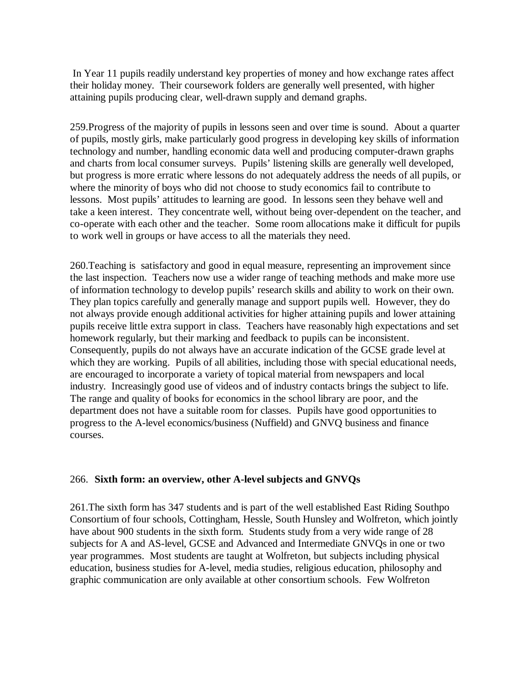In Year 11 pupils readily understand key properties of money and how exchange rates affect their holiday money. Their coursework folders are generally well presented, with higher attaining pupils producing clear, well-drawn supply and demand graphs.

259.Progress of the majority of pupils in lessons seen and over time is sound. About a quarter of pupils, mostly girls, make particularly good progress in developing key skills of information technology and number, handling economic data well and producing computer-drawn graphs and charts from local consumer surveys. Pupils' listening skills are generally well developed, but progress is more erratic where lessons do not adequately address the needs of all pupils, or where the minority of boys who did not choose to study economics fail to contribute to lessons. Most pupils' attitudes to learning are good. In lessons seen they behave well and take a keen interest. They concentrate well, without being over-dependent on the teacher, and co-operate with each other and the teacher. Some room allocations make it difficult for pupils to work well in groups or have access to all the materials they need.

260.Teaching is satisfactory and good in equal measure, representing an improvement since the last inspection. Teachers now use a wider range of teaching methods and make more use of information technology to develop pupils' research skills and ability to work on their own. They plan topics carefully and generally manage and support pupils well. However, they do not always provide enough additional activities for higher attaining pupils and lower attaining pupils receive little extra support in class. Teachers have reasonably high expectations and set homework regularly, but their marking and feedback to pupils can be inconsistent. Consequently, pupils do not always have an accurate indication of the GCSE grade level at which they are working. Pupils of all abilities, including those with special educational needs, are encouraged to incorporate a variety of topical material from newspapers and local industry. Increasingly good use of videos and of industry contacts brings the subject to life. The range and quality of books for economics in the school library are poor, and the department does not have a suitable room for classes. Pupils have good opportunities to progress to the A-level economics/business (Nuffield) and GNVQ business and finance courses.

#### 266. **Sixth form: an overview, other A-level subjects and GNVQs**

261.The sixth form has 347 students and is part of the well established East Riding Southpo Consortium of four schools, Cottingham, Hessle, South Hunsley and Wolfreton, which jointly have about 900 students in the sixth form. Students study from a very wide range of 28 subjects for A and AS-level, GCSE and Advanced and Intermediate GNVQs in one or two year programmes. Most students are taught at Wolfreton, but subjects including physical education, business studies for A-level, media studies, religious education, philosophy and graphic communication are only available at other consortium schools. Few Wolfreton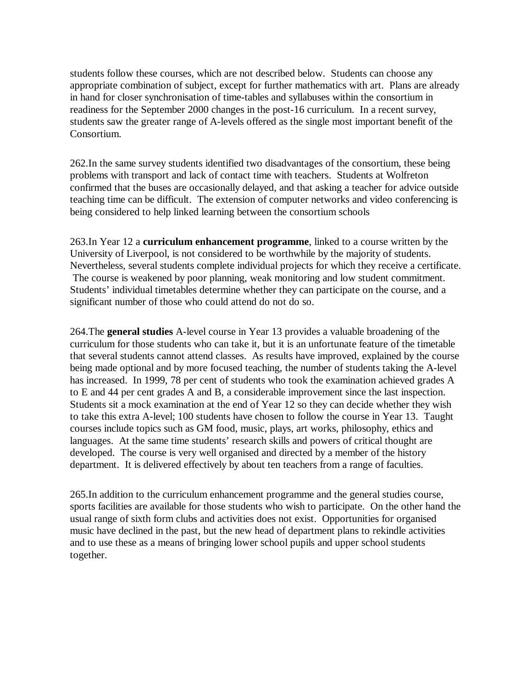students follow these courses, which are not described below. Students can choose any appropriate combination of subject, except for further mathematics with art. Plans are already in hand for closer synchronisation of time-tables and syllabuses within the consortium in readiness for the September 2000 changes in the post-16 curriculum. In a recent survey, students saw the greater range of A-levels offered as the single most important benefit of the Consortium.

262.In the same survey students identified two disadvantages of the consortium, these being problems with transport and lack of contact time with teachers. Students at Wolfreton confirmed that the buses are occasionally delayed, and that asking a teacher for advice outside teaching time can be difficult. The extension of computer networks and video conferencing is being considered to help linked learning between the consortium schools

263.In Year 12 a **curriculum enhancement programme**, linked to a course written by the University of Liverpool, is not considered to be worthwhile by the majority of students. Nevertheless, several students complete individual projects for which they receive a certificate. The course is weakened by poor planning, weak monitoring and low student commitment. Students' individual timetables determine whether they can participate on the course, and a significant number of those who could attend do not do so.

264.The **general studies** A-level course in Year 13 provides a valuable broadening of the curriculum for those students who can take it, but it is an unfortunate feature of the timetable that several students cannot attend classes. As results have improved, explained by the course being made optional and by more focused teaching, the number of students taking the A-level has increased. In 1999, 78 per cent of students who took the examination achieved grades A to E and 44 per cent grades A and B, a considerable improvement since the last inspection. Students sit a mock examination at the end of Year 12 so they can decide whether they wish to take this extra A-level; 100 students have chosen to follow the course in Year 13. Taught courses include topics such as GM food, music, plays, art works, philosophy, ethics and languages. At the same time students' research skills and powers of critical thought are developed. The course is very well organised and directed by a member of the history department. It is delivered effectively by about ten teachers from a range of faculties.

265.In addition to the curriculum enhancement programme and the general studies course, sports facilities are available for those students who wish to participate. On the other hand the usual range of sixth form clubs and activities does not exist. Opportunities for organised music have declined in the past, but the new head of department plans to rekindle activities and to use these as a means of bringing lower school pupils and upper school students together.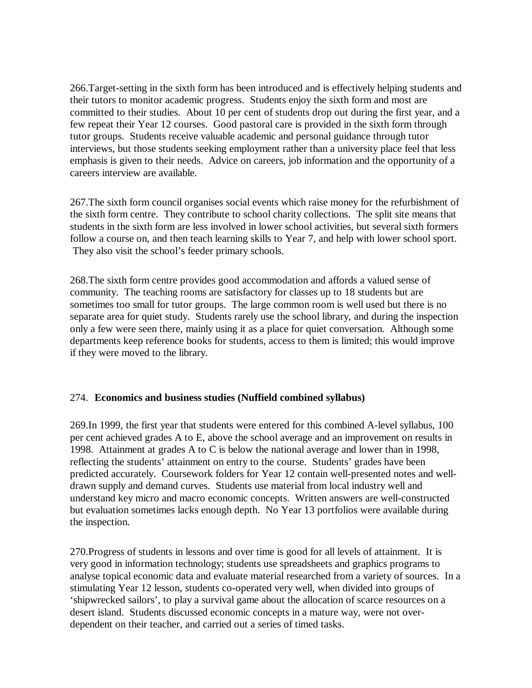266.Target-setting in the sixth form has been introduced and is effectively helping students and their tutors to monitor academic progress. Students enjoy the sixth form and most are committed to their studies. About 10 per cent of students drop out during the first year, and a few repeat their Year 12 courses. Good pastoral care is provided in the sixth form through tutor groups. Students receive valuable academic and personal guidance through tutor interviews, but those students seeking employment rather than a university place feel that less emphasis is given to their needs. Advice on careers, job information and the opportunity of a careers interview are available.

267.The sixth form council organises social events which raise money for the refurbishment of the sixth form centre. They contribute to school charity collections. The split site means that students in the sixth form are less involved in lower school activities, but several sixth formers follow a course on, and then teach learning skills to Year 7, and help with lower school sport. They also visit the school's feeder primary schools.

268.The sixth form centre provides good accommodation and affords a valued sense of community. The teaching rooms are satisfactory for classes up to 18 students but are sometimes too small for tutor groups. The large common room is well used but there is no separate area for quiet study. Students rarely use the school library, and during the inspection only a few were seen there, mainly using it as a place for quiet conversation. Although some departments keep reference books for students, access to them is limited; this would improve if they were moved to the library.

#### 274. **Economics and business studies (Nuffield combined syllabus)**

269.In 1999, the first year that students were entered for this combined A-level syllabus, 100 per cent achieved grades A to E, above the school average and an improvement on results in 1998. Attainment at grades A to C is below the national average and lower than in 1998, reflecting the students' attainment on entry to the course. Students' grades have been predicted accurately. Coursework folders for Year 12 contain well-presented notes and welldrawn supply and demand curves. Students use material from local industry well and understand key micro and macro economic concepts. Written answers are well-constructed but evaluation sometimes lacks enough depth. No Year 13 portfolios were available during the inspection.

270.Progress of students in lessons and over time is good for all levels of attainment. It is very good in information technology; students use spreadsheets and graphics programs to analyse topical economic data and evaluate material researched from a variety of sources. In a stimulating Year 12 lesson, students co-operated very well, when divided into groups of 'shipwrecked sailors', to play a survival game about the allocation of scarce resources on a desert island. Students discussed economic concepts in a mature way, were not overdependent on their teacher, and carried out a series of timed tasks.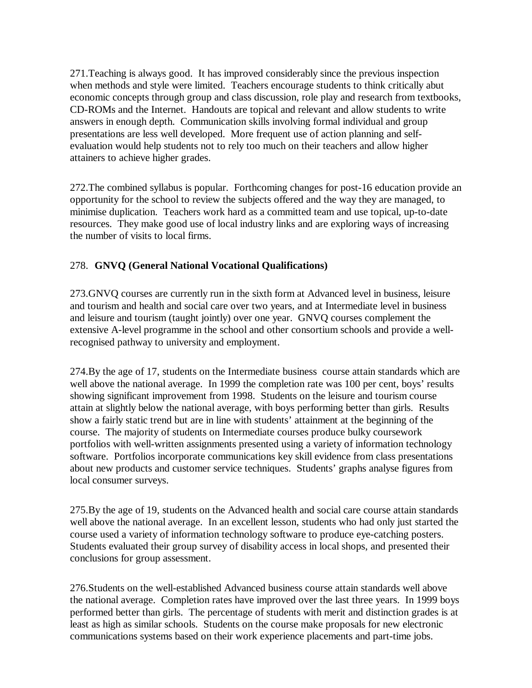271.Teaching is always good. It has improved considerably since the previous inspection when methods and style were limited. Teachers encourage students to think critically abut economic concepts through group and class discussion, role play and research from textbooks, CD-ROMs and the Internet. Handouts are topical and relevant and allow students to write answers in enough depth. Communication skills involving formal individual and group presentations are less well developed. More frequent use of action planning and selfevaluation would help students not to rely too much on their teachers and allow higher attainers to achieve higher grades.

272.The combined syllabus is popular. Forthcoming changes for post-16 education provide an opportunity for the school to review the subjects offered and the way they are managed, to minimise duplication. Teachers work hard as a committed team and use topical, up-to-date resources. They make good use of local industry links and are exploring ways of increasing the number of visits to local firms.

### 278. **GNVQ (General National Vocational Qualifications)**

273.GNVQ courses are currently run in the sixth form at Advanced level in business, leisure and tourism and health and social care over two years, and at Intermediate level in business and leisure and tourism (taught jointly) over one year. GNVQ courses complement the extensive A-level programme in the school and other consortium schools and provide a wellrecognised pathway to university and employment.

274.By the age of 17, students on the Intermediate business course attain standards which are well above the national average. In 1999 the completion rate was 100 per cent, boys' results showing significant improvement from 1998. Students on the leisure and tourism course attain at slightly below the national average, with boys performing better than girls. Results show a fairly static trend but are in line with students' attainment at the beginning of the course. The majority of students on Intermediate courses produce bulky coursework portfolios with well-written assignments presented using a variety of information technology software. Portfolios incorporate communications key skill evidence from class presentations about new products and customer service techniques. Students' graphs analyse figures from local consumer surveys.

275.By the age of 19, students on the Advanced health and social care course attain standards well above the national average. In an excellent lesson, students who had only just started the course used a variety of information technology software to produce eye-catching posters. Students evaluated their group survey of disability access in local shops, and presented their conclusions for group assessment.

276.Students on the well-established Advanced business course attain standards well above the national average. Completion rates have improved over the last three years. In 1999 boys performed better than girls. The percentage of students with merit and distinction grades is at least as high as similar schools. Students on the course make proposals for new electronic communications systems based on their work experience placements and part-time jobs.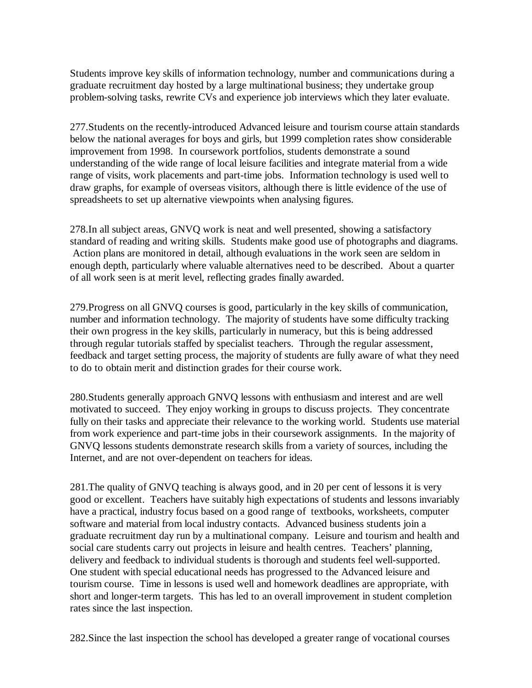Students improve key skills of information technology, number and communications during a graduate recruitment day hosted by a large multinational business; they undertake group problem-solving tasks, rewrite CVs and experience job interviews which they later evaluate.

277.Students on the recently-introduced Advanced leisure and tourism course attain standards below the national averages for boys and girls, but 1999 completion rates show considerable improvement from 1998. In coursework portfolios, students demonstrate a sound understanding of the wide range of local leisure facilities and integrate material from a wide range of visits, work placements and part-time jobs. Information technology is used well to draw graphs, for example of overseas visitors, although there is little evidence of the use of spreadsheets to set up alternative viewpoints when analysing figures.

278.In all subject areas, GNVQ work is neat and well presented, showing a satisfactory standard of reading and writing skills. Students make good use of photographs and diagrams. Action plans are monitored in detail, although evaluations in the work seen are seldom in enough depth, particularly where valuable alternatives need to be described. About a quarter of all work seen is at merit level, reflecting grades finally awarded.

279.Progress on all GNVQ courses is good, particularly in the key skills of communication, number and information technology. The majority of students have some difficulty tracking their own progress in the key skills, particularly in numeracy, but this is being addressed through regular tutorials staffed by specialist teachers. Through the regular assessment, feedback and target setting process, the majority of students are fully aware of what they need to do to obtain merit and distinction grades for their course work.

280.Students generally approach GNVQ lessons with enthusiasm and interest and are well motivated to succeed. They enjoy working in groups to discuss projects. They concentrate fully on their tasks and appreciate their relevance to the working world. Students use material from work experience and part-time jobs in their coursework assignments. In the majority of GNVQ lessons students demonstrate research skills from a variety of sources, including the Internet, and are not over-dependent on teachers for ideas.

281.The quality of GNVQ teaching is always good, and in 20 per cent of lessons it is very good or excellent. Teachers have suitably high expectations of students and lessons invariably have a practical, industry focus based on a good range of textbooks, worksheets, computer software and material from local industry contacts. Advanced business students join a graduate recruitment day run by a multinational company. Leisure and tourism and health and social care students carry out projects in leisure and health centres. Teachers' planning, delivery and feedback to individual students is thorough and students feel well-supported. One student with special educational needs has progressed to the Advanced leisure and tourism course. Time in lessons is used well and homework deadlines are appropriate, with short and longer-term targets. This has led to an overall improvement in student completion rates since the last inspection.

282.Since the last inspection the school has developed a greater range of vocational courses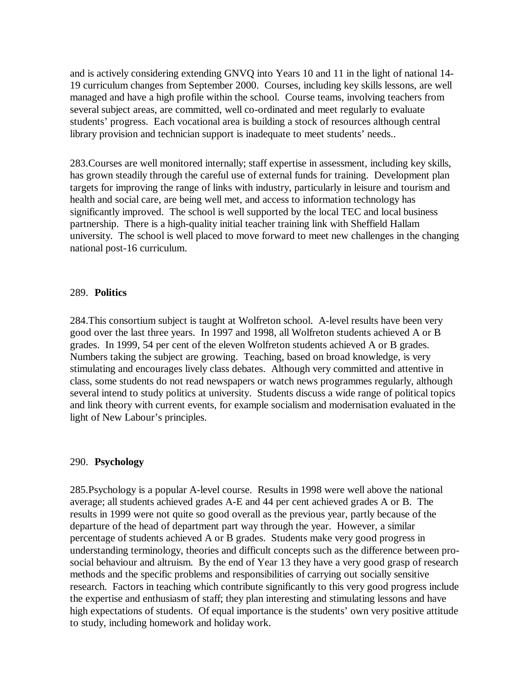and is actively considering extending GNVQ into Years 10 and 11 in the light of national 14- 19 curriculum changes from September 2000. Courses, including key skills lessons, are well managed and have a high profile within the school. Course teams, involving teachers from several subject areas, are committed, well co-ordinated and meet regularly to evaluate students' progress. Each vocational area is building a stock of resources although central library provision and technician support is inadequate to meet students' needs..

283.Courses are well monitored internally; staff expertise in assessment, including key skills, has grown steadily through the careful use of external funds for training. Development plan targets for improving the range of links with industry, particularly in leisure and tourism and health and social care, are being well met, and access to information technology has significantly improved. The school is well supported by the local TEC and local business partnership. There is a high-quality initial teacher training link with Sheffield Hallam university. The school is well placed to move forward to meet new challenges in the changing national post-16 curriculum.

#### 289. **Politics**

284.This consortium subject is taught at Wolfreton school. A-level results have been very good over the last three years. In 1997 and 1998, all Wolfreton students achieved A or B grades. In 1999, 54 per cent of the eleven Wolfreton students achieved A or B grades. Numbers taking the subject are growing. Teaching, based on broad knowledge, is very stimulating and encourages lively class debates. Although very committed and attentive in class, some students do not read newspapers or watch news programmes regularly, although several intend to study politics at university. Students discuss a wide range of political topics and link theory with current events, for example socialism and modernisation evaluated in the light of New Labour's principles.

#### 290. **Psychology**

285.Psychology is a popular A-level course. Results in 1998 were well above the national average; all students achieved grades A-E and 44 per cent achieved grades A or B. The results in 1999 were not quite so good overall as the previous year, partly because of the departure of the head of department part way through the year. However, a similar percentage of students achieved A or B grades. Students make very good progress in understanding terminology, theories and difficult concepts such as the difference between prosocial behaviour and altruism. By the end of Year 13 they have a very good grasp of research methods and the specific problems and responsibilities of carrying out socially sensitive research. Factors in teaching which contribute significantly to this very good progress include the expertise and enthusiasm of staff; they plan interesting and stimulating lessons and have high expectations of students. Of equal importance is the students' own very positive attitude to study, including homework and holiday work.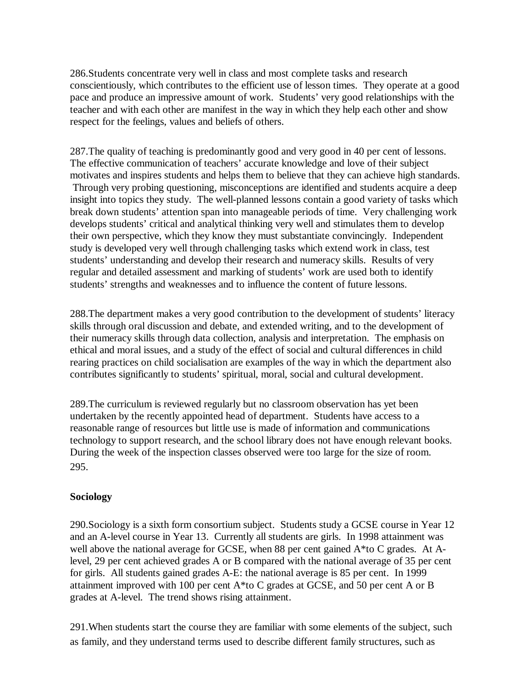286.Students concentrate very well in class and most complete tasks and research conscientiously, which contributes to the efficient use of lesson times. They operate at a good pace and produce an impressive amount of work. Students' very good relationships with the teacher and with each other are manifest in the way in which they help each other and show respect for the feelings, values and beliefs of others.

287.The quality of teaching is predominantly good and very good in 40 per cent of lessons. The effective communication of teachers' accurate knowledge and love of their subject motivates and inspires students and helps them to believe that they can achieve high standards. Through very probing questioning, misconceptions are identified and students acquire a deep insight into topics they study. The well-planned lessons contain a good variety of tasks which break down students' attention span into manageable periods of time. Very challenging work develops students' critical and analytical thinking very well and stimulates them to develop their own perspective, which they know they must substantiate convincingly. Independent study is developed very well through challenging tasks which extend work in class, test students' understanding and develop their research and numeracy skills. Results of very regular and detailed assessment and marking of students' work are used both to identify students' strengths and weaknesses and to influence the content of future lessons.

288.The department makes a very good contribution to the development of students' literacy skills through oral discussion and debate, and extended writing, and to the development of their numeracy skills through data collection, analysis and interpretation. The emphasis on ethical and moral issues, and a study of the effect of social and cultural differences in child rearing practices on child socialisation are examples of the way in which the department also contributes significantly to students' spiritual, moral, social and cultural development.

289.The curriculum is reviewed regularly but no classroom observation has yet been undertaken by the recently appointed head of department. Students have access to a reasonable range of resources but little use is made of information and communications technology to support research, and the school library does not have enough relevant books. During the week of the inspection classes observed were too large for the size of room. 295.

### **Sociology**

290.Sociology is a sixth form consortium subject. Students study a GCSE course in Year 12 and an A-level course in Year 13. Currently all students are girls. In 1998 attainment was well above the national average for GCSE, when 88 per cent gained A\*to C grades. At Alevel, 29 per cent achieved grades A or B compared with the national average of 35 per cent for girls. All students gained grades A-E: the national average is 85 per cent. In 1999 attainment improved with 100 per cent A\*to C grades at GCSE, and 50 per cent A or B grades at A-level. The trend shows rising attainment.

291.When students start the course they are familiar with some elements of the subject, such as family, and they understand terms used to describe different family structures, such as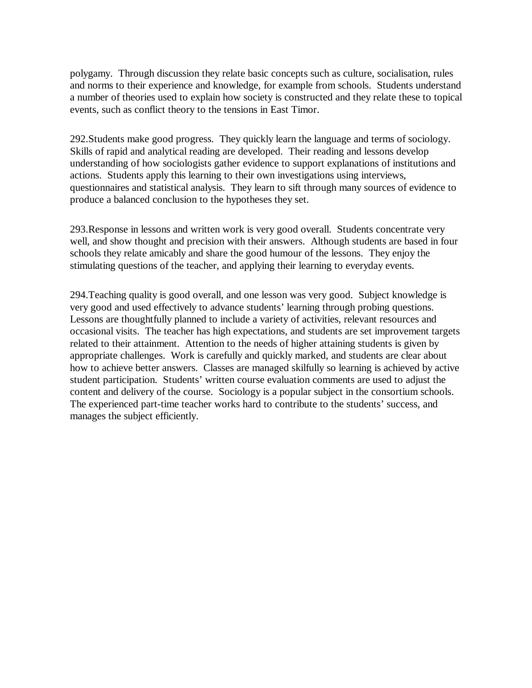polygamy. Through discussion they relate basic concepts such as culture, socialisation, rules and norms to their experience and knowledge, for example from schools. Students understand a number of theories used to explain how society is constructed and they relate these to topical events, such as conflict theory to the tensions in East Timor.

292.Students make good progress. They quickly learn the language and terms of sociology. Skills of rapid and analytical reading are developed. Their reading and lessons develop understanding of how sociologists gather evidence to support explanations of institutions and actions. Students apply this learning to their own investigations using interviews, questionnaires and statistical analysis. They learn to sift through many sources of evidence to produce a balanced conclusion to the hypotheses they set.

293.Response in lessons and written work is very good overall. Students concentrate very well, and show thought and precision with their answers. Although students are based in four schools they relate amicably and share the good humour of the lessons. They enjoy the stimulating questions of the teacher, and applying their learning to everyday events.

294.Teaching quality is good overall, and one lesson was very good. Subject knowledge is very good and used effectively to advance students' learning through probing questions. Lessons are thoughtfully planned to include a variety of activities, relevant resources and occasional visits. The teacher has high expectations, and students are set improvement targets related to their attainment. Attention to the needs of higher attaining students is given by appropriate challenges. Work is carefully and quickly marked, and students are clear about how to achieve better answers. Classes are managed skilfully so learning is achieved by active student participation. Students' written course evaluation comments are used to adjust the content and delivery of the course. Sociology is a popular subject in the consortium schools. The experienced part-time teacher works hard to contribute to the students' success, and manages the subject efficiently.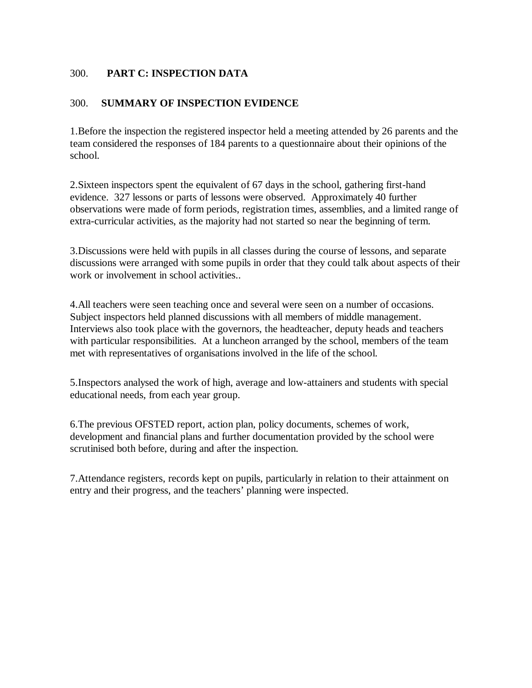# 300. **PART C: INSPECTION DATA**

### 300. **SUMMARY OF INSPECTION EVIDENCE**

1.Before the inspection the registered inspector held a meeting attended by 26 parents and the team considered the responses of 184 parents to a questionnaire about their opinions of the school.

2.Sixteen inspectors spent the equivalent of 67 days in the school, gathering first-hand evidence. 327 lessons or parts of lessons were observed. Approximately 40 further observations were made of form periods, registration times, assemblies, and a limited range of extra-curricular activities, as the majority had not started so near the beginning of term.

3.Discussions were held with pupils in all classes during the course of lessons, and separate discussions were arranged with some pupils in order that they could talk about aspects of their work or involvement in school activities..

4.All teachers were seen teaching once and several were seen on a number of occasions. Subject inspectors held planned discussions with all members of middle management. Interviews also took place with the governors, the headteacher, deputy heads and teachers with particular responsibilities. At a luncheon arranged by the school, members of the team met with representatives of organisations involved in the life of the school.

5.Inspectors analysed the work of high, average and low-attainers and students with special educational needs, from each year group.

6.The previous OFSTED report, action plan, policy documents, schemes of work, development and financial plans and further documentation provided by the school were scrutinised both before, during and after the inspection.

7.Attendance registers, records kept on pupils, particularly in relation to their attainment on entry and their progress, and the teachers' planning were inspected.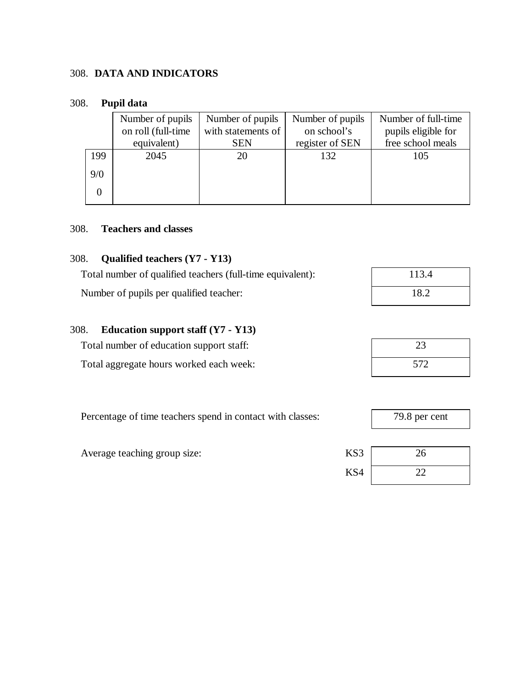### 308. **DATA AND INDICATORS**

# 308. **Pupil data**

|     | Number of pupils   | Number of pupils   | Number of pupils | Number of full-time |
|-----|--------------------|--------------------|------------------|---------------------|
|     | on roll (full-time | with statements of | on school's      | pupils eligible for |
|     | equivalent)        | <b>SEN</b>         | register of SEN  | free school meals   |
| 199 | 2045               | 20                 | 132              | 105                 |
| 9/0 |                    |                    |                  |                     |
|     |                    |                    |                  |                     |

### 308. **Teachers and classes**

#### 308. **Qualified teachers (Y7 - Y13)**

| Total number of qualified teachers (full-time equivalent): | 113.4 |
|------------------------------------------------------------|-------|
| Number of pupils per qualified teacher:                    | 18.2  |

## 308. **Education support staff (Y7 - Y13)**

Total number of education support staff:

Total aggregate hours worked each week:

Percentage of time teachers spend in contact with classes:  $\sqrt{79.8 \text{ per cent}}$ 

Average teaching group size:

| 113.4 |  |
|-------|--|
| 18.2  |  |

| 23  |  |
|-----|--|
| 572 |  |

| KS3 | 26                |
|-----|-------------------|
| KS4 | $\cdot$ ) $\cdot$ |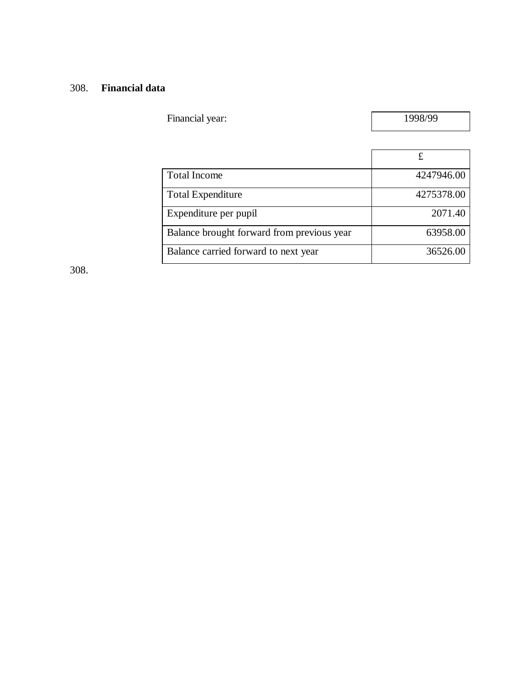# 308. **Financial data**

| Financial year:                            | 1998/99    |
|--------------------------------------------|------------|
|                                            |            |
|                                            | £          |
| <b>Total Income</b>                        | 4247946.00 |
| <b>Total Expenditure</b>                   | 4275378.00 |
| Expenditure per pupil                      | 2071.40    |
| Balance brought forward from previous year | 63958.00   |
| Balance carried forward to next year       | 36526.00   |

308.